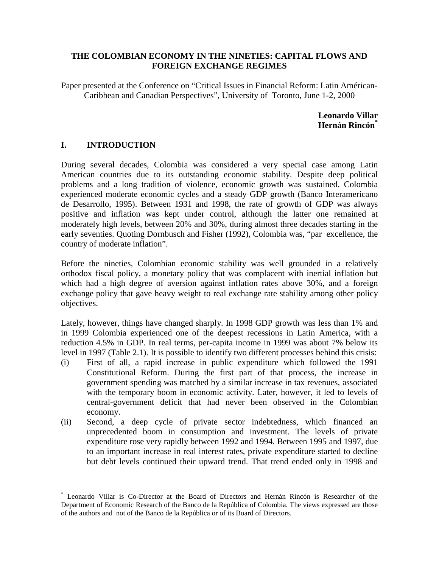## **THE COLOMBIAN ECONOMY IN THE NINETIES: CAPITAL FLOWS AND FOREIGN EXCHANGE REGIMES**

Paper presented at the Conference on "Critical Issues in Financial Reform: Latin Américan-Caribbean and Canadian Perspectives", University of Toronto, June 1-2, 2000

> **Leonardo Villar Hernán Rincón\***

## **I. INTRODUCTION**

l

During several decades, Colombia was considered a very special case among Latin American countries due to its outstanding economic stability. Despite deep political problems and a long tradition of violence, economic growth was sustained. Colombia experienced moderate economic cycles and a steady GDP growth (Banco Interamericano de Desarrollo, 1995). Between 1931 and 1998, the rate of growth of GDP was always positive and inflation was kept under control, although the latter one remained at moderately high levels, between 20% and 30%, during almost three decades starting in the early seventies. Quoting Dornbusch and Fisher (1992), Colombia was, "par excellence, the country of moderate inflation".

Before the nineties, Colombian economic stability was well grounded in a relatively orthodox fiscal policy, a monetary policy that was complacent with inertial inflation but which had a high degree of aversion against inflation rates above 30%, and a foreign exchange policy that gave heavy weight to real exchange rate stability among other policy objectives.

Lately, however, things have changed sharply. In 1998 GDP growth was less than 1% and in 1999 Colombia experienced one of the deepest recessions in Latin America, with a reduction 4.5% in GDP. In real terms, per-capita income in 1999 was about 7% below its level in 1997 (Table 2.1). It is possible to identify two different processes behind this crisis:

- (i) First of all, a rapid increase in public expenditure which followed the 1991 Constitutional Reform. During the first part of that process, the increase in government spending was matched by a similar increase in tax revenues, associated with the temporary boom in economic activity. Later, however, it led to levels of central-government deficit that had never been observed in the Colombian economy.
- (ii) Second, a deep cycle of private sector indebtedness, which financed an unprecedented boom in consumption and investment. The levels of private expenditure rose very rapidly between 1992 and 1994. Between 1995 and 1997, due to an important increase in real interest rates, private expenditure started to decline but debt levels continued their upward trend. That trend ended only in 1998 and

<sup>\*</sup> Leonardo Villar is Co-Director at the Board of Directors and Hernán Rincón is Researcher of the Department of Economic Research of the Banco de la República of Colombia. The views expressed are those of the authors and not of the Banco de la República or of its Board of Directors.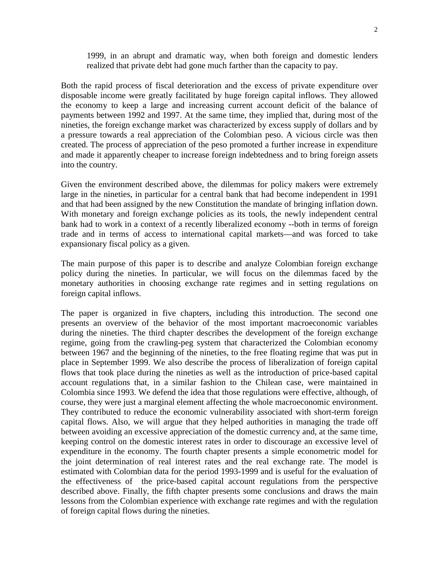1999, in an abrupt and dramatic way, when both foreign and domestic lenders realized that private debt had gone much farther than the capacity to pay.

Both the rapid process of fiscal deterioration and the excess of private expenditure over disposable income were greatly facilitated by huge foreign capital inflows. They allowed the economy to keep a large and increasing current account deficit of the balance of payments between 1992 and 1997. At the same time, they implied that, during most of the nineties, the foreign exchange market was characterized by excess supply of dollars and by a pressure towards a real appreciation of the Colombian peso. A vicious circle was then created. The process of appreciation of the peso promoted a further increase in expenditure and made it apparently cheaper to increase foreign indebtedness and to bring foreign assets into the country.

Given the environment described above, the dilemmas for policy makers were extremely large in the nineties, in particular for a central bank that had become independent in 1991 and that had been assigned by the new Constitution the mandate of bringing inflation down. With monetary and foreign exchange policies as its tools, the newly independent central bank had to work in a context of a recently liberalized economy --both in terms of foreign trade and in terms of access to international capital markets—and was forced to take expansionary fiscal policy as a given.

The main purpose of this paper is to describe and analyze Colombian foreign exchange policy during the nineties. In particular, we will focus on the dilemmas faced by the monetary authorities in choosing exchange rate regimes and in setting regulations on foreign capital inflows.

The paper is organized in five chapters, including this introduction. The second one presents an overview of the behavior of the most important macroeconomic variables during the nineties. The third chapter describes the development of the foreign exchange regime, going from the crawling-peg system that characterized the Colombian economy between 1967 and the beginning of the nineties, to the free floating regime that was put in place in September 1999. We also describe the process of liberalization of foreign capital flows that took place during the nineties as well as the introduction of price-based capital account regulations that, in a similar fashion to the Chilean case, were maintained in Colombia since 1993. We defend the idea that those regulations were effective, although, of course, they were just a marginal element affecting the whole macroeconomic environment. They contributed to reduce the economic vulnerability associated with short-term foreign capital flows. Also, we will argue that they helped authorities in managing the trade off between avoiding an excessive appreciation of the domestic currency and, at the same time, keeping control on the domestic interest rates in order to discourage an excessive level of expenditure in the economy. The fourth chapter presents a simple econometric model for the joint determination of real interest rates and the real exchange rate. The model is estimated with Colombian data for the period 1993-1999 and is useful for the evaluation of the effectiveness of the price-based capital account regulations from the perspective described above. Finally, the fifth chapter presents some conclusions and draws the main lessons from the Colombian experience with exchange rate regimes and with the regulation of foreign capital flows during the nineties.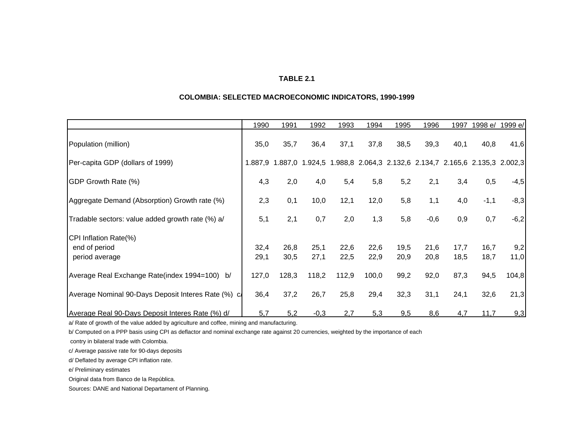#### **TABLE 2.1**

#### **COLOMBIA: SELECTED MACROECONOMIC INDICATORS, 1990-1999**

|                                                     | 1990    | 1991  | 1992                                                                    | 1993  | 1994  | 1995 | 1996   | 1997 | 1998 e/ | 1999 e/ |
|-----------------------------------------------------|---------|-------|-------------------------------------------------------------------------|-------|-------|------|--------|------|---------|---------|
| Population (million)                                | 35,0    | 35,7  | 36,4                                                                    | 37,1  | 37,8  | 38,5 | 39,3   | 40,1 | 40,8    | 41,6    |
| Per-capita GDP (dollars of 1999)                    | 1.887.9 |       | 1.887,0 1.924,5 1.988,8 2.064,3 2.132,6 2.134,7 2.165,6 2.135,3 2.002,3 |       |       |      |        |      |         |         |
| GDP Growth Rate (%)                                 | 4,3     | 2,0   | 4,0                                                                     | 5,4   | 5,8   | 5,2  | 2,1    | 3,4  | 0,5     | $-4,5$  |
| Aggregate Demand (Absorption) Growth rate (%)       | 2,3     | 0,1   | 10,0                                                                    | 12,1  | 12,0  | 5,8  | 1,1    | 4,0  | $-1,1$  | $-8,3$  |
| Tradable sectors: value added growth rate (%) a/    | 5,1     | 2,1   | 0,7                                                                     | 2,0   | 1,3   | 5,8  | $-0,6$ | 0,9  | 0,7     | $-6,2$  |
| CPI Inflation Rate(%)                               |         |       |                                                                         |       |       |      |        |      |         |         |
| end of period                                       | 32,4    | 26,8  | 25,1                                                                    | 22,6  | 22,6  | 19,5 | 21,6   | 17,7 | 16,7    | 9,2     |
| period average                                      | 29,1    | 30,5  | 27,1                                                                    | 22,5  | 22,9  | 20,9 | 20,8   | 18,5 | 18,7    | 11,0    |
| Average Real Exchange Rate(index 1994=100)<br>b/    | 127,0   | 128,3 | 118,2                                                                   | 112,9 | 100,0 | 99,2 | 92,0   | 87,3 | 94,5    | 104,8   |
| Average Nominal 90-Days Deposit Interes Rate (%) c. | 36,4    | 37,2  | 26,7                                                                    | 25,8  | 29,4  | 32,3 | 31,1   | 24,1 | 32,6    | 21,3    |
| Average Real 90-Days Deposit Interes Rate (%) d/    | 5,7     | 5,2   | $-0,3$                                                                  | 2,7   | 5,3   | 9,5  | 8,6    | 4,7  | 11,7    | 9,3     |

a/ Rate of growth of the value added by agriculture and coffee, mining and manufacturing.

b/ Computed on a PPP basis using CPI as deflactor and nominal exchange rate against 20 currencies, weighted by the importance of each

contry in bilateral trade with Colombia.

c/ Average passive rate for 90-days deposits

d/ Deflated by average CPI inflation rate.

e/ Preliminary estimates

Original data from Banco de la República.

Sources: DANE and National Departament of Planning.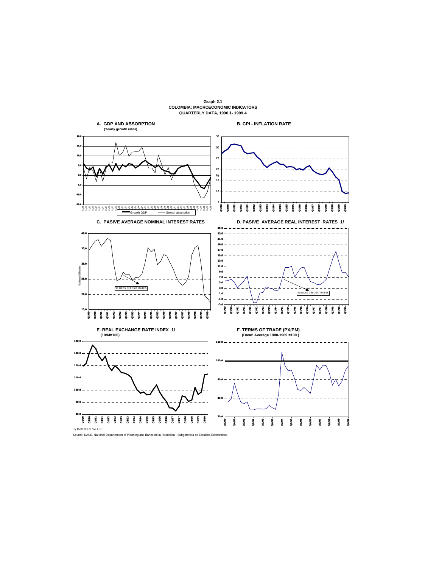

**Graph 2.1 COLOMBIA: MACROECONOMIC INDICATORS**

Source: DANE, National Departament of Planning and Banco de la República - Subgerencia de Estudios Economicos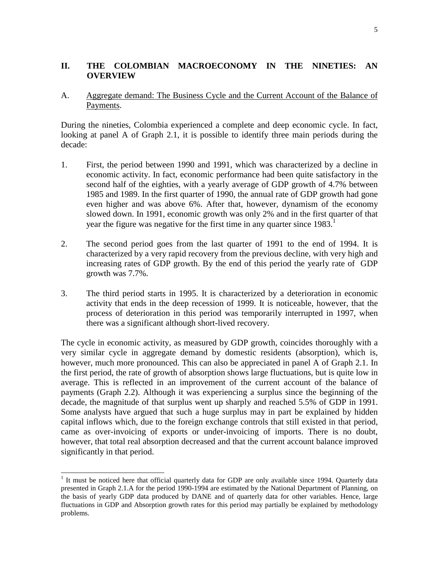## **II. THE COLOMBIAN MACROECONOMY IN THE NINETIES: AN OVERVIEW**

## A. Aggregate demand: The Business Cycle and the Current Account of the Balance of Payments.

During the nineties, Colombia experienced a complete and deep economic cycle. In fact, looking at panel A of Graph 2.1, it is possible to identify three main periods during the decade:

- 1. First, the period between 1990 and 1991, which was characterized by a decline in economic activity. In fact, economic performance had been quite satisfactory in the second half of the eighties, with a yearly average of GDP growth of 4.7% between 1985 and 1989. In the first quarter of 1990, the annual rate of GDP growth had gone even higher and was above 6%. After that, however, dynamism of the economy slowed down. In 1991, economic growth was only 2% and in the first quarter of that year the figure was negative for the first time in any quarter since  $1983$ <sup>1</sup>
- 2. The second period goes from the last quarter of 1991 to the end of 1994. It is characterized by a very rapid recovery from the previous decline, with very high and increasing rates of GDP growth. By the end of this period the yearly rate of GDP growth was 7.7%.
- 3. The third period starts in 1995. It is characterized by a deterioration in economic activity that ends in the deep recession of 1999. It is noticeable, however, that the process of deterioration in this period was temporarily interrupted in 1997, when there was a significant although short-lived recovery.

The cycle in economic activity, as measured by GDP growth, coincides thoroughly with a very similar cycle in aggregate demand by domestic residents (absorption), which is, however, much more pronounced. This can also be appreciated in panel A of Graph 2.1. In the first period, the rate of growth of absorption shows large fluctuations, but is quite low in average. This is reflected in an improvement of the current account of the balance of payments (Graph 2.2). Although it was experiencing a surplus since the beginning of the decade, the magnitude of that surplus went up sharply and reached 5.5% of GDP in 1991. Some analysts have argued that such a huge surplus may in part be explained by hidden capital inflows which, due to the foreign exchange controls that still existed in that period, came as over-invoicing of exports or under-invoicing of imports. There is no doubt, however, that total real absorption decreased and that the current account balance improved significantly in that period.

<sup>&</sup>lt;sup>1</sup> It must be noticed here that official quarterly data for GDP are only available since 1994. Quarterly data presented in Graph 2.1.A for the period 1990-1994 are estimated by the National Department of Planning, on the basis of yearly GDP data produced by DANE and of quarterly data for other variables. Hence, large fluctuations in GDP and Absorption growth rates for this period may partially be explained by methodology problems.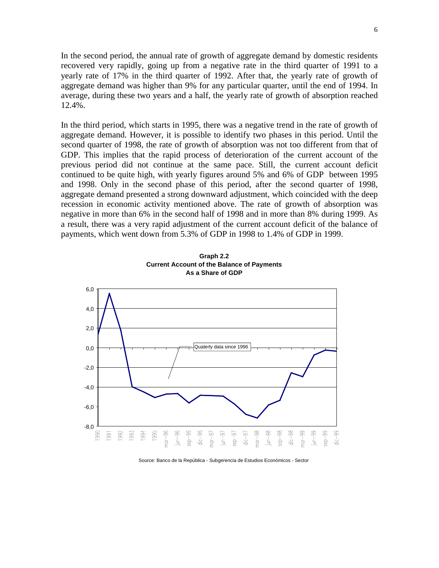In the second period, the annual rate of growth of aggregate demand by domestic residents recovered very rapidly, going up from a negative rate in the third quarter of 1991 to a yearly rate of 17% in the third quarter of 1992. After that, the yearly rate of growth of aggregate demand was higher than 9% for any particular quarter, until the end of 1994. In average, during these two years and a half, the yearly rate of growth of absorption reached 12.4%.

In the third period, which starts in 1995, there was a negative trend in the rate of growth of aggregate demand. However, it is possible to identify two phases in this period. Until the second quarter of 1998, the rate of growth of absorption was not too different from that of GDP. This implies that the rapid process of deterioration of the current account of the previous period did not continue at the same pace. Still, the current account deficit continued to be quite high, with yearly figures around 5% and 6% of GDP between 1995 and 1998. Only in the second phase of this period, after the second quarter of 1998, aggregate demand presented a strong downward adjustment, which coincided with the deep recession in economic activity mentioned above. The rate of growth of absorption was negative in more than 6% in the second half of 1998 and in more than 8% during 1999. As a result, there was a very rapid adjustment of the current account deficit of the balance of payments, which went down from 5.3% of GDP in 1998 to 1.4% of GDP in 1999.



**Graph 2.2 Current Account of the Balance of Payments As a Share of GDP**

Source: Banco de la República - Subgerencia de Estudios Económicos - Sector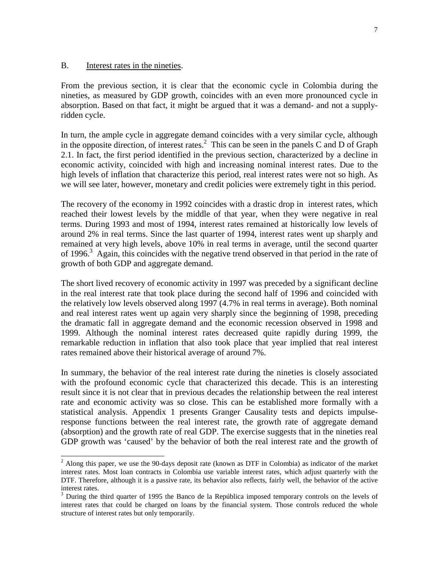#### B. Interest rates in the nineties.

From the previous section, it is clear that the economic cycle in Colombia during the nineties, as measured by GDP growth, coincides with an even more pronounced cycle in absorption. Based on that fact, it might be argued that it was a demand- and not a supplyridden cycle.

In turn, the ample cycle in aggregate demand coincides with a very similar cycle, although in the opposite direction, of interest rates. ${}^{2}$  This can be seen in the panels C and D of Graph 2.1. In fact, the first period identified in the previous section, characterized by a decline in economic activity, coincided with high and increasing nominal interest rates. Due to the high levels of inflation that characterize this period, real interest rates were not so high. As we will see later, however, monetary and credit policies were extremely tight in this period.

The recovery of the economy in 1992 coincides with a drastic drop in interest rates, which reached their lowest levels by the middle of that year, when they were negative in real terms. During 1993 and most of 1994, interest rates remained at historically low levels of around 2% in real terms. Since the last quarter of 1994, interest rates went up sharply and remained at very high levels, above 10% in real terms in average, until the second quarter of 1996.<sup>3</sup> Again, this coincides with the negative trend observed in that period in the rate of growth of both GDP and aggregate demand.

The short lived recovery of economic activity in 1997 was preceded by a significant decline in the real interest rate that took place during the second half of 1996 and coincided with the relatively low levels observed along 1997 (4.7% in real terms in average). Both nominal and real interest rates went up again very sharply since the beginning of 1998, preceding the dramatic fall in aggregate demand and the economic recession observed in 1998 and 1999. Although the nominal interest rates decreased quite rapidly during 1999, the remarkable reduction in inflation that also took place that year implied that real interest rates remained above their historical average of around 7%.

In summary, the behavior of the real interest rate during the nineties is closely associated with the profound economic cycle that characterized this decade. This is an interesting result since it is not clear that in previous decades the relationship between the real interest rate and economic activity was so close. This can be established more formally with a statistical analysis. Appendix 1 presents Granger Causality tests and depicts impulseresponse functions between the real interest rate, the growth rate of aggregate demand (absorption) and the growth rate of real GDP. The exercise suggests that in the nineties real GDP growth was 'caused' by the behavior of both the real interest rate and the growth of

<sup>&</sup>lt;sup>2</sup> Along this paper, we use the 90-days deposit rate (known as DTF in Colombia) as indicator of the market interest rates. Most loan contracts in Colombia use variable interest rates, which adjust quarterly with the DTF. Therefore, although it is a passive rate, its behavior also reflects, fairly well, the behavior of the active interest rates.

<sup>3</sup> During the third quarter of 1995 the Banco de la República imposed temporary controls on the levels of interest rates that could be charged on loans by the financial system. Those controls reduced the whole structure of interest rates but only temporarily.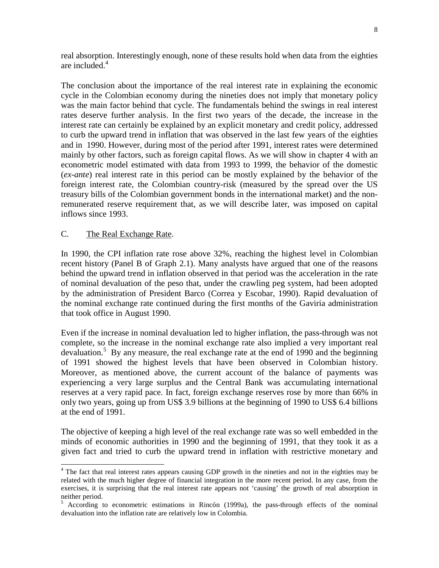real absorption. Interestingly enough, none of these results hold when data from the eighties are included.<sup>4</sup>

The conclusion about the importance of the real interest rate in explaining the economic cycle in the Colombian economy during the nineties does not imply that monetary policy was the main factor behind that cycle. The fundamentals behind the swings in real interest rates deserve further analysis. In the first two years of the decade, the increase in the interest rate can certainly be explained by an explicit monetary and credit policy, addressed to curb the upward trend in inflation that was observed in the last few years of the eighties and in 1990. However, during most of the period after 1991, interest rates were determined mainly by other factors, such as foreign capital flows. As we will show in chapter 4 with an econometric model estimated with data from 1993 to 1999, the behavior of the domestic (*ex-ante*) real interest rate in this period can be mostly explained by the behavior of the foreign interest rate, the Colombian country-risk (measured by the spread over the US treasury bills of the Colombian government bonds in the international market) and the nonremunerated reserve requirement that, as we will describe later, was imposed on capital inflows since 1993.

## C. The Real Exchange Rate.

l

In 1990, the CPI inflation rate rose above 32%, reaching the highest level in Colombian recent history (Panel B of Graph 2.1). Many analysts have argued that one of the reasons behind the upward trend in inflation observed in that period was the acceleration in the rate of nominal devaluation of the peso that, under the crawling peg system, had been adopted by the administration of President Barco (Correa y Escobar, 1990). Rapid devaluation of the nominal exchange rate continued during the first months of the Gaviria administration that took office in August 1990.

Even if the increase in nominal devaluation led to higher inflation, the pass-through was not complete, so the increase in the nominal exchange rate also implied a very important real devaluation.<sup>5</sup> By any measure, the real exchange rate at the end of 1990 and the beginning of 1991 showed the highest levels that have been observed in Colombian history. Moreover, as mentioned above, the current account of the balance of payments was experiencing a very large surplus and the Central Bank was accumulating international reserves at a very rapid pace. In fact, foreign exchange reserves rose by more than 66% in only two years, going up from US\$ 3.9 billions at the beginning of 1990 to US\$ 6.4 billions at the end of 1991.

The objective of keeping a high level of the real exchange rate was so well embedded in the minds of economic authorities in 1990 and the beginning of 1991, that they took it as a given fact and tried to curb the upward trend in inflation with restrictive monetary and

<sup>&</sup>lt;sup>4</sup> The fact that real interest rates appears causing GDP growth in the nineties and not in the eighties may be related with the much higher degree of financial integration in the more recent period. In any case, from the exercises, it is surprising that the real interest rate appears not 'causing' the growth of real absorption in neither period.

<sup>5</sup> According to econometric estimations in Rincón (1999a), the pass-through effects of the nominal devaluation into the inflation rate are relatively low in Colombia.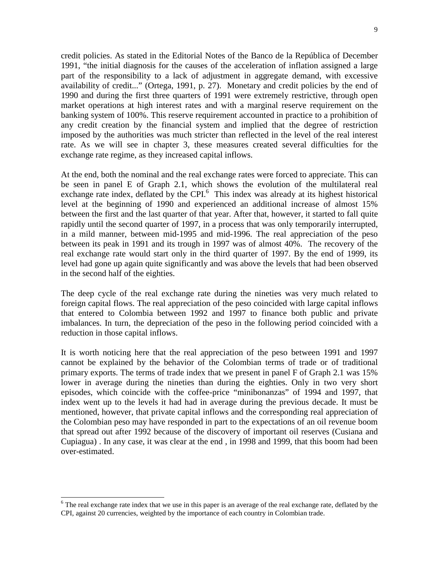credit policies. As stated in the Editorial Notes of the Banco de la República of December 1991, "the initial diagnosis for the causes of the acceleration of inflation assigned a large part of the responsibility to a lack of adjustment in aggregate demand, with excessive availability of credit..." (Ortega, 1991, p. 27). Monetary and credit policies by the end of 1990 and during the first three quarters of 1991 were extremely restrictive, through open market operations at high interest rates and with a marginal reserve requirement on the banking system of 100%. This reserve requirement accounted in practice to a prohibition of any credit creation by the financial system and implied that the degree of restriction imposed by the authorities was much stricter than reflected in the level of the real interest rate. As we will see in chapter 3, these measures created several difficulties for the exchange rate regime, as they increased capital inflows.

At the end, both the nominal and the real exchange rates were forced to appreciate. This can be seen in panel E of Graph 2.1, which shows the evolution of the multilateral real exchange rate index, deflated by the CPI.<sup>6</sup> This index was already at its highest historical level at the beginning of 1990 and experienced an additional increase of almost 15% between the first and the last quarter of that year. After that, however, it started to fall quite rapidly until the second quarter of 1997, in a process that was only temporarily interrupted, in a mild manner, between mid-1995 and mid-1996. The real appreciation of the peso between its peak in 1991 and its trough in 1997 was of almost 40%. The recovery of the real exchange rate would start only in the third quarter of 1997. By the end of 1999, its level had gone up again quite significantly and was above the levels that had been observed in the second half of the eighties.

The deep cycle of the real exchange rate during the nineties was very much related to foreign capital flows. The real appreciation of the peso coincided with large capital inflows that entered to Colombia between 1992 and 1997 to finance both public and private imbalances. In turn, the depreciation of the peso in the following period coincided with a reduction in those capital inflows.

It is worth noticing here that the real appreciation of the peso between 1991 and 1997 cannot be explained by the behavior of the Colombian terms of trade or of traditional primary exports. The terms of trade index that we present in panel F of Graph 2.1 was 15% lower in average during the nineties than during the eighties. Only in two very short episodes, which coincide with the coffee-price "minibonanzas" of 1994 and 1997, that index went up to the levels it had had in average during the previous decade. It must be mentioned, however, that private capital inflows and the corresponding real appreciation of the Colombian peso may have responded in part to the expectations of an oil revenue boom that spread out after 1992 because of the discovery of important oil reserves (Cusiana and Cupiagua) . In any case, it was clear at the end , in 1998 and 1999, that this boom had been over-estimated.

 $6$  The real exchange rate index that we use in this paper is an average of the real exchange rate, deflated by the CPI, against 20 currencies, weighted by the importance of each country in Colombian trade.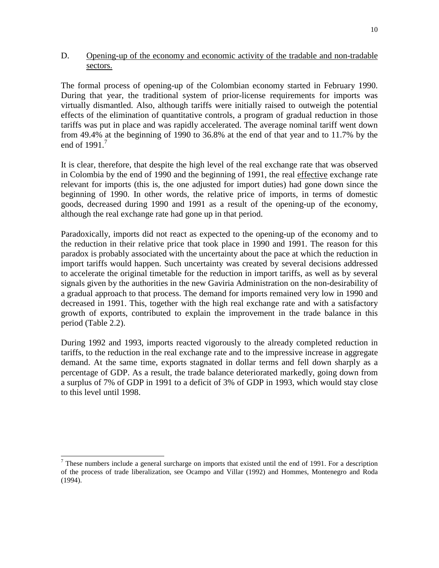## D. Opening-up of the economy and economic activity of the tradable and non-tradable sectors.

The formal process of opening-up of the Colombian economy started in February 1990. During that year, the traditional system of prior-license requirements for imports was virtually dismantled. Also, although tariffs were initially raised to outweigh the potential effects of the elimination of quantitative controls, a program of gradual reduction in those tariffs was put in place and was rapidly accelerated. The average nominal tariff went down from 49.4% at the beginning of 1990 to 36.8% at the end of that year and to 11.7% by the end of  $1991.<sup>7</sup>$ 

It is clear, therefore, that despite the high level of the real exchange rate that was observed in Colombia by the end of 1990 and the beginning of 1991, the real effective exchange rate relevant for imports (this is, the one adjusted for import duties) had gone down since the beginning of 1990. In other words, the relative price of imports, in terms of domestic goods, decreased during 1990 and 1991 as a result of the opening-up of the economy, although the real exchange rate had gone up in that period.

Paradoxically, imports did not react as expected to the opening-up of the economy and to the reduction in their relative price that took place in 1990 and 1991. The reason for this paradox is probably associated with the uncertainty about the pace at which the reduction in import tariffs would happen. Such uncertainty was created by several decisions addressed to accelerate the original timetable for the reduction in import tariffs, as well as by several signals given by the authorities in the new Gaviria Administration on the non-desirability of a gradual approach to that process. The demand for imports remained very low in 1990 and decreased in 1991. This, together with the high real exchange rate and with a satisfactory growth of exports, contributed to explain the improvement in the trade balance in this period (Table 2.2).

During 1992 and 1993, imports reacted vigorously to the already completed reduction in tariffs, to the reduction in the real exchange rate and to the impressive increase in aggregate demand. At the same time, exports stagnated in dollar terms and fell down sharply as a percentage of GDP. As a result, the trade balance deteriorated markedly, going down from a surplus of 7% of GDP in 1991 to a deficit of 3% of GDP in 1993, which would stay close to this level until 1998.

 $<sup>7</sup>$  These numbers include a general surcharge on imports that existed until the end of 1991. For a description</sup> of the process of trade liberalization, see Ocampo and Villar (1992) and Hommes, Montenegro and Roda (1994).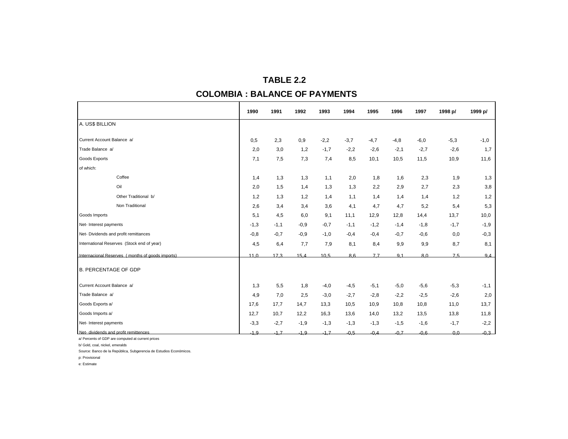# **TABLE 2.2 COLOMBIA : BALANCE OF PAYMENTS**

|                                                  | 1990            | 1991   | 1992   | 1993   | 1994   | 1995   | 1996   | 1997   | 1998 p/        | 1999 p/ |
|--------------------------------------------------|-----------------|--------|--------|--------|--------|--------|--------|--------|----------------|---------|
| A. US\$ BILLION                                  |                 |        |        |        |        |        |        |        |                |         |
| Current Account Balance a/                       | 0,5             | 2,3    | 0,9    | $-2,2$ | $-3,7$ | $-4,7$ | $-4,8$ | $-6,0$ | $-5,3$         | $-1,0$  |
| Trade Balance a/                                 | 2,0             | 3,0    | 1,2    | $-1,7$ | $-2,2$ | $-2,6$ | $-2,1$ | $-2,7$ | $-2,6$         | 1,7     |
| <b>Goods Exports</b>                             | 7,1             | 7,5    | 7,3    | 7,4    | 8,5    | 10,1   | 10,5   | 11,5   | 10,9           | 11,6    |
| of which:                                        |                 |        |        |        |        |        |        |        |                |         |
| Coffee                                           | 1,4             | 1,3    | 1,3    | 1,1    | 2,0    | 1,8    | 1,6    | 2,3    | 1,9            | 1,3     |
| Oil                                              | 2,0             | 1,5    | 1,4    | 1,3    | 1,3    | 2,2    | 2,9    | 2,7    | 2,3            | 3,8     |
| Other Traditional b/                             | 1,2             | 1,3    | 1,2    | 1,4    | 1,1    | 1,4    | 1,4    | 1,4    | 1,2            | 1,2     |
| Non Traditional                                  | 2,6             | 3,4    | 3,4    | 3,6    | 4,1    | 4,7    | 4,7    | 5,2    | 5,4            | 5,3     |
| Goods Imports                                    | 5,1             | 4,5    | 6,0    | 9,1    | 11,1   | 12,9   | 12,8   | 14,4   | 13,7           | 10,0    |
| Net- Interest payments                           | $-1,3$          | $-1,1$ | $-0,9$ | $-0,7$ | $-1,1$ | $-1,2$ | $-1,4$ | $-1,8$ | $-1,7$         | $-1,9$  |
| Net- Dividends and profit remittances            | $-0,8$          | $-0,7$ | $-0,9$ | $-1,0$ | $-0,4$ | $-0,4$ | $-0,7$ | $-0,6$ | 0,0            | $-0,3$  |
| International Reserves (Stock end of year)       | 4,5             | 6,4    | 7,7    | 7,9    | 8,1    | 8,4    | 9,9    | 9,9    | 8,7            | 8,1     |
| Internacional Reserves (months of goods imports) | 11 <sub>0</sub> | 17.3   | 15.4   | 10.5   | 8.6    | 77     | 91     | 8.0    | 7.5            | 9.4     |
| <b>B. PERCENTAGE OF GDP</b>                      |                 |        |        |        |        |        |        |        |                |         |
| Current Account Balance a/                       | 1,3             | 5,5    | 1,8    | $-4,0$ | $-4,5$ | $-5,1$ | $-5,0$ | $-5,6$ | $-5,3$         | $-1,1$  |
| Trade Balance a/                                 | 4,9             | 7,0    | 2,5    | $-3,0$ | $-2,7$ | $-2,8$ | $-2,2$ | $-2,5$ | $-2,6$         | 2,0     |
| Goods Exports a/                                 | 17,6            | 17,7   | 14,7   | 13,3   | 10,5   | 10,9   | 10,8   | 10,8   | 11,0           | 13,7    |
| Goods Imports a/                                 | 12,7            | 10,7   | 12,2   | 16,3   | 13,6   | 14,0   | 13,2   | 13,5   | 13,8           | 11,8    |
| Net- Interest payments                           | $-3,3$          | $-2,7$ | $-1,9$ | $-1,3$ | $-1,3$ | $-1,3$ | $-1,5$ | $-1,6$ | $-1,7$         | $-2,2$  |
| Net- dividends and profit remittences            | $-19$           | $-17$  | $-19$  | $-17$  | $-0.5$ | $-0.4$ | $-0.7$ | $-0.6$ | 0 <sub>0</sub> | $-0.3$  |

a/ Percents of GDP are computed at current prices

b/ Gold, coal, nickel, emeralds

Source: Banco de la República, Subgerencia de Estudios Económicos.

p: Provisional

e: Estimate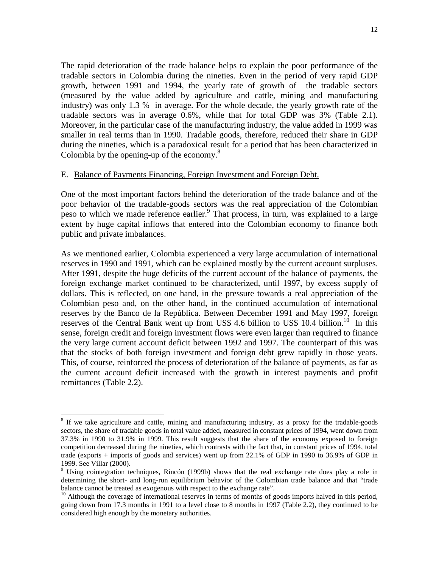The rapid deterioration of the trade balance helps to explain the poor performance of the tradable sectors in Colombia during the nineties. Even in the period of very rapid GDP growth, between 1991 and 1994, the yearly rate of growth of the tradable sectors (measured by the value added by agriculture and cattle, mining and manufacturing industry) was only 1.3 % in average. For the whole decade, the yearly growth rate of the tradable sectors was in average 0.6%, while that for total GDP was 3% (Table 2.1). Moreover, in the particular case of the manufacturing industry, the value added in 1999 was smaller in real terms than in 1990. Tradable goods, therefore, reduced their share in GDP during the nineties, which is a paradoxical result for a period that has been characterized in Colombia by the opening-up of the economy.<sup>8</sup>

#### E. Balance of Payments Financing, Foreign Investment and Foreign Debt.

One of the most important factors behind the deterioration of the trade balance and of the poor behavior of the tradable-goods sectors was the real appreciation of the Colombian peso to which we made reference earlier.<sup>9</sup> That process, in turn, was explained to a large extent by huge capital inflows that entered into the Colombian economy to finance both public and private imbalances.

As we mentioned earlier, Colombia experienced a very large accumulation of international reserves in 1990 and 1991, which can be explained mostly by the current account surpluses. After 1991, despite the huge deficits of the current account of the balance of payments, the foreign exchange market continued to be characterized, until 1997, by excess supply of dollars. This is reflected, on one hand, in the pressure towards a real appreciation of the Colombian peso and, on the other hand, in the continued accumulation of international reserves by the Banco de la República. Between December 1991 and May 1997, foreign reserves of the Central Bank went up from US\$ 4.6 billion to US\$ 10.4 billion.<sup>10</sup> In this sense, foreign credit and foreign investment flows were even larger than required to finance the very large current account deficit between 1992 and 1997. The counterpart of this was that the stocks of both foreign investment and foreign debt grew rapidly in those years. This, of course, reinforced the process of deterioration of the balance of payments, as far as the current account deficit increased with the growth in interest payments and profit remittances (Table 2.2).

<sup>&</sup>lt;sup>8</sup> If we take agriculture and cattle, mining and manufacturing industry, as a proxy for the tradable-goods sectors, the share of tradable goods in total value added, measured in constant prices of 1994, went down from 37.3% in 1990 to 31.9% in 1999. This result suggests that the share of the economy exposed to foreign competition decreased during the nineties, which contrasts with the fact that, in constant prices of 1994, total trade (exports + imports of goods and services) went up from 22.1% of GDP in 1990 to 36.9% of GDP in 1999. See Villar (2000).

<sup>&</sup>lt;sup>9</sup> Using cointegration techniques, Rincón (1999b) shows that the real exchange rate does play a role in determining the short- and long-run equilibrium behavior of the Colombian trade balance and that "trade balance cannot be treated as exogenous with respect to the exchange rate".

<sup>&</sup>lt;sup>10</sup> Although the coverage of international reserves in terms of months of goods imports halved in this period, going down from 17.3 months in 1991 to a level close to 8 months in 1997 (Table 2.2), they continued to be considered high enough by the monetary authorities.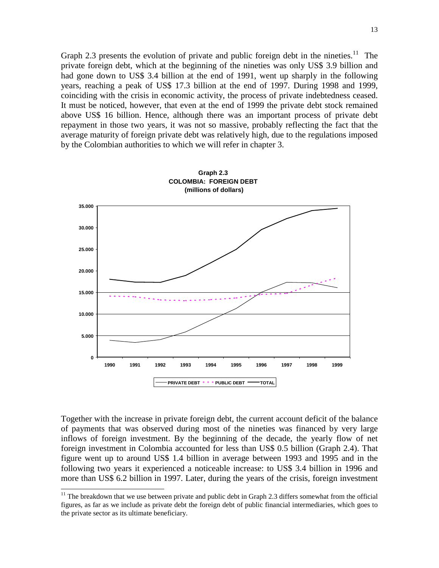Graph 2.3 presents the evolution of private and public foreign debt in the nineties.<sup>11</sup> The private foreign debt, which at the beginning of the nineties was only US\$ 3.9 billion and had gone down to US\$ 3.4 billion at the end of 1991, went up sharply in the following years, reaching a peak of US\$ 17.3 billion at the end of 1997. During 1998 and 1999, coinciding with the crisis in economic activity, the process of private indebtedness ceased. It must be noticed, however, that even at the end of 1999 the private debt stock remained above US\$ 16 billion. Hence, although there was an important process of private debt repayment in those two years, it was not so massive, probably reflecting the fact that the average maturity of foreign private debt was relatively high, due to the regulations imposed by the Colombian authorities to which we will refer in chapter 3.



Together with the increase in private foreign debt, the current account deficit of the balance of payments that was observed during most of the nineties was financed by very large inflows of foreign investment. By the beginning of the decade, the yearly flow of net foreign investment in Colombia accounted for less than US\$ 0.5 billion (Graph 2.4). That figure went up to around US\$ 1.4 billion in average between 1993 and 1995 and in the following two years it experienced a noticeable increase: to US\$ 3.4 billion in 1996 and more than US\$ 6.2 billion in 1997. Later, during the years of the crisis, foreign investment

 $11$  The breakdown that we use between private and public debt in Graph 2.3 differs somewhat from the official figures, as far as we include as private debt the foreign debt of public financial intermediaries, which goes to the private sector as its ultimate beneficiary.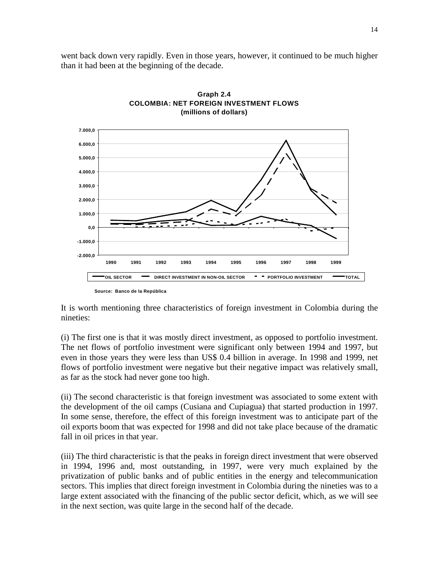went back down very rapidly. Even in those years, however, it continued to be much higher than it had been at the beginning of the decade.





It is worth mentioning three characteristics of foreign investment in Colombia during the nineties:

(i) The first one is that it was mostly direct investment, as opposed to portfolio investment. The net flows of portfolio investment were significant only between 1994 and 1997, but even in those years they were less than US\$ 0.4 billion in average. In 1998 and 1999, net flows of portfolio investment were negative but their negative impact was relatively small, as far as the stock had never gone too high.

(ii) The second characteristic is that foreign investment was associated to some extent with the development of the oil camps (Cusiana and Cupiagua) that started production in 1997. In some sense, therefore, the effect of this foreign investment was to anticipate part of the oil exports boom that was expected for 1998 and did not take place because of the dramatic fall in oil prices in that year.

(iii) The third characteristic is that the peaks in foreign direct investment that were observed in 1994, 1996 and, most outstanding, in 1997, were very much explained by the privatization of public banks and of public entities in the energy and telecommunication sectors. This implies that direct foreign investment in Colombia during the nineties was to a large extent associated with the financing of the public sector deficit, which, as we will see in the next section, was quite large in the second half of the decade.

**Source: Banco de la República**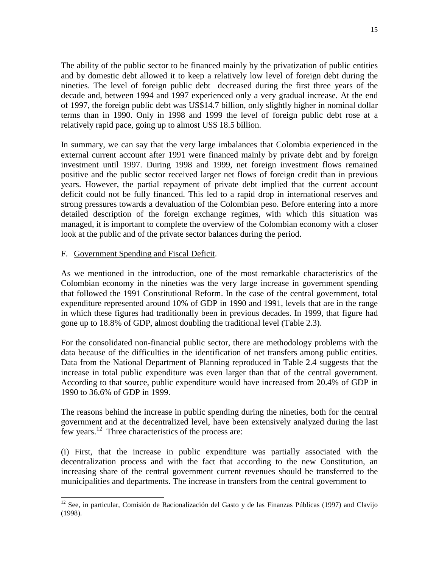The ability of the public sector to be financed mainly by the privatization of public entities and by domestic debt allowed it to keep a relatively low level of foreign debt during the nineties. The level of foreign public debt decreased during the first three years of the decade and, between 1994 and 1997 experienced only a very gradual increase. At the end of 1997, the foreign public debt was US\$14.7 billion, only slightly higher in nominal dollar terms than in 1990. Only in 1998 and 1999 the level of foreign public debt rose at a relatively rapid pace, going up to almost US\$ 18.5 billion.

In summary, we can say that the very large imbalances that Colombia experienced in the external current account after 1991 were financed mainly by private debt and by foreign investment until 1997. During 1998 and 1999, net foreign investment flows remained positive and the public sector received larger net flows of foreign credit than in previous years. However, the partial repayment of private debt implied that the current account deficit could not be fully financed. This led to a rapid drop in international reserves and strong pressures towards a devaluation of the Colombian peso. Before entering into a more detailed description of the foreign exchange regimes, with which this situation was managed, it is important to complete the overview of the Colombian economy with a closer look at the public and of the private sector balances during the period.

## F. Government Spending and Fiscal Deficit.

l

As we mentioned in the introduction, one of the most remarkable characteristics of the Colombian economy in the nineties was the very large increase in government spending that followed the 1991 Constitutional Reform. In the case of the central government, total expenditure represented around 10% of GDP in 1990 and 1991, levels that are in the range in which these figures had traditionally been in previous decades. In 1999, that figure had gone up to 18.8% of GDP, almost doubling the traditional level (Table 2.3).

For the consolidated non-financial public sector, there are methodology problems with the data because of the difficulties in the identification of net transfers among public entities. Data from the National Department of Planning reproduced in Table 2.4 suggests that the increase in total public expenditure was even larger than that of the central government. According to that source, public expenditure would have increased from 20.4% of GDP in 1990 to 36.6% of GDP in 1999.

The reasons behind the increase in public spending during the nineties, both for the central government and at the decentralized level, have been extensively analyzed during the last few years.12 Three characteristics of the process are:

(i) First, that the increase in public expenditure was partially associated with the decentralization process and with the fact that according to the new Constitution, an increasing share of the central government current revenues should be transferred to the municipalities and departments. The increase in transfers from the central government to

 $12$  See, in particular, Comisión de Racionalización del Gasto y de las Finanzas Públicas (1997) and Clavijo (1998).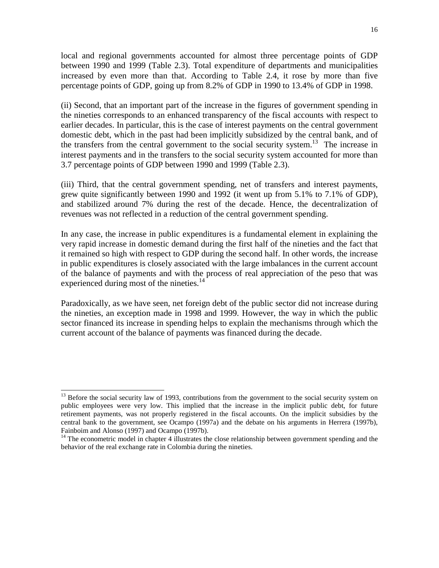local and regional governments accounted for almost three percentage points of GDP between 1990 and 1999 (Table 2.3). Total expenditure of departments and municipalities increased by even more than that. According to Table 2.4, it rose by more than five percentage points of GDP, going up from 8.2% of GDP in 1990 to 13.4% of GDP in 1998.

(ii) Second, that an important part of the increase in the figures of government spending in the nineties corresponds to an enhanced transparency of the fiscal accounts with respect to earlier decades. In particular, this is the case of interest payments on the central government domestic debt, which in the past had been implicitly subsidized by the central bank, and of the transfers from the central government to the social security system.<sup>13</sup> The increase in interest payments and in the transfers to the social security system accounted for more than 3.7 percentage points of GDP between 1990 and 1999 (Table 2.3).

(iii) Third, that the central government spending, net of transfers and interest payments, grew quite significantly between 1990 and 1992 (it went up from 5.1% to 7.1% of GDP), and stabilized around 7% during the rest of the decade. Hence, the decentralization of revenues was not reflected in a reduction of the central government spending.

In any case, the increase in public expenditures is a fundamental element in explaining the very rapid increase in domestic demand during the first half of the nineties and the fact that it remained so high with respect to GDP during the second half. In other words, the increase in public expenditures is closely associated with the large imbalances in the current account of the balance of payments and with the process of real appreciation of the peso that was experienced during most of the nineties.<sup>14</sup>

Paradoxically, as we have seen, net foreign debt of the public sector did not increase during the nineties, an exception made in 1998 and 1999. However, the way in which the public sector financed its increase in spending helps to explain the mechanisms through which the current account of the balance of payments was financed during the decade.

<sup>&</sup>lt;sup>13</sup> Before the social security law of 1993, contributions from the government to the social security system on public employees were very low. This implied that the increase in the implicit public debt, for future retirement payments, was not properly registered in the fiscal accounts. On the implicit subsidies by the central bank to the government, see Ocampo (1997a) and the debate on his arguments in Herrera (1997b), Fainboim and Alonso (1997) and Ocampo (1997b).

 $14$  The econometric model in chapter 4 illustrates the close relationship between government spending and the behavior of the real exchange rate in Colombia during the nineties.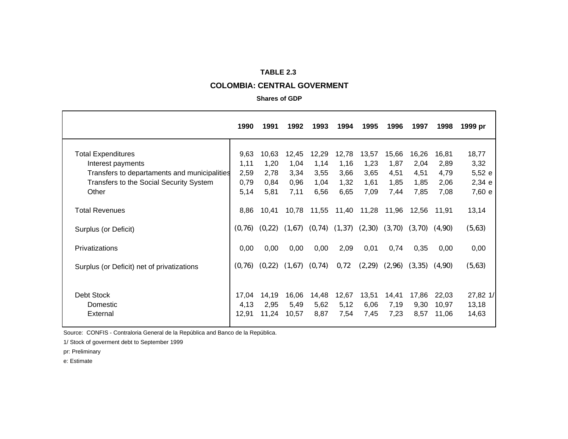#### **TABLE 2.3**

#### **COLOMBIA: CENTRAL GOVERMENT**

#### **Shares of GDP**

|                                                                   | 1990          | 1991          | 1992          | 1993         | 1994         | 1995         | 1996         | 1997         | 1998           | 1999 pr          |
|-------------------------------------------------------------------|---------------|---------------|---------------|--------------|--------------|--------------|--------------|--------------|----------------|------------------|
| <b>Total Expenditures</b>                                         | 9,63          | 10,63         | 12,45         | 12,29        | 12,78        | 13,57        | 15,66        | 16,26        | 16,81          | 18,77            |
| Interest payments<br>Transfers to departaments and municipalities | 1,11<br>2,59  | 1,20<br>2,78  | 1,04<br>3,34  | 1,14<br>3,55 | 1,16<br>3,66 | 1,23<br>3,65 | 1,87<br>4,51 | 2,04<br>4,51 | 2,89<br>4,79   | 3,32<br>5,52 e   |
| Transfers to the Social Security System<br>Other                  | 0,79<br>5,14  | 0,84<br>5,81  | 0,96<br>7,11  | 1,04<br>6,56 | 1,32<br>6,65 | 1,61<br>7,09 | 1,85<br>7,44 | 1,85<br>7,85 | 2,06<br>7,08   | 2,34 e<br>7,60 e |
| <b>Total Revenues</b>                                             | 8,86          | 10,41         | 10,78         | 11,55        | 11,40        | 11,28        | 11,96        | 12,56        | 11,91          | 13,14            |
| Surplus (or Deficit)                                              | (0, 76)       | (0, 22)       | (1,67)        | (0, 74)      | (1, 37)      | (2,30)       | (3,70)       | (3,70)       | (4,90)         | (5,63)           |
| Privatizations                                                    | 0,00          | 0,00          | 0,00          | 0,00         | 2,09         | 0,01         | 0,74         | 0,35         | 0,00           | 0,00             |
| Surplus (or Deficit) net of privatizations                        | (0,76)        | (0, 22)       | (1,67)        | (0, 74)      | 0,72         | (2, 29)      | (2,96)       | (3,35)       | (4,90)         | (5,63)           |
| Debt Stock                                                        | 17,04         | 14,19         | 16,06         | 14,48        | 12,67        | 13,51        | 14,41        | 17,86        | 22,03          | 27,82 1/         |
| Domestic<br>External                                              | 4,13<br>12,91 | 2,95<br>11,24 | 5,49<br>10,57 | 5,62<br>8,87 | 5,12<br>7,54 | 6,06<br>7,45 | 7,19<br>7,23 | 9,30<br>8,57 | 10,97<br>11,06 | 13,18<br>14,63   |
|                                                                   |               |               |               |              |              |              |              |              |                |                  |

Source: CONFIS - Contraloria General de la República and Banco de la República.

1/ Stock of goverment debt to September 1999

pr: Preliminary

e: Estimate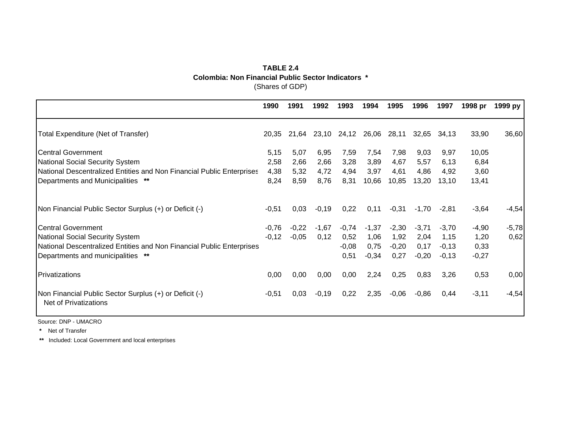### **TABLE 2.4** (Shares of GDP) **Colombia: Non Financial Public Sector Indicators \***

|                                                                                        | 1990    | 1991    | 1992    | 1993    | 1994        | 1995    | 1996    | 1997    | 1998 pr | 1999 py |
|----------------------------------------------------------------------------------------|---------|---------|---------|---------|-------------|---------|---------|---------|---------|---------|
| Total Expenditure (Net of Transfer)                                                    | 20,35   | 21,64   | 23,10   |         | 24,12 26,06 | 28,11   | 32,65   | 34,13   | 33,90   | 36,60   |
| <b>Central Government</b>                                                              | 5,15    | 5,07    | 6,95    | 7,59    | 7,54        | 7,98    | 9,03    | 9,97    | 10,05   |         |
| National Social Security System                                                        | 2,58    | 2,66    | 2,66    | 3,28    | 3,89        | 4,67    | 5,57    | 6,13    | 6,84    |         |
| National Descentralized Entities and Non Financial Public Enterprises                  | 4,38    | 5,32    | 4,72    | 4,94    | 3,97        | 4,61    | 4,86    | 4,92    | 3,60    |         |
| Departments and Municipalities **                                                      | 8,24    | 8,59    | 8,76    | 8,31    | 10,66       | 10,85   | 13,20   | 13,10   | 13,41   |         |
| Non Financial Public Sector Surplus (+) or Deficit (-)                                 | $-0,51$ | 0,03    | $-0,19$ | 0,22    | 0,11        | $-0,31$ | $-1,70$ | $-2,81$ | $-3,64$ | $-4,54$ |
| Central Government                                                                     | $-0,76$ | $-0,22$ | $-1,67$ | $-0,74$ | $-1,37$     | $-2,30$ | $-3,71$ | $-3,70$ | $-4,90$ | $-5,78$ |
| National Social Security System                                                        | $-0,12$ | $-0,05$ | 0,12    | 0,52    | 1,06        | 1,92    | 2,04    | 1,15    | 1,20    | 0,62    |
| National Descentralized Entities and Non Financial Public Enterprises                  |         |         |         | $-0,08$ | 0,75        | $-0,20$ | 0,17    | $-0,13$ | 0,33    |         |
| Departments and municipalities **                                                      |         |         |         | 0,51    | $-0,34$     | 0,27    | $-0,20$ | $-0,13$ | $-0,27$ |         |
| Privatizations                                                                         | 0,00    | 0,00    | 0,00    | 0,00    | 2,24        | 0,25    | 0,83    | 3,26    | 0,53    | 0,00    |
| Non Financial Public Sector Surplus (+) or Deficit (-)<br><b>Net of Privatizations</b> | $-0,51$ | 0,03    | $-0,19$ | 0,22    | 2,35        | $-0,06$ | $-0,86$ | 0,44    | $-3,11$ | $-4,54$ |

Source: DNP - UMACRO

**\*** Net of Transfer

**\*\*** Included: Local Government and local enterprises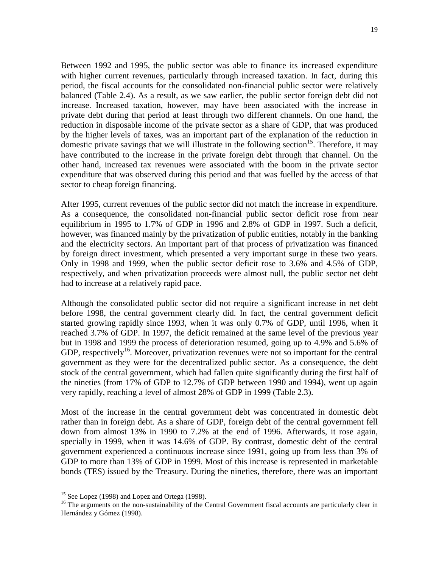Between 1992 and 1995, the public sector was able to finance its increased expenditure with higher current revenues, particularly through increased taxation. In fact, during this period, the fiscal accounts for the consolidated non-financial public sector were relatively balanced (Table 2.4). As a result, as we saw earlier, the public sector foreign debt did not increase. Increased taxation, however, may have been associated with the increase in private debt during that period at least through two different channels. On one hand, the

reduction in disposable income of the private sector as a share of GDP, that was produced by the higher levels of taxes, was an important part of the explanation of the reduction in domestic private savings that we will illustrate in the following section<sup>15</sup>. Therefore, it may have contributed to the increase in the private foreign debt through that channel. On the other hand, increased tax revenues were associated with the boom in the private sector expenditure that was observed during this period and that was fuelled by the access of that sector to cheap foreign financing.

After 1995, current revenues of the public sector did not match the increase in expenditure. As a consequence, the consolidated non-financial public sector deficit rose from near equilibrium in 1995 to 1.7% of GDP in 1996 and 2.8% of GDP in 1997. Such a deficit, however, was financed mainly by the privatization of public entities, notably in the banking and the electricity sectors. An important part of that process of privatization was financed by foreign direct investment, which presented a very important surge in these two years. Only in 1998 and 1999, when the public sector deficit rose to 3.6% and 4.5% of GDP, respectively, and when privatization proceeds were almost null, the public sector net debt had to increase at a relatively rapid pace.

Although the consolidated public sector did not require a significant increase in net debt before 1998, the central government clearly did. In fact, the central government deficit started growing rapidly since 1993, when it was only 0.7% of GDP, until 1996, when it reached 3.7% of GDP. In 1997, the deficit remained at the same level of the previous year but in 1998 and 1999 the process of deterioration resumed, going up to 4.9% and 5.6% of GDP, respectively<sup>16</sup>. Moreover, privatization revenues were not so important for the central government as they were for the decentralized public sector. As a consequence, the debt stock of the central government, which had fallen quite significantly during the first half of the nineties (from 17% of GDP to 12.7% of GDP between 1990 and 1994), went up again very rapidly, reaching a level of almost 28% of GDP in 1999 (Table 2.3).

Most of the increase in the central government debt was concentrated in domestic debt rather than in foreign debt. As a share of GDP, foreign debt of the central government fell down from almost 13% in 1990 to 7.2% at the end of 1996. Afterwards, it rose again, specially in 1999, when it was 14.6% of GDP. By contrast, domestic debt of the central government experienced a continuous increase since 1991, going up from less than 3% of GDP to more than 13% of GDP in 1999. Most of this increase is represented in marketable bonds (TES) issued by the Treasury. During the nineties, therefore, there was an important

<sup>&</sup>lt;sup>15</sup> See Lopez (1998) and Lopez and Ortega (1998).

<sup>&</sup>lt;sup>16</sup> The arguments on the non-sustainability of the Central Government fiscal accounts are particularly clear in Hernández y Gómez (1998).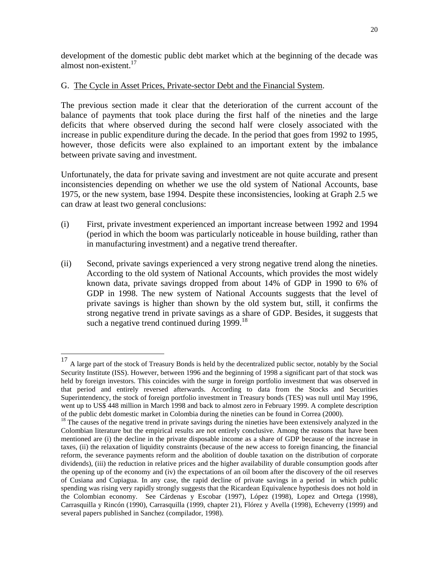development of the domestic public debt market which at the beginning of the decade was almost non-existent. $17$ 

## G. The Cycle in Asset Prices, Private-sector Debt and the Financial System.

The previous section made it clear that the deterioration of the current account of the balance of payments that took place during the first half of the nineties and the large deficits that where observed during the second half were closely associated with the increase in public expenditure during the decade. In the period that goes from 1992 to 1995, however, those deficits were also explained to an important extent by the imbalance between private saving and investment.

Unfortunately, the data for private saving and investment are not quite accurate and present inconsistencies depending on whether we use the old system of National Accounts, base 1975, or the new system, base 1994. Despite these inconsistencies, looking at Graph 2.5 we can draw at least two general conclusions:

- (i) First, private investment experienced an important increase between 1992 and 1994 (period in which the boom was particularly noticeable in house building, rather than in manufacturing investment) and a negative trend thereafter.
- (ii) Second, private savings experienced a very strong negative trend along the nineties. According to the old system of National Accounts, which provides the most widely known data, private savings dropped from about 14% of GDP in 1990 to 6% of GDP in 1998. The new system of National Accounts suggests that the level of private savings is higher than shown by the old system but, still, it confirms the strong negative trend in private savings as a share of GDP. Besides, it suggests that such a negative trend continued during  $1999$ .<sup>18</sup>

<sup>&</sup>lt;sup>17</sup> A large part of the stock of Treasury Bonds is held by the decentralized public sector, notably by the Social Security Institute (ISS). However, between 1996 and the beginning of 1998 a significant part of that stock was held by foreign investors. This coincides with the surge in foreign portfolio investment that was observed in that period and entirely reversed afterwards. According to data from the Stocks and Securities Superintendency, the stock of foreign portfolio investment in Treasury bonds (TES) was null until May 1996, went up to US\$ 448 million in March 1998 and back to almost zero in February 1999. A complete description of the public debt domestic market in Colombia during the nineties can be found in Correa (2000).

 $18$  The causes of the negative trend in private savings during the nineties have been extensively analyzed in the Colombian literature but the empirical results are not entirely conclusive. Among the reasons that have been mentioned are (i) the decline in the private disposable income as a share of GDP because of the increase in taxes, (ii) the relaxation of liquidity constraints (because of the new access to foreign financing, the financial reform, the severance payments reform and the abolition of double taxation on the distribution of corporate dividends), (iii) the reduction in relative prices and the higher availability of durable consumption goods after the opening up of the economy and (iv) the expectations of an oil boom after the discovery of the oil reserves of Cusiana and Cupiagua. In any case, the rapid decline of private savings in a period in which public spending was rising very rapidly strongly suggests that the Ricardean Equivalence hypothesis does not hold in the Colombian economy. See Cárdenas y Escobar (1997), López (1998), Lopez and Ortega (1998), Carrasquilla y Rincón (1990), Carrasquilla (1999, chapter 21), Flórez y Avella (1998), Echeverry (1999) and several papers published in Sanchez (compilador, 1998).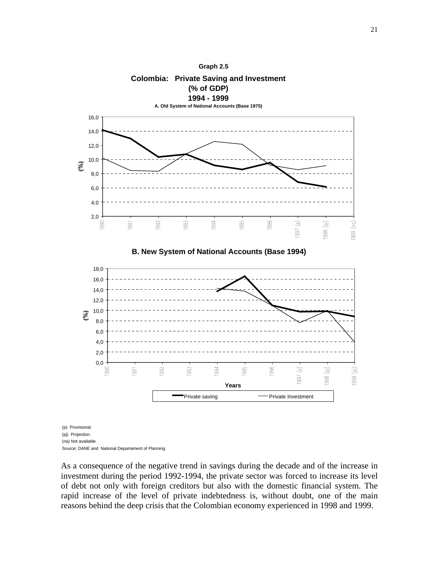

(pj) Projection. (na) Not available

Source: DANE and National Departament of Planning

As a consequence of the negative trend in savings during the decade and of the increase in investment during the period 1992-1994, the private sector was forced to increase its level of debt not only with foreign creditors but also with the domestic financial system. The rapid increase of the level of private indebtedness is, without doubt, one of the main reasons behind the deep crisis that the Colombian economy experienced in 1998 and 1999.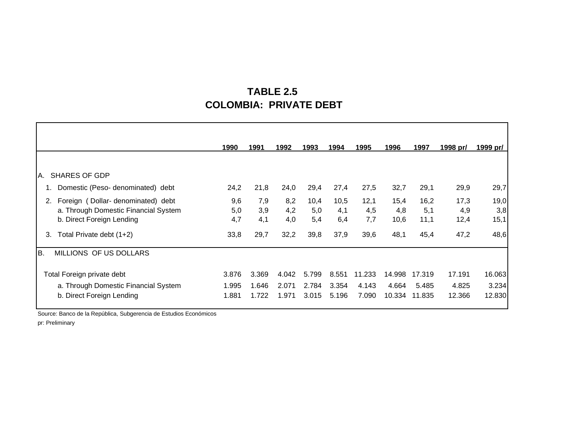# **TABLE 2.5 COLOMBIA: PRIVATE DEBT**

|                                         | 1990  | 1991  | 1992  | 1993  | 1994  | 1995   | 1996   | 1997   | 1998 pr/ | 1999 pr/ |
|-----------------------------------------|-------|-------|-------|-------|-------|--------|--------|--------|----------|----------|
|                                         |       |       |       |       |       |        |        |        |          |          |
| <b>SHARES OF GDP</b><br>А.              |       |       |       |       |       |        |        |        |          |          |
| Domestic (Peso-denominated) debt        | 24,2  | 21,8  | 24,0  | 29,4  | 27,4  | 27,5   | 32,7   | 29,1   | 29,9     | 29,7     |
| Foreign (Dollar-denominated) debt<br>2. | 9,6   | 7,9   | 8,2   | 10,4  | 10,5  | 12,1   | 15,4   | 16,2   | 17,3     | 19,0     |
| a. Through Domestic Financial System    | 5,0   | 3,9   | 4,2   | 5,0   | 4,1   | 4,5    | 4,8    | 5,1    | 4,9      | 3,8      |
| b. Direct Foreign Lending               | 4,7   | 4,1   | 4,0   | 5,4   | 6,4   | 7,7    | 10,6   | 11,1   | 12,4     | 15,1     |
| Total Private debt (1+2)<br>3.          | 33,8  | 29,7  | 32,2  | 39,8  | 37,9  | 39,6   | 48,1   | 45,4   | 47,2     | 48,6     |
| MILLIONS OF US DOLLARS<br><b>B.</b>     |       |       |       |       |       |        |        |        |          |          |
| Total Foreign private debt              | 3.876 | 3.369 | 4.042 | 5.799 | 8.551 | 11.233 | 14.998 | 17.319 | 17.191   | 16.063   |
| a. Through Domestic Financial System    | 1.995 | 1.646 | 2.071 | 2.784 | 3.354 | 4.143  | 4.664  | 5.485  | 4.825    | 3.234    |
| b. Direct Foreign Lending               | 1.881 | 1.722 | 1.971 | 3.015 | 5.196 | 7.090  | 10.334 | 11.835 | 12.366   | 12.830   |

Source: Banco de la República, Subgerencia de Estudios Económicos

pr: Preliminary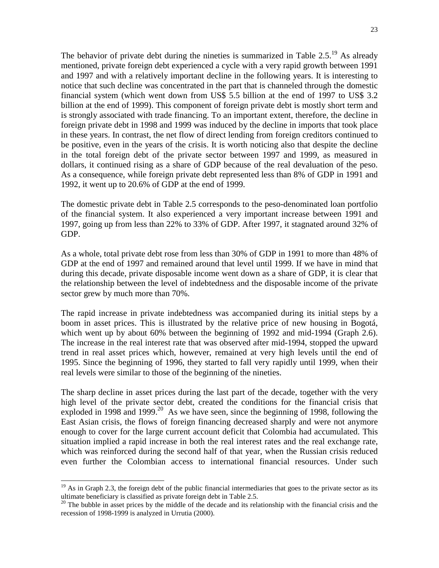The behavior of private debt during the nineties is summarized in Table  $2.5^{19}$ . As already mentioned, private foreign debt experienced a cycle with a very rapid growth between 1991 and 1997 and with a relatively important decline in the following years. It is interesting to notice that such decline was concentrated in the part that is channeled through the domestic financial system (which went down from US\$ 5.5 billion at the end of 1997 to US\$ 3.2 billion at the end of 1999). This component of foreign private debt is mostly short term and is strongly associated with trade financing. To an important extent, therefore, the decline in foreign private debt in 1998 and 1999 was induced by the decline in imports that took place in these years. In contrast, the net flow of direct lending from foreign creditors continued to be positive, even in the years of the crisis. It is worth noticing also that despite the decline in the total foreign debt of the private sector between 1997 and 1999, as measured in dollars, it continued rising as a share of GDP because of the real devaluation of the peso. As a consequence, while foreign private debt represented less than 8% of GDP in 1991 and 1992, it went up to 20.6% of GDP at the end of 1999.

The domestic private debt in Table 2.5 corresponds to the peso-denominated loan portfolio of the financial system. It also experienced a very important increase between 1991 and 1997, going up from less than 22% to 33% of GDP. After 1997, it stagnated around 32% of GDP.

As a whole, total private debt rose from less than 30% of GDP in 1991 to more than 48% of GDP at the end of 1997 and remained around that level until 1999. If we have in mind that during this decade, private disposable income went down as a share of GDP, it is clear that the relationship between the level of indebtedness and the disposable income of the private sector grew by much more than 70%.

The rapid increase in private indebtedness was accompanied during its initial steps by a boom in asset prices. This is illustrated by the relative price of new housing in Bogotá, which went up by about 60% between the beginning of 1992 and mid-1994 (Graph 2.6). The increase in the real interest rate that was observed after mid-1994, stopped the upward trend in real asset prices which, however, remained at very high levels until the end of 1995. Since the beginning of 1996, they started to fall very rapidly until 1999, when their real levels were similar to those of the beginning of the nineties.

The sharp decline in asset prices during the last part of the decade, together with the very high level of the private sector debt, created the conditions for the financial crisis that exploded in 1998 and 1999.<sup>20</sup> As we have seen, since the beginning of 1998, following the East Asian crisis, the flows of foreign financing decreased sharply and were not anymore enough to cover for the large current account deficit that Colombia had accumulated. This situation implied a rapid increase in both the real interest rates and the real exchange rate, which was reinforced during the second half of that year, when the Russian crisis reduced even further the Colombian access to international financial resources. Under such

 $19$  As in Graph 2.3, the foreign debt of the public financial intermediaries that goes to the private sector as its ultimate beneficiary is classified as private foreign debt in Table 2.5.

 $20$  The bubble in asset prices by the middle of the decade and its relationship with the financial crisis and the recession of 1998-1999 is analyzed in Urrutia (2000).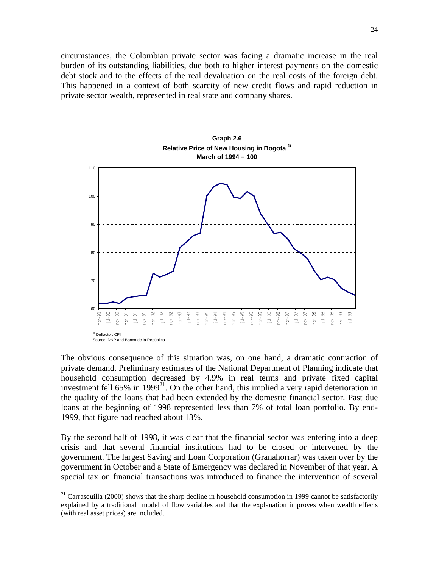circumstances, the Colombian private sector was facing a dramatic increase in the real burden of its outstanding liabilities, due both to higher interest payments on the domestic debt stock and to the effects of the real devaluation on the real costs of the foreign debt. This happened in a context of both scarcity of new credit flows and rapid reduction in private sector wealth, represented in real state and company shares.



The obvious consequence of this situation was, on one hand, a dramatic contraction of private demand. Preliminary estimates of the National Department of Planning indicate that household consumption decreased by 4.9% in real terms and private fixed capital investment fell 65% in 1999<sup>21</sup>. On the other hand, this implied a very rapid deterioration in the quality of the loans that had been extended by the domestic financial sector. Past due loans at the beginning of 1998 represented less than 7% of total loan portfolio. By end-1999, that figure had reached about 13%.

By the second half of 1998, it was clear that the financial sector was entering into a deep crisis and that several financial institutions had to be closed or intervened by the government. The largest Saving and Loan Corporation (Granahorrar) was taken over by the government in October and a State of Emergency was declared in November of that year. A special tax on financial transactions was introduced to finance the intervention of several

 $21$  Carrasquilla (2000) shows that the sharp decline in household consumption in 1999 cannot be satisfactorily explained by a traditional model of flow variables and that the explanation improves when wealth effects (with real asset prices) are included.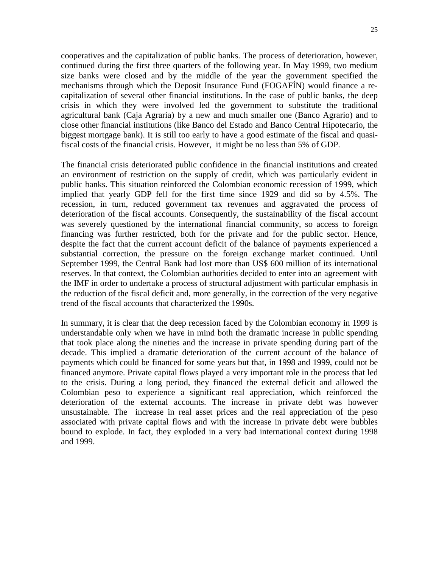cooperatives and the capitalization of public banks. The process of deterioration, however, continued during the first three quarters of the following year. In May 1999, two medium size banks were closed and by the middle of the year the government specified the mechanisms through which the Deposit Insurance Fund (FOGAFÍN) would finance a recapitalization of several other financial institutions. In the case of public banks, the deep crisis in which they were involved led the government to substitute the traditional agricultural bank (Caja Agraria) by a new and much smaller one (Banco Agrario) and to close other financial institutions (like Banco del Estado and Banco Central Hipotecario, the biggest mortgage bank). It is still too early to have a good estimate of the fiscal and quasifiscal costs of the financial crisis. However, it might be no less than 5% of GDP.

The financial crisis deteriorated public confidence in the financial institutions and created an environment of restriction on the supply of credit, which was particularly evident in public banks. This situation reinforced the Colombian economic recession of 1999, which implied that yearly GDP fell for the first time since 1929 and did so by 4.5%. The recession, in turn, reduced government tax revenues and aggravated the process of deterioration of the fiscal accounts. Consequently, the sustainability of the fiscal account was severely questioned by the international financial community, so access to foreign financing was further restricted, both for the private and for the public sector. Hence, despite the fact that the current account deficit of the balance of payments experienced a substantial correction, the pressure on the foreign exchange market continued. Until September 1999, the Central Bank had lost more than US\$ 600 million of its international reserves. In that context, the Colombian authorities decided to enter into an agreement with the IMF in order to undertake a process of structural adjustment with particular emphasis in the reduction of the fiscal deficit and, more generally, in the correction of the very negative trend of the fiscal accounts that characterized the 1990s.

In summary, it is clear that the deep recession faced by the Colombian economy in 1999 is understandable only when we have in mind both the dramatic increase in public spending that took place along the nineties and the increase in private spending during part of the decade. This implied a dramatic deterioration of the current account of the balance of payments which could be financed for some years but that, in 1998 and 1999, could not be financed anymore. Private capital flows played a very important role in the process that led to the crisis. During a long period, they financed the external deficit and allowed the Colombian peso to experience a significant real appreciation, which reinforced the deterioration of the external accounts. The increase in private debt was however unsustainable. The increase in real asset prices and the real appreciation of the peso associated with private capital flows and with the increase in private debt were bubbles bound to explode. In fact, they exploded in a very bad international context during 1998 and 1999.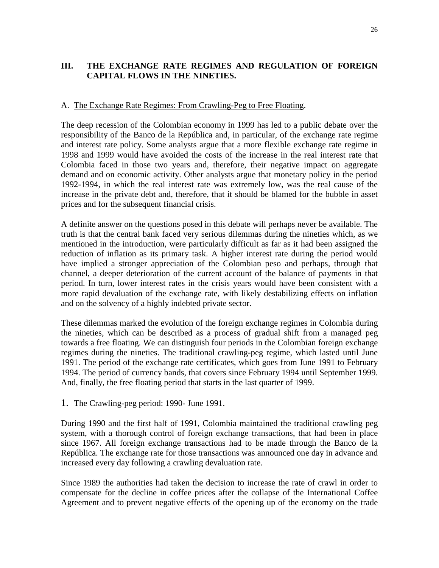## **III. THE EXCHANGE RATE REGIMES AND REGULATION OF FOREIGN CAPITAL FLOWS IN THE NINETIES.**

#### A. The Exchange Rate Regimes: From Crawling-Peg to Free Floating.

The deep recession of the Colombian economy in 1999 has led to a public debate over the responsibility of the Banco de la República and, in particular, of the exchange rate regime and interest rate policy. Some analysts argue that a more flexible exchange rate regime in 1998 and 1999 would have avoided the costs of the increase in the real interest rate that Colombia faced in those two years and, therefore, their negative impact on aggregate demand and on economic activity. Other analysts argue that monetary policy in the period 1992-1994, in which the real interest rate was extremely low, was the real cause of the increase in the private debt and, therefore, that it should be blamed for the bubble in asset prices and for the subsequent financial crisis.

A definite answer on the questions posed in this debate will perhaps never be available. The truth is that the central bank faced very serious dilemmas during the nineties which, as we mentioned in the introduction, were particularly difficult as far as it had been assigned the reduction of inflation as its primary task. A higher interest rate during the period would have implied a stronger appreciation of the Colombian peso and perhaps, through that channel, a deeper deterioration of the current account of the balance of payments in that period. In turn, lower interest rates in the crisis years would have been consistent with a more rapid devaluation of the exchange rate, with likely destabilizing effects on inflation and on the solvency of a highly indebted private sector.

These dilemmas marked the evolution of the foreign exchange regimes in Colombia during the nineties, which can be described as a process of gradual shift from a managed peg towards a free floating. We can distinguish four periods in the Colombian foreign exchange regimes during the nineties. The traditional crawling-peg regime, which lasted until June 1991. The period of the exchange rate certificates, which goes from June 1991 to February 1994. The period of currency bands, that covers since February 1994 until September 1999. And, finally, the free floating period that starts in the last quarter of 1999.

1. The Crawling-peg period: 1990- June 1991.

During 1990 and the first half of 1991, Colombia maintained the traditional crawling peg system, with a thorough control of foreign exchange transactions, that had been in place since 1967. All foreign exchange transactions had to be made through the Banco de la República. The exchange rate for those transactions was announced one day in advance and increased every day following a crawling devaluation rate.

Since 1989 the authorities had taken the decision to increase the rate of crawl in order to compensate for the decline in coffee prices after the collapse of the International Coffee Agreement and to prevent negative effects of the opening up of the economy on the trade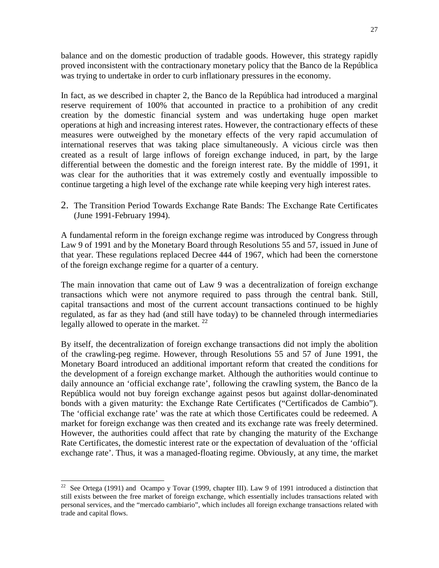balance and on the domestic production of tradable goods. However, this strategy rapidly proved inconsistent with the contractionary monetary policy that the Banco de la República was trying to undertake in order to curb inflationary pressures in the economy.

In fact, as we described in chapter 2, the Banco de la República had introduced a marginal reserve requirement of 100% that accounted in practice to a prohibition of any credit creation by the domestic financial system and was undertaking huge open market operations at high and increasing interest rates. However, the contractionary effects of these measures were outweighed by the monetary effects of the very rapid accumulation of international reserves that was taking place simultaneously. A vicious circle was then created as a result of large inflows of foreign exchange induced, in part, by the large differential between the domestic and the foreign interest rate. By the middle of 1991, it was clear for the authorities that it was extremely costly and eventually impossible to continue targeting a high level of the exchange rate while keeping very high interest rates.

2. The Transition Period Towards Exchange Rate Bands: The Exchange Rate Certificates (June 1991-February 1994).

A fundamental reform in the foreign exchange regime was introduced by Congress through Law 9 of 1991 and by the Monetary Board through Resolutions 55 and 57, issued in June of that year. These regulations replaced Decree 444 of 1967, which had been the cornerstone of the foreign exchange regime for a quarter of a century.

The main innovation that came out of Law 9 was a decentralization of foreign exchange transactions which were not anymore required to pass through the central bank. Still, capital transactions and most of the current account transactions continued to be highly regulated, as far as they had (and still have today) to be channeled through intermediaries legally allowed to operate in the market.  $^{22}$ 

By itself, the decentralization of foreign exchange transactions did not imply the abolition of the crawling-peg regime. However, through Resolutions 55 and 57 of June 1991, the Monetary Board introduced an additional important reform that created the conditions for the development of a foreign exchange market. Although the authorities would continue to daily announce an 'official exchange rate', following the crawling system, the Banco de la República would not buy foreign exchange against pesos but against dollar-denominated bonds with a given maturity: the Exchange Rate Certificates ("Certificados de Cambio"). The 'official exchange rate' was the rate at which those Certificates could be redeemed. A market for foreign exchange was then created and its exchange rate was freely determined. However, the authorities could affect that rate by changing the maturity of the Exchange Rate Certificates, the domestic interest rate or the expectation of devaluation of the 'official exchange rate'. Thus, it was a managed-floating regime. Obviously, at any time, the market

<sup>&</sup>lt;sup>22</sup> See Ortega (1991) and Ocampo y Tovar (1999, chapter III). Law 9 of 1991 introduced a distinction that still exists between the free market of foreign exchange, which essentially includes transactions related with personal services, and the "mercado cambiario", which includes all foreign exchange transactions related with trade and capital flows.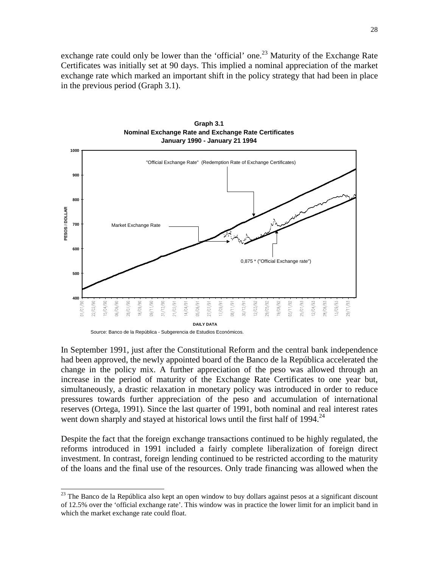exchange rate could only be lower than the 'official' one.<sup>23</sup> Maturity of the Exchange Rate Certificates was initially set at 90 days. This implied a nominal appreciation of the market exchange rate which marked an important shift in the policy strategy that had been in place in the previous period (Graph 3.1).



**Graph 3.1 Nominal Exchange Rate and Exchange Rate Certificates January 1990 - January 21 1994**

l

In September 1991, just after the Constitutional Reform and the central bank independence had been approved, the newly appointed board of the Banco de la República accelerated the change in the policy mix. A further appreciation of the peso was allowed through an increase in the period of maturity of the Exchange Rate Certificates to one year but, simultaneously, a drastic relaxation in monetary policy was introduced in order to reduce pressures towards further appreciation of the peso and accumulation of international reserves (Ortega, 1991). Since the last quarter of 1991, both nominal and real interest rates went down sharply and stayed at historical lows until the first half of 1994.<sup>24</sup>

Despite the fact that the foreign exchange transactions continued to be highly regulated, the reforms introduced in 1991 included a fairly complete liberalization of foreign direct investment. In contrast, foreign lending continued to be restricted according to the maturity of the loans and the final use of the resources. Only trade financing was allowed when the

Source: Banco de la República - Subgerencia de Estudios Económicos.

 $23$  The Banco de la República also kept an open window to buy dollars against pesos at a significant discount of 12.5% over the 'official exchange rate'. This window was in practice the lower limit for an implicit band in which the market exchange rate could float.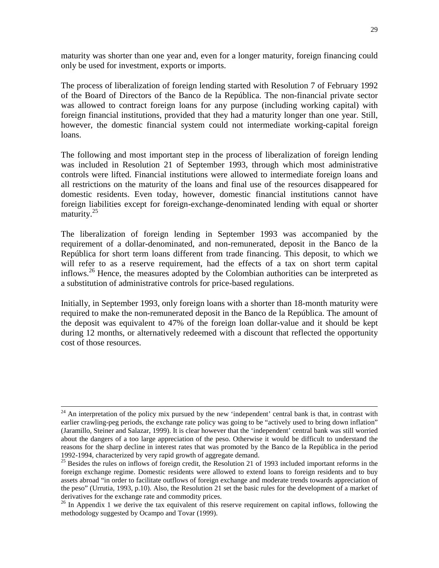maturity was shorter than one year and, even for a longer maturity, foreign financing could only be used for investment, exports or imports.

The process of liberalization of foreign lending started with Resolution 7 of February 1992 of the Board of Directors of the Banco de la República. The non-financial private sector was allowed to contract foreign loans for any purpose (including working capital) with foreign financial institutions, provided that they had a maturity longer than one year. Still, however, the domestic financial system could not intermediate working-capital foreign loans.

The following and most important step in the process of liberalization of foreign lending was included in Resolution 21 of September 1993, through which most administrative controls were lifted. Financial institutions were allowed to intermediate foreign loans and all restrictions on the maturity of the loans and final use of the resources disappeared for domestic residents. Even today, however, domestic financial institutions cannot have foreign liabilities except for foreign-exchange-denominated lending with equal or shorter maturity. $25$ 

The liberalization of foreign lending in September 1993 was accompanied by the requirement of a dollar-denominated, and non-remunerated, deposit in the Banco de la República for short term loans different from trade financing. This deposit, to which we will refer to as a reserve requirement, had the effects of a tax on short term capital inflows.<sup>26</sup> Hence, the measures adopted by the Colombian authorities can be interpreted as a substitution of administrative controls for price-based regulations.

Initially, in September 1993, only foreign loans with a shorter than 18-month maturity were required to make the non-remunerated deposit in the Banco de la República. The amount of the deposit was equivalent to 47% of the foreign loan dollar-value and it should be kept during 12 months, or alternatively redeemed with a discount that reflected the opportunity cost of those resources.

<sup>&</sup>lt;sup>24</sup> An interpretation of the policy mix pursued by the new 'independent' central bank is that, in contrast with earlier crawling-peg periods, the exchange rate policy was going to be "actively used to bring down inflation" (Jaramillo, Steiner and Salazar, 1999). It is clear however that the 'independent' central bank was still worried about the dangers of a too large appreciation of the peso. Otherwise it would be difficult to understand the reasons for the sharp decline in interest rates that was promoted by the Banco de la República in the period 1992-1994, characterized by very rapid growth of aggregate demand.

<sup>&</sup>lt;sup>25</sup> Besides the rules on inflows of foreign credit, the Resolution 21 of 1993 included important reforms in the foreign exchange regime. Domestic residents were allowed to extend loans to foreign residents and to buy assets abroad "in order to facilitate outflows of foreign exchange and moderate trends towards appreciation of the peso" (Urrutia, 1993, p.10). Also, the Resolution 21 set the basic rules for the development of a market of derivatives for the exchange rate and commodity prices.

 $26$  In Appendix 1 we derive the tax equivalent of this reserve requirement on capital inflows, following the methodology suggested by Ocampo and Tovar (1999).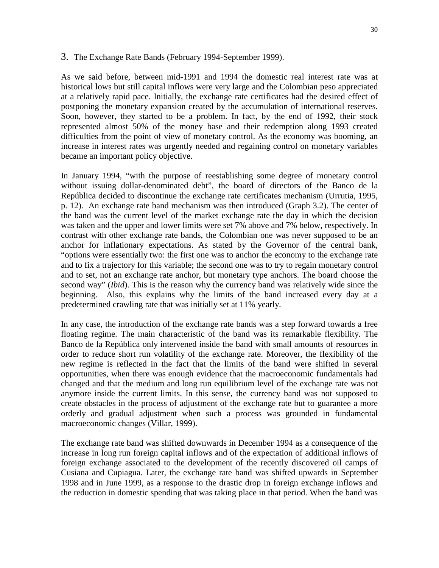#### 3. The Exchange Rate Bands (February 1994-September 1999).

As we said before, between mid-1991 and 1994 the domestic real interest rate was at historical lows but still capital inflows were very large and the Colombian peso appreciated at a relatively rapid pace. Initially, the exchange rate certificates had the desired effect of postponing the monetary expansion created by the accumulation of international reserves. Soon, however, they started to be a problem. In fact, by the end of 1992, their stock represented almost 50% of the money base and their redemption along 1993 created difficulties from the point of view of monetary control. As the economy was booming, an increase in interest rates was urgently needed and regaining control on monetary variables became an important policy objective.

In January 1994, "with the purpose of reestablishing some degree of monetary control without issuing dollar-denominated debt", the board of directors of the Banco de la República decided to discontinue the exchange rate certificates mechanism (Urrutia, 1995, p. 12). An exchange rate band mechanism was then introduced (Graph 3.2). The center of the band was the current level of the market exchange rate the day in which the decision was taken and the upper and lower limits were set 7% above and 7% below, respectively. In contrast with other exchange rate bands, the Colombian one was never supposed to be an anchor for inflationary expectations. As stated by the Governor of the central bank, "options were essentially two: the first one was to anchor the economy to the exchange rate and to fix a trajectory for this variable; the second one was to try to regain monetary control and to set, not an exchange rate anchor, but monetary type anchors. The board choose the second way" (*Ibid*). This is the reason why the currency band was relatively wide since the beginning. Also, this explains why the limits of the band increased every day at a predetermined crawling rate that was initially set at 11% yearly.

In any case, the introduction of the exchange rate bands was a step forward towards a free floating regime. The main characteristic of the band was its remarkable flexibility. The Banco de la República only intervened inside the band with small amounts of resources in order to reduce short run volatility of the exchange rate. Moreover, the flexibility of the new regime is reflected in the fact that the limits of the band were shifted in several opportunities, when there was enough evidence that the macroeconomic fundamentals had changed and that the medium and long run equilibrium level of the exchange rate was not anymore inside the current limits. In this sense, the currency band was not supposed to create obstacles in the process of adjustment of the exchange rate but to guarantee a more orderly and gradual adjustment when such a process was grounded in fundamental macroeconomic changes (Villar, 1999).

The exchange rate band was shifted downwards in December 1994 as a consequence of the increase in long run foreign capital inflows and of the expectation of additional inflows of foreign exchange associated to the development of the recently discovered oil camps of Cusiana and Cupiagua. Later, the exchange rate band was shifted upwards in September 1998 and in June 1999, as a response to the drastic drop in foreign exchange inflows and the reduction in domestic spending that was taking place in that period. When the band was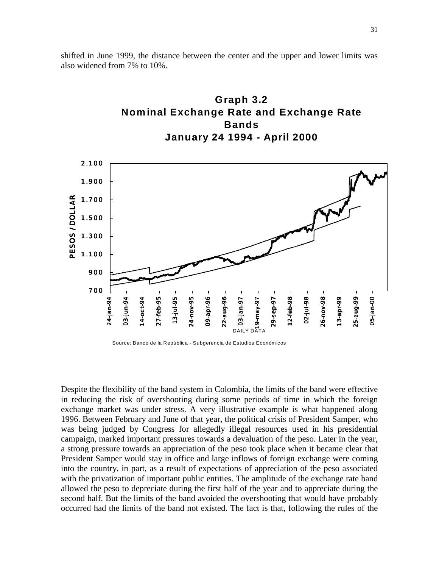**Nominal Exchange Rate and Exchange Rate Bands January 24 1994 - April 2000** 2.100 1.900 PESOS / DOLLAR PESOS / DOLLAR 1.700 1.500 1.300 1.100 900 700 DAILY DATA<br>DAILY DATA 27-feb-95 22-aug-96  $2 - feb - 98$ 26-nov-98 3-apr-99 9-gus-5. 05-jan-00 24-jan-94 24-jan-94 03-jun-94 03-jun-94 14-oct-94 14-oct-94 27-feb-95 13-jul-95 24-nov-95 24-nov-95 09-apr-96 09-apr-96 22-aug-96 29-sep-97 12-feb-98 02-jul-98 26-nov-98 13-apr-99 25-aug-99 05-jan-00 03-jan-97 19-may-97 29-sep-97 03-jan-9

shifted in June 1999, the distance between the center and the upper and lower limits was also widened from 7% to 10%.

**Graph 3.2**

Source: Banco de la República - Subgerencia de Estudios Económicos

Despite the flexibility of the band system in Colombia, the limits of the band were effective in reducing the risk of overshooting during some periods of time in which the foreign exchange market was under stress. A very illustrative example is what happened along 1996. Between February and June of that year, the political crisis of President Samper, who was being judged by Congress for allegedly illegal resources used in his presidential campaign, marked important pressures towards a devaluation of the peso. Later in the year, a strong pressure towards an appreciation of the peso took place when it became clear that President Samper would stay in office and large inflows of foreign exchange were coming into the country, in part, as a result of expectations of appreciation of the peso associated with the privatization of important public entities. The amplitude of the exchange rate band allowed the peso to depreciate during the first half of the year and to appreciate during the second half. But the limits of the band avoided the overshooting that would have probably occurred had the limits of the band not existed. The fact is that, following the rules of the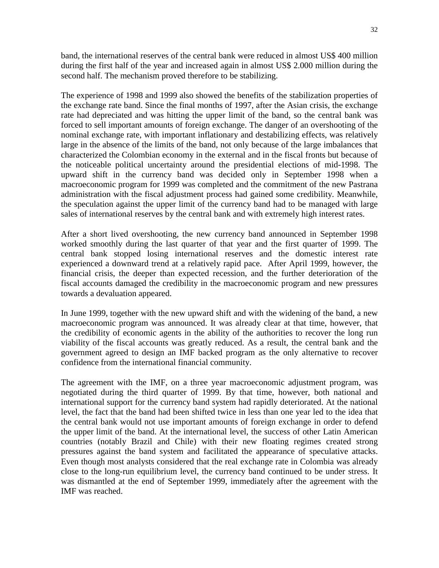band, the international reserves of the central bank were reduced in almost US\$ 400 million during the first half of the year and increased again in almost US\$ 2.000 million during the second half. The mechanism proved therefore to be stabilizing.

The experience of 1998 and 1999 also showed the benefits of the stabilization properties of the exchange rate band. Since the final months of 1997, after the Asian crisis, the exchange rate had depreciated and was hitting the upper limit of the band, so the central bank was forced to sell important amounts of foreign exchange. The danger of an overshooting of the nominal exchange rate, with important inflationary and destabilizing effects, was relatively large in the absence of the limits of the band, not only because of the large imbalances that characterized the Colombian economy in the external and in the fiscal fronts but because of the noticeable political uncertainty around the presidential elections of mid-1998. The upward shift in the currency band was decided only in September 1998 when a macroeconomic program for 1999 was completed and the commitment of the new Pastrana administration with the fiscal adjustment process had gained some credibility. Meanwhile, the speculation against the upper limit of the currency band had to be managed with large sales of international reserves by the central bank and with extremely high interest rates.

After a short lived overshooting, the new currency band announced in September 1998 worked smoothly during the last quarter of that year and the first quarter of 1999. The central bank stopped losing international reserves and the domestic interest rate experienced a downward trend at a relatively rapid pace. After April 1999, however, the financial crisis, the deeper than expected recession, and the further deterioration of the fiscal accounts damaged the credibility in the macroeconomic program and new pressures towards a devaluation appeared.

In June 1999, together with the new upward shift and with the widening of the band, a new macroeconomic program was announced. It was already clear at that time, however, that the credibility of economic agents in the ability of the authorities to recover the long run viability of the fiscal accounts was greatly reduced. As a result, the central bank and the government agreed to design an IMF backed program as the only alternative to recover confidence from the international financial community.

The agreement with the IMF, on a three year macroeconomic adjustment program, was negotiated during the third quarter of 1999. By that time, however, both national and international support for the currency band system had rapidly deteriorated. At the national level, the fact that the band had been shifted twice in less than one year led to the idea that the central bank would not use important amounts of foreign exchange in order to defend the upper limit of the band. At the international level, the success of other Latin American countries (notably Brazil and Chile) with their new floating regimes created strong pressures against the band system and facilitated the appearance of speculative attacks. Even though most analysts considered that the real exchange rate in Colombia was already close to the long-run equilibrium level, the currency band continued to be under stress. It was dismantled at the end of September 1999, immediately after the agreement with the IMF was reached.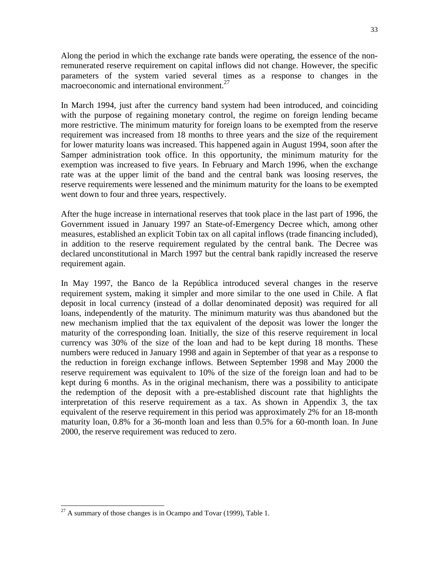Along the period in which the exchange rate bands were operating, the essence of the nonremunerated reserve requirement on capital inflows did not change. However, the specific parameters of the system varied several times as a response to changes in the macroeconomic and international environment. $^{27}$ 

In March 1994, just after the currency band system had been introduced, and coinciding with the purpose of regaining monetary control, the regime on foreign lending became more restrictive. The minimum maturity for foreign loans to be exempted from the reserve requirement was increased from 18 months to three years and the size of the requirement for lower maturity loans was increased. This happened again in August 1994, soon after the Samper administration took office. In this opportunity, the minimum maturity for the exemption was increased to five years. In February and March 1996, when the exchange rate was at the upper limit of the band and the central bank was loosing reserves, the reserve requirements were lessened and the minimum maturity for the loans to be exempted went down to four and three years, respectively.

After the huge increase in international reserves that took place in the last part of 1996, the Government issued in January 1997 an State-of-Emergency Decree which, among other measures, established an explicit Tobin tax on all capital inflows (trade financing included), in addition to the reserve requirement regulated by the central bank. The Decree was declared unconstitutional in March 1997 but the central bank rapidly increased the reserve requirement again.

In May 1997, the Banco de la República introduced several changes in the reserve requirement system, making it simpler and more similar to the one used in Chile. A flat deposit in local currency (instead of a dollar denominated deposit) was required for all loans, independently of the maturity. The minimum maturity was thus abandoned but the new mechanism implied that the tax equivalent of the deposit was lower the longer the maturity of the corresponding loan. Initially, the size of this reserve requirement in local currency was 30% of the size of the loan and had to be kept during 18 months. These numbers were reduced in January 1998 and again in September of that year as a response to the reduction in foreign exchange inflows. Between September 1998 and May 2000 the reserve requirement was equivalent to 10% of the size of the foreign loan and had to be kept during 6 months. As in the original mechanism, there was a possibility to anticipate the redemption of the deposit with a pre-established discount rate that highlights the interpretation of this reserve requirement as a tax. As shown in Appendix 3, the tax equivalent of the reserve requirement in this period was approximately 2% for an 18-month maturity loan, 0.8% for a 36-month loan and less than 0.5% for a 60-month loan. In June 2000, the reserve requirement was reduced to zero.

l  $^{27}$  A summary of those changes is in Ocampo and Tovar (1999), Table 1.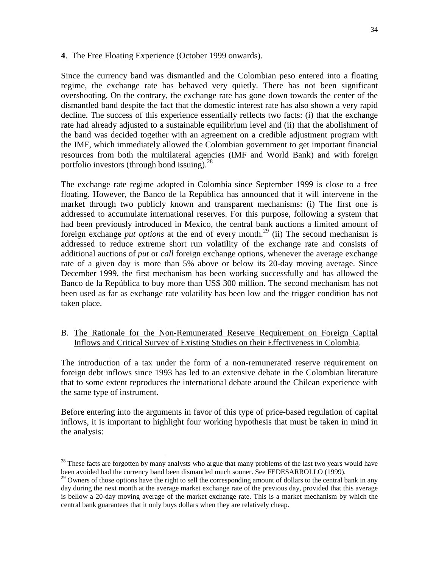#### **4**. The Free Floating Experience (October 1999 onwards).

Since the currency band was dismantled and the Colombian peso entered into a floating regime, the exchange rate has behaved very quietly. There has not been significant overshooting. On the contrary, the exchange rate has gone down towards the center of the dismantled band despite the fact that the domestic interest rate has also shown a very rapid decline. The success of this experience essentially reflects two facts: (i) that the exchange rate had already adjusted to a sustainable equilibrium level and (ii) that the abolishment of the band was decided together with an agreement on a credible adjustment program with the IMF, which immediately allowed the Colombian government to get important financial resources from both the multilateral agencies (IMF and World Bank) and with foreign portfolio investors (through bond issuing). $^{28}$ 

The exchange rate regime adopted in Colombia since September 1999 is close to a free floating. However, the Banco de la República has announced that it will intervene in the market through two publicly known and transparent mechanisms: (i) The first one is addressed to accumulate international reserves. For this purpose, following a system that had been previously introduced in Mexico, the central bank auctions a limited amount of foreign exchange *put options* at the end of every month.<sup>29</sup> (ii) The second mechanism is addressed to reduce extreme short run volatility of the exchange rate and consists of additional auctions of *put* or *call* foreign exchange options, whenever the average exchange rate of a given day is more than 5% above or below its 20-day moving average. Since December 1999, the first mechanism has been working successfully and has allowed the Banco de la República to buy more than US\$ 300 million. The second mechanism has not been used as far as exchange rate volatility has been low and the trigger condition has not taken place.

B. The Rationale for the Non-Remunerated Reserve Requirement on Foreign Capital Inflows and Critical Survey of Existing Studies on their Effectiveness in Colombia.

The introduction of a tax under the form of a non-remunerated reserve requirement on foreign debt inflows since 1993 has led to an extensive debate in the Colombian literature that to some extent reproduces the international debate around the Chilean experience with the same type of instrument.

Before entering into the arguments in favor of this type of price-based regulation of capital inflows, it is important to highlight four working hypothesis that must be taken in mind in the analysis:

 $2<sup>28</sup>$  These facts are forgotten by many analysts who argue that many problems of the last two years would have been avoided had the currency band been dismantled much sooner. See FEDESARROLLO (1999).

 $^{29}$  Owners of those options have the right to sell the corresponding amount of dollars to the central bank in any day during the next month at the average market exchange rate of the previous day, provided that this average is bellow a 20-day moving average of the market exchange rate. This is a market mechanism by which the central bank guarantees that it only buys dollars when they are relatively cheap.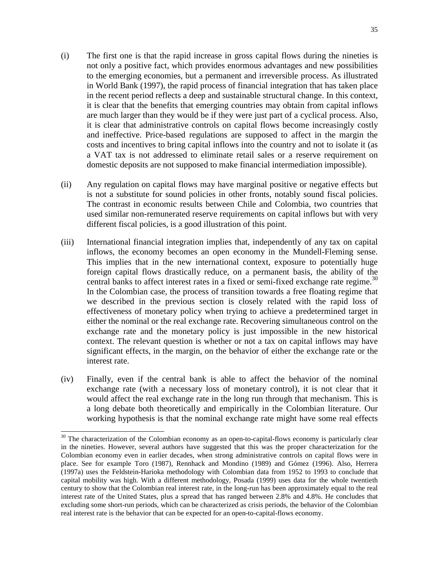- (i) The first one is that the rapid increase in gross capital flows during the nineties is not only a positive fact, which provides enormous advantages and new possibilities to the emerging economies, but a permanent and irreversible process. As illustrated in World Bank (1997), the rapid process of financial integration that has taken place in the recent period reflects a deep and sustainable structural change. In this context, it is clear that the benefits that emerging countries may obtain from capital inflows are much larger than they would be if they were just part of a cyclical process. Also, it is clear that administrative controls on capital flows become increasingly costly and ineffective. Price-based regulations are supposed to affect in the margin the costs and incentives to bring capital inflows into the country and not to isolate it (as a VAT tax is not addressed to eliminate retail sales or a reserve requirement on domestic deposits are not supposed to make financial intermediation impossible).
- (ii) Any regulation on capital flows may have marginal positive or negative effects but is not a substitute for sound policies in other fronts, notably sound fiscal policies. The contrast in economic results between Chile and Colombia, two countries that used similar non-remunerated reserve requirements on capital inflows but with very different fiscal policies, is a good illustration of this point.
- (iii) International financial integration implies that, independently of any tax on capital inflows, the economy becomes an open economy in the Mundell-Fleming sense. This implies that in the new international context, exposure to potentially huge foreign capital flows drastically reduce, on a permanent basis, the ability of the central banks to affect interest rates in a fixed or semi-fixed exchange rate regime.<sup>30</sup> In the Colombian case, the process of transition towards a free floating regime that we described in the previous section is closely related with the rapid loss of effectiveness of monetary policy when trying to achieve a predetermined target in either the nominal or the real exchange rate. Recovering simultaneous control on the exchange rate and the monetary policy is just impossible in the new historical context. The relevant question is whether or not a tax on capital inflows may have significant effects, in the margin, on the behavior of either the exchange rate or the interest rate.
- (iv) Finally, even if the central bank is able to affect the behavior of the nominal exchange rate (with a necessary loss of monetary control), it is not clear that it would affect the real exchange rate in the long run through that mechanism. This is a long debate both theoretically and empirically in the Colombian literature. Our working hypothesis is that the nominal exchange rate might have some real effects

 $30$  The characterization of the Colombian economy as an open-to-capital-flows economy is particularly clear in the nineties. However, several authors have suggested that this was the proper characterization for the Colombian economy even in earlier decades, when strong administrative controls on capital flows were in place. See for example Toro (1987), Rennhack and Mondino (1989) and Gómez (1996). Also, Herrera (1997a) uses the Feldstein-Harioka methodology with Colombian data from 1952 to 1993 to conclude that capital mobility was high. With a different methodology, Posada (1999) uses data for the whole twentieth century to show that the Colombian real interest rate, in the long-run has been approximately equal to the real interest rate of the United States, plus a spread that has ranged between 2.8% and 4.8%. He concludes that excluding some short-run periods, which can be characterized as crisis periods, the behavior of the Colombian real interest rate is the behavior that can be expected for an open-to-capital-flows economy.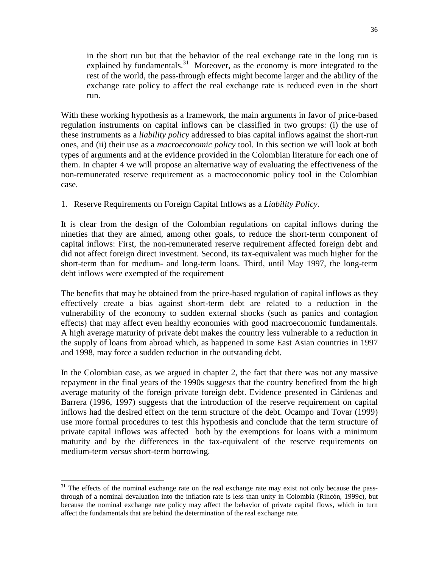in the short run but that the behavior of the real exchange rate in the long run is explained by fundamentals.<sup>31</sup> Moreover, as the economy is more integrated to the rest of the world, the pass-through effects might become larger and the ability of the exchange rate policy to affect the real exchange rate is reduced even in the short run.

With these working hypothesis as a framework, the main arguments in favor of price-based regulation instruments on capital inflows can be classified in two groups: (i) the use of these instruments as a *liability policy* addressed to bias capital inflows against the short-run ones, and (ii) their use as a *macroeconomic policy* tool. In this section we will look at both types of arguments and at the evidence provided in the Colombian literature for each one of them. In chapter 4 we will propose an alternative way of evaluating the effectiveness of the non-remunerated reserve requirement as a macroeconomic policy tool in the Colombian case.

## 1. Reserve Requirements on Foreign Capital Inflows as a *Liability Policy*.

It is clear from the design of the Colombian regulations on capital inflows during the nineties that they are aimed, among other goals, to reduce the short-term component of capital inflows: First, the non-remunerated reserve requirement affected foreign debt and did not affect foreign direct investment. Second, its tax-equivalent was much higher for the short-term than for medium- and long-term loans. Third, until May 1997, the long-term debt inflows were exempted of the requirement

The benefits that may be obtained from the price-based regulation of capital inflows as they effectively create a bias against short-term debt are related to a reduction in the vulnerability of the economy to sudden external shocks (such as panics and contagion effects) that may affect even healthy economies with good macroeconomic fundamentals. A high average maturity of private debt makes the country less vulnerable to a reduction in the supply of loans from abroad which, as happened in some East Asian countries in 1997 and 1998, may force a sudden reduction in the outstanding debt.

In the Colombian case, as we argued in chapter 2, the fact that there was not any massive repayment in the final years of the 1990s suggests that the country benefited from the high average maturity of the foreign private foreign debt. Evidence presented in Cárdenas and Barrera (1996, 1997) suggests that the introduction of the reserve requirement on capital inflows had the desired effect on the term structure of the debt. Ocampo and Tovar (1999) use more formal procedures to test this hypothesis and conclude that the term structure of private capital inflows was affected both by the exemptions for loans with a minimum maturity and by the differences in the tax-equivalent of the reserve requirements on medium-term *versus* short-term borrowing.

 $31$  The effects of the nominal exchange rate on the real exchange rate may exist not only because the passthrough of a nominal devaluation into the inflation rate is less than unity in Colombia (Rincón, 1999c), but because the nominal exchange rate policy may affect the behavior of private capital flows, which in turn affect the fundamentals that are behind the determination of the real exchange rate.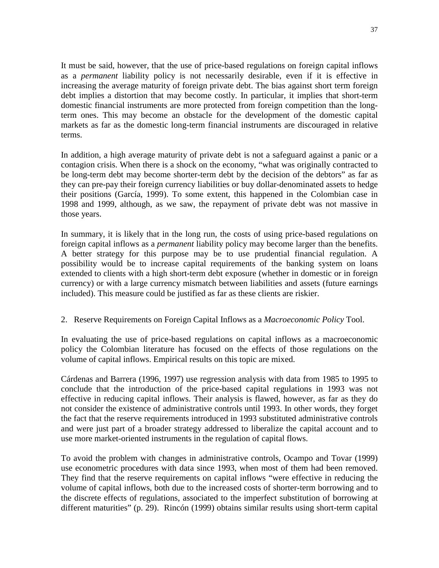It must be said, however, that the use of price-based regulations on foreign capital inflows as a *permanent* liability policy is not necessarily desirable, even if it is effective in increasing the average maturity of foreign private debt. The bias against short term foreign debt implies a distortion that may become costly. In particular, it implies that short-term domestic financial instruments are more protected from foreign competition than the longterm ones. This may become an obstacle for the development of the domestic capital markets as far as the domestic long-term financial instruments are discouraged in relative terms.

In addition, a high average maturity of private debt is not a safeguard against a panic or a contagion crisis. When there is a shock on the economy, "what was originally contracted to be long-term debt may become shorter-term debt by the decision of the debtors" as far as they can pre-pay their foreign currency liabilities or buy dollar-denominated assets to hedge their positions (García, 1999). To some extent, this happened in the Colombian case in 1998 and 1999, although, as we saw, the repayment of private debt was not massive in those years.

In summary, it is likely that in the long run, the costs of using price-based regulations on foreign capital inflows as a *permanent* liability policy may become larger than the benefits. A better strategy for this purpose may be to use prudential financial regulation. A possibility would be to increase capital requirements of the banking system on loans extended to clients with a high short-term debt exposure (whether in domestic or in foreign currency) or with a large currency mismatch between liabilities and assets (future earnings included). This measure could be justified as far as these clients are riskier.

## 2. Reserve Requirements on Foreign Capital Inflows as a *Macroeconomic Policy* Tool.

In evaluating the use of price-based regulations on capital inflows as a macroeconomic policy the Colombian literature has focused on the effects of those regulations on the volume of capital inflows. Empirical results on this topic are mixed.

Cárdenas and Barrera (1996, 1997) use regression analysis with data from 1985 to 1995 to conclude that the introduction of the price-based capital regulations in 1993 was not effective in reducing capital inflows. Their analysis is flawed, however, as far as they do not consider the existence of administrative controls until 1993. In other words, they forget the fact that the reserve requirements introduced in 1993 substituted administrative controls and were just part of a broader strategy addressed to liberalize the capital account and to use more market-oriented instruments in the regulation of capital flows.

To avoid the problem with changes in administrative controls, Ocampo and Tovar (1999) use econometric procedures with data since 1993, when most of them had been removed. They find that the reserve requirements on capital inflows "were effective in reducing the volume of capital inflows, both due to the increased costs of shorter-term borrowing and to the discrete effects of regulations, associated to the imperfect substitution of borrowing at different maturities" (p. 29). Rincón (1999) obtains similar results using short-term capital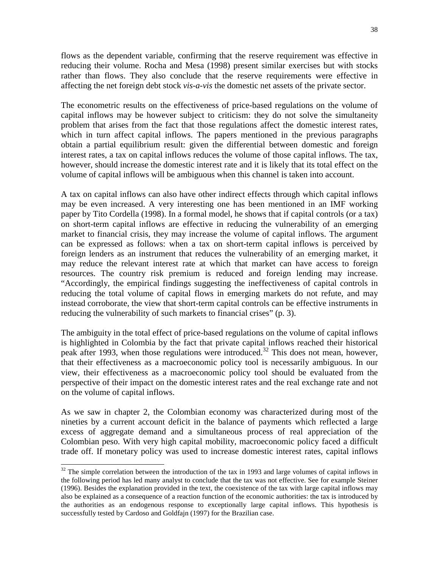flows as the dependent variable, confirming that the reserve requirement was effective in reducing their volume. Rocha and Mesa (1998) present similar exercises but with stocks rather than flows. They also conclude that the reserve requirements were effective in affecting the net foreign debt stock *vis-a-vis* the domestic net assets of the private sector.

The econometric results on the effectiveness of price-based regulations on the volume of capital inflows may be however subject to criticism: they do not solve the simultaneity problem that arises from the fact that those regulations affect the domestic interest rates, which in turn affect capital inflows. The papers mentioned in the previous paragraphs obtain a partial equilibrium result: given the differential between domestic and foreign interest rates, a tax on capital inflows reduces the volume of those capital inflows. The tax, however, should increase the domestic interest rate and it is likely that its total effect on the volume of capital inflows will be ambiguous when this channel is taken into account.

A tax on capital inflows can also have other indirect effects through which capital inflows may be even increased. A very interesting one has been mentioned in an IMF working paper by Tito Cordella (1998). In a formal model, he shows that if capital controls (or a tax) on short-term capital inflows are effective in reducing the vulnerability of an emerging market to financial crisis, they may increase the volume of capital inflows. The argument can be expressed as follows: when a tax on short-term capital inflows is perceived by foreign lenders as an instrument that reduces the vulnerability of an emerging market, it may reduce the relevant interest rate at which that market can have access to foreign resources. The country risk premium is reduced and foreign lending may increase. "Accordingly, the empirical findings suggesting the ineffectiveness of capital controls in reducing the total volume of capital flows in emerging markets do not refute, and may instead corroborate, the view that short-term capital controls can be effective instruments in reducing the vulnerability of such markets to financial crises" (p. 3).

The ambiguity in the total effect of price-based regulations on the volume of capital inflows is highlighted in Colombia by the fact that private capital inflows reached their historical peak after 1993, when those regulations were introduced.<sup>32</sup> This does not mean, however, that their effectiveness as a macroeconomic policy tool is necessarily ambiguous. In our view, their effectiveness as a macroeconomic policy tool should be evaluated from the perspective of their impact on the domestic interest rates and the real exchange rate and not on the volume of capital inflows.

As we saw in chapter 2, the Colombian economy was characterized during most of the nineties by a current account deficit in the balance of payments which reflected a large excess of aggregate demand and a simultaneous process of real appreciation of the Colombian peso. With very high capital mobility, macroeconomic policy faced a difficult trade off. If monetary policy was used to increase domestic interest rates, capital inflows

<sup>&</sup>lt;sup>32</sup> The simple correlation between the introduction of the tax in 1993 and large volumes of capital inflows in the following period has led many analyst to conclude that the tax was not effective. See for example Steiner (1996). Besides the explanation provided in the text, the coexistence of the tax with large capital inflows may also be explained as a consequence of a reaction function of the economic authorities: the tax is introduced by the authorities as an endogenous response to exceptionally large capital inflows. This hypothesis is successfully tested by Cardoso and Goldfajn (1997) for the Brazilian case.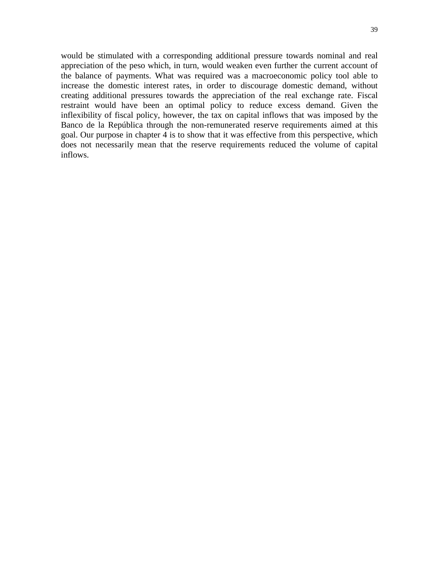would be stimulated with a corresponding additional pressure towards nominal and real appreciation of the peso which, in turn, would weaken even further the current account of the balance of payments. What was required was a macroeconomic policy tool able to increase the domestic interest rates, in order to discourage domestic demand, without creating additional pressures towards the appreciation of the real exchange rate. Fiscal restraint would have been an optimal policy to reduce excess demand. Given the inflexibility of fiscal policy, however, the tax on capital inflows that was imposed by the Banco de la República through the non-remunerated reserve requirements aimed at this goal. Our purpose in chapter 4 is to show that it was effective from this perspective, which does not necessarily mean that the reserve requirements reduced the volume of capital inflows.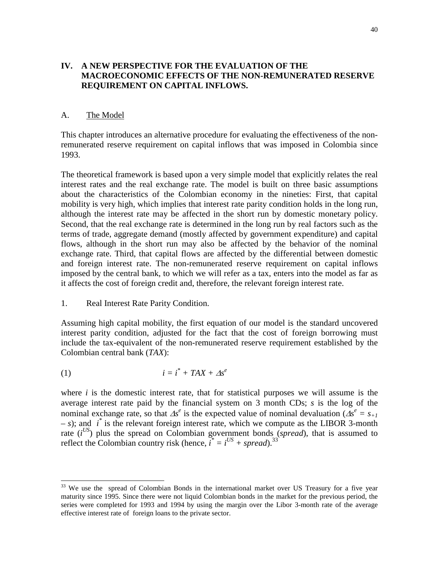## **IV. A NEW PERSPECTIVE FOR THE EVALUATION OF THE MACROECONOMIC EFFECTS OF THE NON-REMUNERATED RESERVE REQUIREMENT ON CAPITAL INFLOWS.**

#### A. The Model

This chapter introduces an alternative procedure for evaluating the effectiveness of the nonremunerated reserve requirement on capital inflows that was imposed in Colombia since 1993.

The theoretical framework is based upon a very simple model that explicitly relates the real interest rates and the real exchange rate. The model is built on three basic assumptions about the characteristics of the Colombian economy in the nineties: First, that capital mobility is very high, which implies that interest rate parity condition holds in the long run, although the interest rate may be affected in the short run by domestic monetary policy. Second, that the real exchange rate is determined in the long run by real factors such as the terms of trade, aggregate demand (mostly affected by government expenditure) and capital flows, although in the short run may also be affected by the behavior of the nominal exchange rate. Third, that capital flows are affected by the differential between domestic and foreign interest rate. The non-remunerated reserve requirement on capital inflows imposed by the central bank, to which we will refer as a tax, enters into the model as far as it affects the cost of foreign credit and, therefore, the relevant foreign interest rate.

#### 1. Real Interest Rate Parity Condition.

Assuming high capital mobility, the first equation of our model is the standard uncovered interest parity condition, adjusted for the fact that the cost of foreign borrowing must include the tax-equivalent of the non-remunerated reserve requirement established by the Colombian central bank (*TAX*):

$$
(1) \t\t i = i^* + TAX + \Delta s^e
$$

l

where *i* is the domestic interest rate, that for statistical purposes we will assume is the average interest rate paid by the financial system on 3 month CDs; *s* is the log of the nominal exchange rate, so that  $\Delta s^e$  is the expected value of nominal devaluation ( $\Delta s^e = s_{+1}$ ) *– s*); and *i\** is the relevant foreign interest rate, which we compute as the LIBOR 3-month rate  $(i^{US})$  plus the spread on Colombian government bonds (*spread*), that is assumed to reflect the Colombian country risk (hence,  $\tilde{i}^* = i^{US} + spread$ ).<sup>33</sup>

 $33$  We use the spread of Colombian Bonds in the international market over US Treasury for a five year maturity since 1995. Since there were not liquid Colombian bonds in the market for the previous period, the series were completed for 1993 and 1994 by using the margin over the Libor 3-month rate of the average effective interest rate of foreign loans to the private sector.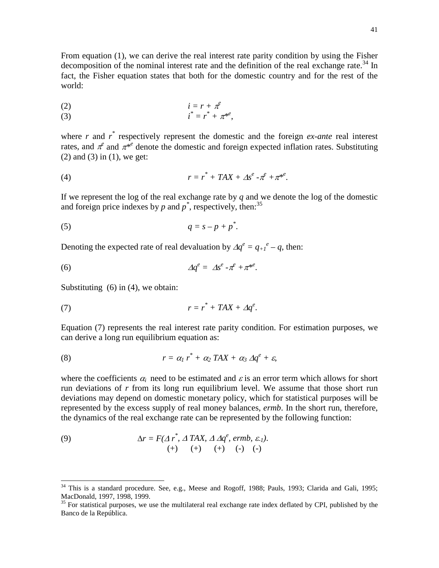From equation (1), we can derive the real interest rate parity condition by using the Fisher decomposition of the nominal interest rate and the definition of the real exchange rate.<sup>34</sup> In fact, the Fisher equation states that both for the domestic country and for the rest of the world:

$$
(2) \qquad \qquad i = r + \pi^e
$$
\n
$$
i^* - x^* + \pi^{e^e}
$$

(3) 
$$
i^* = r^* + \pi^{*}e,
$$

where  $r$  and  $r^*$  respectively represent the domestic and the foreign *ex-ante* real interest rates, and  $\pi^e$  and  $\pi^{*e}$  denote the domestic and foreign expected inflation rates. Substituting  $(2)$  and  $(3)$  in  $(1)$ , we get:

(4) *r = r\* + TAX +* α*s e -*↓*<sup>e</sup> +*↓*\*e* .

If we represent the log of the real exchange rate by *q* and we denote the log of the domestic and foreign price indexes by  $p$  and  $p^*$ , respectively, then:<sup>35</sup>

$$
(5) \t q = s - p + p^*.
$$

Denoting the expected rate of real devaluation by  $\Delta q^e = q_{+1}^e - q$ , then:

$$
\varDelta q^e = \varDelta s^e - \pi^e + \pi^{*e}.
$$

Substituting  $(6)$  in  $(4)$ , we obtain:

l

$$
r = r^* + TAX + \Delta q^e.
$$

Equation (7) represents the real interest rate parity condition. For estimation purposes, we can derive a long run equilibrium equation as:

(8) 
$$
r = \alpha_1 r^* + \alpha_2 TAX + \alpha_3 \Delta q^e + \varepsilon,
$$

where the coefficients  $\alpha_i$  need to be estimated and  $\varepsilon$  is an error term which allows for short run deviations of *r* from its long run equilibrium level. We assume that those short run deviations may depend on domestic monetary policy, which for statistical purposes will be represented by the excess supply of real money balances, *ermb*. In the short run, therefore, the dynamics of the real exchange rate can be represented by the following function:

(9) 
$$
\Delta r = F(\Delta r^*, \Delta TAX, \Delta \Delta q^e, \text{ermb}, \varepsilon_1).
$$

$$
(+) \quad (+) \quad (+) \quad (+) \quad (-) \quad (-)
$$

 $34$  This is a standard procedure. See, e.g., Meese and Rogoff, 1988; Pauls, 1993; Clarida and Gali, 1995; MacDonald, 1997, 1998, 1999.

 $35$  For statistical purposes, we use the multilateral real exchange rate index deflated by CPI, published by the Banco de la República.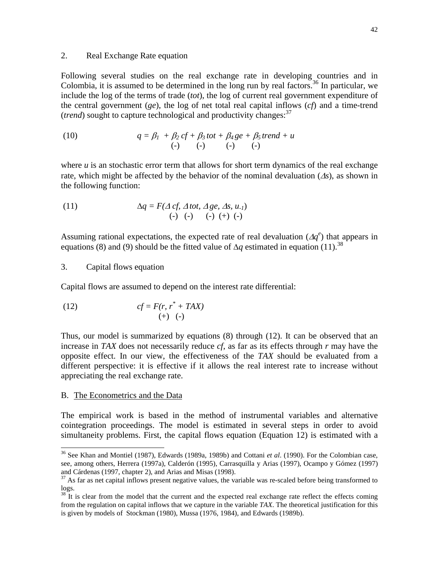#### 2. Real Exchange Rate equation

Following several studies on the real exchange rate in developing countries and in Colombia, it is assumed to be determined in the long run by real factors.<sup>36</sup> In particular, we include the log of the terms of trade (*tot*), the log of current real government expenditure of the central government (*ge*), the log of net total real capital inflows (*cf*) and a time-trend *(trend)* sought to capture technological and productivity changes:  $37$ 

(10) 
$$
q = \beta_1 + \beta_2 cf + \beta_3 tot + \beta_4 ge + \beta_5 trend + u
$$

$$
(-) (-) (-) (-) (-)
$$

where  $u$  is an stochastic error term that allows for short term dynamics of the real exchange rate, which might be affected by the behavior of the nominal devaluation  $(\Delta s)$ , as shown in the following function:

(11) 
$$
\Delta q = F(\Delta cf, \Delta tot, \Delta ge, \Delta s, u_1) \n(-) (-) (-) (+) (-)
$$

Assuming rational expectations, the expected rate of real devaluation  $(\Delta q^e)$  that appears in equations (8) and (9) should be the fitted value of  $\Delta q$  estimated in equation (11).<sup>38</sup>

#### 3. Capital flows equation

Capital flows are assumed to depend on the interest rate differential:

(12) 
$$
cf = F(r, r^* + TAX)
$$

$$
(+) (-)
$$

Thus, our model is summarized by equations (8) through (12). It can be observed that an increase in *TAX* does not necessarily reduce *cf*, as far as its effects through *r* may have the opposite effect. In our view, the effectiveness of the *TAX* should be evaluated from a different perspective: it is effective if it allows the real interest rate to increase without appreciating the real exchange rate.

#### B. The Econometrics and the Data

l

The empirical work is based in the method of instrumental variables and alternative cointegration proceedings. The model is estimated in several steps in order to avoid simultaneity problems. First, the capital flows equation (Equation 12) is estimated with a

<sup>36</sup> See Khan and Montiel (1987), Edwards (1989a, 1989b) and Cottani *et al*. (1990). For the Colombian case, see, among others, Herrera (1997a), Calderón (1995), Carrasquilla y Arias (1997), Ocampo y Gómez (1997) and Cárdenas (1997, chapter 2), and Arias and Misas (1998).

 $37$  As far as net capital inflows present negative values, the variable was re-scaled before being transformed to logs.

It is clear from the model that the current and the expected real exchange rate reflect the effects coming from the regulation on capital inflows that we capture in the variable *TAX*. The theoretical justification for this is given by models of Stockman (1980), Mussa (1976, 1984), and Edwards (1989b).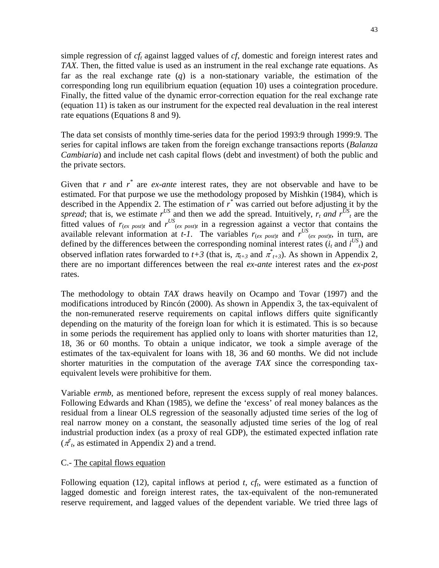simple regression of *cft* against lagged values of *cf*, domestic and foreign interest rates and *TAX*. Then, the fitted value is used as an instrument in the real exchange rate equations. As far as the real exchange rate (*q*) is a non-stationary variable, the estimation of the corresponding long run equilibrium equation (equation 10) uses a cointegration procedure. Finally, the fitted value of the dynamic error-correction equation for the real exchange rate (equation 11) is taken as our instrument for the expected real devaluation in the real interest rate equations (Equations 8 and 9).

The data set consists of monthly time-series data for the period 1993:9 through 1999:9. The series for capital inflows are taken from the foreign exchange transactions reports (*Balanza Cambiaria*) and include net cash capital flows (debt and investment) of both the public and the private sectors.

Given that  $r$  and  $r^*$  are *ex-ante* interest rates, they are not observable and have to be estimated. For that purpose we use the methodology proposed by Mishkin (1984), which is described in the Appendix 2. The estimation of  $r^*$  was carried out before adjusting it by the spread; that is, we estimate  $r^{US}$  and then we add the spread. Intuitively,  $r_t$  and  $r^{US}$  are the fitted values of  $r_{(ex\ post)}$  and  $r^{US}$ <sub>(ex post)t</sub> in a regression against a vector that contains the available relevant information at *t-1*. The variables  $r_{(ex\ post)t}$  and  $r^{US}(ex\ post)t}$ , in turn, are defined by the differences between the corresponding nominal interest rates  $(i_t$  and  $i^{US}_t$ ) and observed inflation rates forwarded to  $t+3$  (that is,  $\pi_{t+3}$  and  $\pi_{t+3}^*$ ). As shown in Appendix 2, there are no important differences between the real *ex-ante* interest rates and the *ex-post* rates.

The methodology to obtain *TAX* draws heavily on Ocampo and Tovar (1997) and the modifications introduced by Rincón (2000). As shown in Appendix 3, the tax-equivalent of the non-remunerated reserve requirements on capital inflows differs quite significantly depending on the maturity of the foreign loan for which it is estimated. This is so because in some periods the requirement has applied only to loans with shorter maturities than 12, 18, 36 or 60 months. To obtain a unique indicator, we took a simple average of the estimates of the tax-equivalent for loans with 18, 36 and 60 months. We did not include shorter maturities in the computation of the average *TAX* since the corresponding taxequivalent levels were prohibitive for them.

Variable *ermb*, as mentioned before, represent the excess supply of real money balances. Following Edwards and Khan (1985), we define the 'excess' of real money balances as the residual from a linear OLS regression of the seasonally adjusted time series of the log of real narrow money on a constant, the seasonally adjusted time series of the log of real industrial production index (as a proxy of real GDP), the estimated expected inflation rate  $(\pi^e_t)$ , as estimated in Appendix 2) and a trend.

## C.- The capital flows equation

Following equation (12), capital inflows at period  $t$ ,  $cf$ , were estimated as a function of lagged domestic and foreign interest rates, the tax-equivalent of the non-remunerated reserve requirement, and lagged values of the dependent variable. We tried three lags of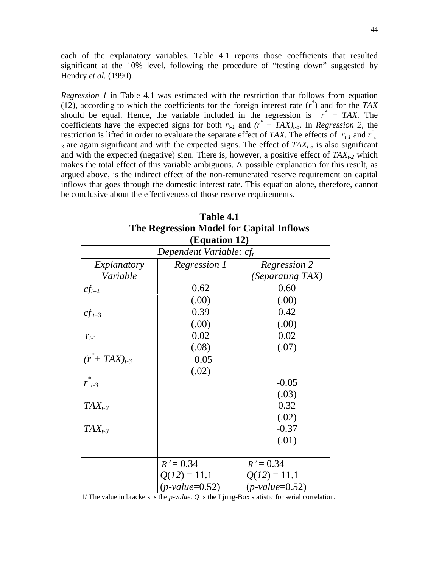each of the explanatory variables. Table 4.1 reports those coefficients that resulted significant at the 10% level, following the procedure of "testing down" suggested by Hendry *et al.* (1990).

*Regression 1* in Table 4.1 was estimated with the restriction that follows from equation (12), according to which the coefficients for the foreign interest rate  $(r^*)$  and for the *TAX* should be equal. Hence, the variable included in the regression is  $r^* + TAX$ . The coefficients have the expected signs for both  $r_{t-1}$  and  $(r^* + TAX)_{t-3}$ . In *Regression 2*, the restriction is lifted in order to evaluate the separate effect of *TAX*. The effects of  $r_{t-1}$  and  $r_{t-1}^*$  $3$  are again significant and with the expected signs. The effect of  $TAX_{t-3}$  is also significant and with the expected (negative) sign. There is, however, a positive effect of  $TAX_{t-2}$  which makes the total effect of this variable ambiguous. A possible explanation for this result, as argued above, is the indirect effect of the non-remunerated reserve requirement on capital inflows that goes through the domestic interest rate. This equation alone, therefore, cannot be conclusive about the effectiveness of those reserve requirements.

| (Equation 12)              |                         |                         |  |  |  |  |  |  |
|----------------------------|-------------------------|-------------------------|--|--|--|--|--|--|
| Dependent Variable: $cf_t$ |                         |                         |  |  |  |  |  |  |
| Explanatory                | Regression 1            | Regression 2            |  |  |  |  |  |  |
| Variable                   |                         | (Separating TAX)        |  |  |  |  |  |  |
| $cf_{t-2}$                 | 0.62                    | 0.60                    |  |  |  |  |  |  |
|                            | (.00)                   | (.00)                   |  |  |  |  |  |  |
| $cf_{t-3}$                 | 0.39                    | 0.42                    |  |  |  |  |  |  |
|                            | (.00)                   | (.00)                   |  |  |  |  |  |  |
| $r_{t-1}$                  | 0.02                    | 0.02                    |  |  |  |  |  |  |
|                            | (.08)                   | (.07)                   |  |  |  |  |  |  |
| $(r^* + TAX)_{t-3}$        | $-0.05$                 |                         |  |  |  |  |  |  |
|                            | (.02)                   |                         |  |  |  |  |  |  |
| $\ast$<br>$r_{t-3}$        |                         | $-0.05$                 |  |  |  |  |  |  |
|                            |                         | (.03)                   |  |  |  |  |  |  |
| $TAX_{t-2}$                |                         | 0.32                    |  |  |  |  |  |  |
|                            |                         | (.02)                   |  |  |  |  |  |  |
| $TAX_{t-3}$                |                         | $-0.37$                 |  |  |  |  |  |  |
|                            |                         | (.01)                   |  |  |  |  |  |  |
|                            |                         |                         |  |  |  |  |  |  |
|                            | $\overline{R}^2 = 0.34$ | $\overline{R}^2 = 0.34$ |  |  |  |  |  |  |
|                            | $Q(12) = 11.1$          | $Q(12) = 11.1$          |  |  |  |  |  |  |
|                            | $(p-value=0.52)$        | $(p-value=0.52)$        |  |  |  |  |  |  |

| Table 4.1                                   |
|---------------------------------------------|
| The Regression Model for Capital Inflows    |
| $(\mathbf{\Gamma}_{\alpha}$ = $(4.2 - 1.2)$ |

1/ The value in brackets is the *p*-*value*. *Q* is the Ljung-Box statistic for serial correlation.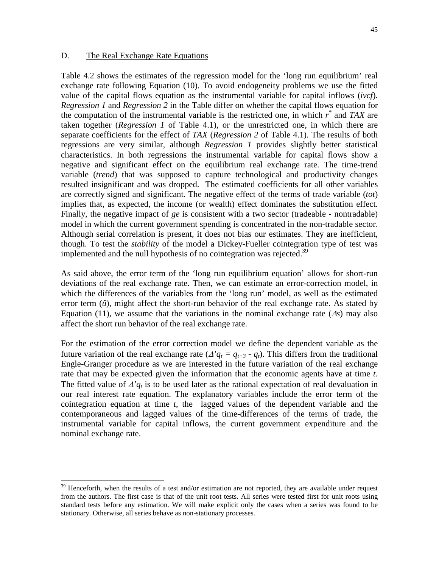#### D. The Real Exchange Rate Equations

l

Table 4.2 shows the estimates of the regression model for the 'long run equilibrium' real exchange rate following Equation (10). To avoid endogeneity problems we use the fitted value of the capital flows equation as the instrumental variable for capital inflows (*ivcf*). *Regression 1* and *Regression 2* in the Table differ on whether the capital flows equation for the computation of the instrumental variable is the restricted one, in which *r \** and *TAX* are taken together (*Regression 1* of Table 4.1), or the unrestricted one, in which there are separate coefficients for the effect of *TAX* (*Regression 2* of Table 4.1). The results of both regressions are very similar, although *Regression 1* provides slightly better statistical characteristics. In both regressions the instrumental variable for capital flows show a negative and significant effect on the equilibrium real exchange rate. The time-trend variable (*trend*) that was supposed to capture technological and productivity changes resulted insignificant and was dropped. The estimated coefficients for all other variables are correctly signed and significant. The negative effect of the terms of trade variable (*tot*) implies that, as expected, the income (or wealth) effect dominates the substitution effect. Finally, the negative impact of *ge* is consistent with a two sector (tradeable - nontradable) model in which the current government spending is concentrated in the non-tradable sector. Although serial correlation is present, it does not bias our estimates. They are inefficient, though. To test the *stability* of the model a Dickey-Fueller cointegration type of test was implemented and the null hypothesis of no cointegration was rejected.<sup>39</sup>

As said above, the error term of the 'long run equilibrium equation' allows for short-run deviations of the real exchange rate. Then, we can estimate an error-correction model, in which the differences of the variables from the 'long run' model, as well as the estimated error term (*û*), might affect the short-run behavior of the real exchange rate. As stated by Equation (11), we assume that the variations in the nominal exchange rate  $(\Delta s)$  may also affect the short run behavior of the real exchange rate.

For the estimation of the error correction model we define the dependent variable as the future variation of the real exchange rate ( $\Delta' q_t = q_{t+3} - q_t$ ). This differs from the traditional Engle-Granger procedure as we are interested in the future variation of the real exchange rate that may be expected given the information that the economic agents have at time *t*. The fitted value of  $\Delta' q_t$  is to be used later as the rational expectation of real devaluation in our real interest rate equation. The explanatory variables include the error term of the cointegration equation at time *t*, the lagged values of the dependent variable and the contemporaneous and lagged values of the time-differences of the terms of trade, the instrumental variable for capital inflows, the current government expenditure and the nominal exchange rate.

 $39$  Henceforth, when the results of a test and/or estimation are not reported, they are available under request from the authors. The first case is that of the unit root tests. All series were tested first for unit roots using standard tests before any estimation. We will make explicit only the cases when a series was found to be stationary. Otherwise, all series behave as non-stationary processes.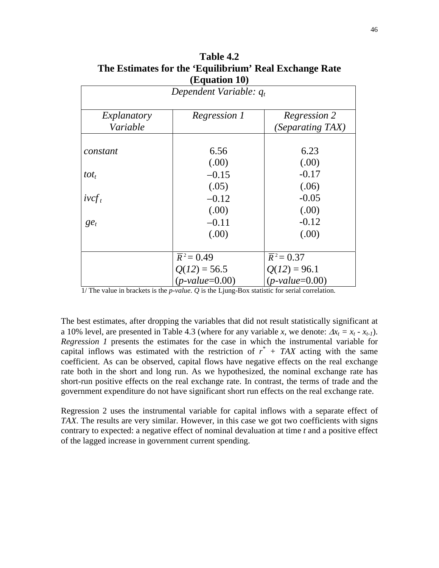| The Estimates for the 'Equilibrium' Real Exchange Rate<br>(Equation 10) |              |              |  |  |  |  |  |
|-------------------------------------------------------------------------|--------------|--------------|--|--|--|--|--|
| Dependent Variable: $q_t$                                               |              |              |  |  |  |  |  |
| Explanatory                                                             | Regression 1 | Regression 2 |  |  |  |  |  |

*constant* 6.56 6.23

*tot<sub>t</sub>*  $-0.15$   $-0.17$ 

*Variable*

**Table 4.2**

|          | $\sqrt{2}$         | 1.VV                    |
|----------|--------------------|-------------------------|
| $ivcf_t$ | $-0.12$            | $-0.05$                 |
|          | (0.00)             | (0.00)                  |
| $ge_t$   | $-0.11$            | $-0.12$                 |
|          | (.00)              | (0.00)                  |
|          |                    |                         |
|          | $\bar{R}^2 = 0.49$ | $\overline{R}^2 = 0.37$ |
|          | $Q(12) = 56.5$     | $Q(12) = 96.1$          |
|          | $(p-value=0.00)$   | $(p-value=0.00)$        |

1/ The value in brackets is the *p*-*value*. *Q* is the Ljung-Box statistic for serial correlation.

The best estimates, after dropping the variables that did not result statistically significant at a 10% level, are presented in Table 4.3 (where for any variable *x*, we denote:  $\Delta x_t = x_t - x_{t-1}$ ). *Regression 1* presents the estimates for the case in which the instrumental variable for capital inflows was estimated with the restriction of  $r^*$  + TAX acting with the same coefficient. As can be observed, capital flows have negative effects on the real exchange rate both in the short and long run. As we hypothesized, the nominal exchange rate has short-run positive effects on the real exchange rate. In contrast, the terms of trade and the government expenditure do not have significant short run effects on the real exchange rate.

Regression 2 uses the instrumental variable for capital inflows with a separate effect of *TAX*. The results are very similar. However, in this case we got two coefficients with signs contrary to expected: a negative effect of nominal devaluation at time *t* and a positive effect of the lagged increase in government current spending.

*(Separating TAX)*

 $(0.00)$  (00)

 $(05)$  (06)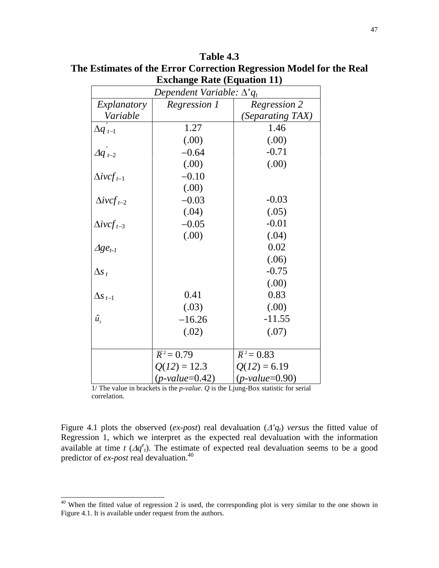| Extrange Rait (Equation 11)       |                         |                         |  |  |  |  |  |
|-----------------------------------|-------------------------|-------------------------|--|--|--|--|--|
| Dependent Variable: $\Delta' q_t$ |                         |                         |  |  |  |  |  |
| Explanatory                       | Regression 1            | Regression 2            |  |  |  |  |  |
| Variable                          |                         | <i>(Separating TAX)</i> |  |  |  |  |  |
| $\Delta q_{t-1}$                  | 1.27                    | 1.46                    |  |  |  |  |  |
|                                   | (.00)                   | (0.00)                  |  |  |  |  |  |
| $\Delta q$ <sub>t-2</sub>         | $-0.64$                 | $-0.71$                 |  |  |  |  |  |
|                                   | (.00)                   | (0.00)                  |  |  |  |  |  |
| $\Delta ivcf_{t-1}$               | $-0.10$                 |                         |  |  |  |  |  |
|                                   | (.00)                   |                         |  |  |  |  |  |
| $\Delta ivcf_{t-2}$               | $-0.03$                 | $-0.03$                 |  |  |  |  |  |
|                                   | (.04)                   | (.05)                   |  |  |  |  |  |
| $\Delta ivcf_{t-3}$               | $-0.05$                 | $-0.01$                 |  |  |  |  |  |
|                                   | (.00)                   | (.04)                   |  |  |  |  |  |
| $\Delta ge_{t-1}$                 |                         | 0.02                    |  |  |  |  |  |
|                                   |                         | (.06)                   |  |  |  |  |  |
| $\Delta s_t$                      |                         | $-0.75$                 |  |  |  |  |  |
|                                   |                         | (.00)                   |  |  |  |  |  |
| $\Delta s_{t-1}$                  | 0.41                    | 0.83                    |  |  |  |  |  |
|                                   | (.03)                   | (.00)                   |  |  |  |  |  |
| $\hat{u}_t$                       | $-16.26$                | $-11.55$                |  |  |  |  |  |
|                                   | (.02)                   | (.07)                   |  |  |  |  |  |
|                                   |                         |                         |  |  |  |  |  |
|                                   | $\overline{R}^2 = 0.79$ | $\overline{R}^2 = 0.83$ |  |  |  |  |  |
|                                   | $Q(12) = 12.3$          | $Q(12) = 6.19$          |  |  |  |  |  |
|                                   | $(p-value=0.42)$        | $(p-value=0.90)$        |  |  |  |  |  |

**Table 4.3 The Estimates of the Error Correction Regression Model for the Real Exchange Rate (Equation 11)**

1/ The value in brackets is the *p*-*value*. *Q* is the Ljung-Box statistic for serial correlation.

l

Figure 4.1 plots the observed (*ex-post*) real devaluation ( $\Delta'q_t$ ) *versus* the fitted value of Regression 1, which we interpret as the expected real devaluation with the information available at time  $t \left( \Delta q^e \right)$ . The estimate of expected real devaluation seems to be a good predictor of *ex-post* real devaluation.40

<sup>&</sup>lt;sup>40</sup> When the fitted value of regression 2 is used, the corresponding plot is very similar to the one shown in Figure 4.1. It is available under request from the authors.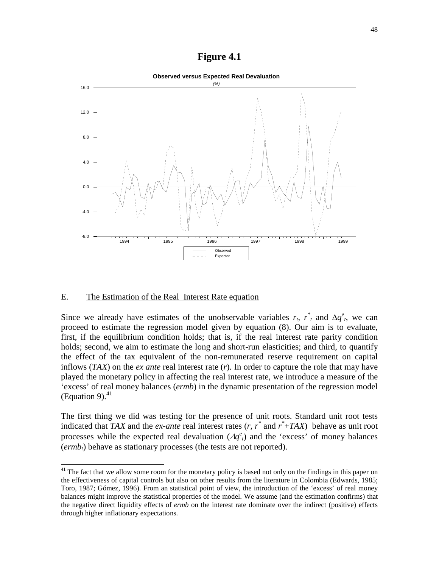#### **Figure 4.1**



#### E. The Estimation of the Real Interest Rate equation

l

Since we already have estimates of the unobservable variables  $r_t$ ,  $r_t$  and  $\Delta q_e^e$ , we can proceed to estimate the regression model given by equation (8). Our aim is to evaluate, first, if the equilibrium condition holds; that is, if the real interest rate parity condition holds; second, we aim to estimate the long and short-run elasticities; and third, to quantify the effect of the tax equivalent of the non-remunerated reserve requirement on capital inflows (*TAX*) on the *ex ante* real interest rate (*r*). In order to capture the role that may have played the monetary policy in affecting the real interest rate, we introduce a measure of the 'excess' of real money balances (*ermb*) in the dynamic presentation of the regression model (Equation 9). $^{41}$ 

The first thing we did was testing for the presence of unit roots. Standard unit root tests indicated that *TAX* and the *ex-ante* real interest rates (*r, r\** and *r \** +*TAX*) behave as unit root processes while the expected real devaluation  $(\Delta q^e_t)$  and the 'excess' of money balances  $(\text{ermb}_t)$  behave as stationary processes (the tests are not reported).

<sup>&</sup>lt;sup>41</sup> The fact that we allow some room for the monetary policy is based not only on the findings in this paper on the effectiveness of capital controls but also on other results from the literature in Colombia (Edwards, 1985; Toro, 1987; Gómez, 1996). From an statistical point of view, the introduction of the 'excess' of real money balances might improve the statistical properties of the model. We assume (and the estimation confirms) that the negative direct liquidity effects of *ermb* on the interest rate dominate over the indirect (positive) effects through higher inflationary expectations.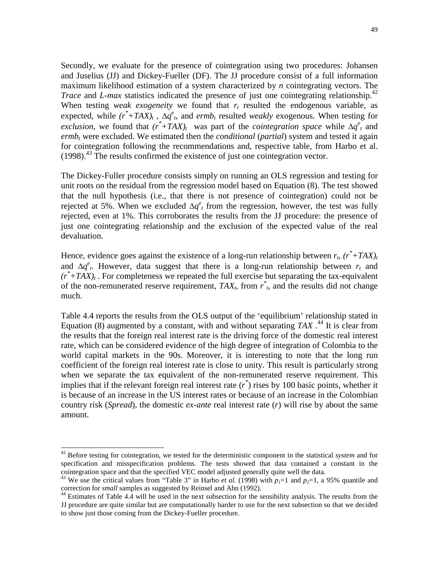Secondly, we evaluate for the presence of cointegration using two procedures: Johansen and Juselius (JJ) and Dickey-Fueller (DF). The JJ procedure consist of a full information maximum likelihood estimation of a system characterized by *n* cointegrating vectors. The *Trace* and *L-max* statistics indicated the presence of just one cointegrating relationship.<sup>42</sup> When testing *weak exogeneity* we found that  $r_t$  resulted the endogenous variable, as expected, while  $(r^* + TAX)_t$ ,  $\Delta q^e$ , and  $ermb_t$  resulted *weakly* exogenous. When testing for *exclusion*, we found that  $(r^*+TAX)_t$  was part of the *cointegration space* while  $\Delta q^e$  and *ermb<sub>t</sub>* were excluded. We estimated then the *conditional* (*partial*) system and tested it again for cointegration following the recommendations and, respective table, from Harbo et al. (1998).43 The results confirmed the existence of just one cointegration vector.

The Dickey-Fuller procedure consists simply on running an OLS regression and testing for unit roots on the residual from the regression model based on Equation (8). The test showed that the null hypothesis (i.e., that there is not presence of cointegration) could not be rejected at 5%. When we excluded  $\Delta q^e$  from the regression, however, the test was fully rejected, even at 1%. This corroborates the results from the JJ procedure: the presence of just one cointegrating relationship and the exclusion of the expected value of the real devaluation.

Hence, evidence goes against the existence of a long-run relationship between  $r_t$ ,  $(r^*+TAX)_t$ and  $\Delta q^e$ <sub>t</sub>. However, data suggest that there is a long-run relationship between  $r_t$  and  $(r^* + TAX)_t$ . For completeness we repeated the full exercise but separating the tax-equivalent of the non-remunerated reserve requirement,  $TAX_t$ , from  $r^*$ , and the results did not change much.

Table 4.4 reports the results from the OLS output of the 'equilibrium' relationship stated in Equation  $(8)$  augmented by a constant, with and without separating *TAX*.<sup>44</sup> It is clear from the results that the foreign real interest rate is the driving force of the domestic real interest rate, which can be considered evidence of the high degree of integration of Colombia to the world capital markets in the 90s. Moreover, it is interesting to note that the long run coefficient of the foreign real interest rate is close to unity. This result is particularly strong when we separate the tax equivalent of the non-remunerated reserve requirement. This implies that if the relevant foreign real interest rate  $(r^*)$  rises by 100 basic points, whether it is because of an increase in the US interest rates or because of an increase in the Colombian country risk (*Spread*), the domestic *ex-ante* real interest rate (*r*) will rise by about the same amount.

<sup>42</sup> Before testing for cointegration, we tested for the deterministic component in the statistical *system* and for specification and misspecification problems. The tests showed that data contained a constant in the cointegration space and that the specified VEC model adjusted generally quite well the data.

<sup>&</sup>lt;sup>43</sup> We use the critical values from "Table 3" in Harbo *et al.* (1998) with  $p_1=1$  and  $p_2=1$ , a 95% quantile and correction for *small* samples as suggested by Reinsel and Ahn (1992).<br><sup>44</sup> Estimates of Table 4.4 will be used in the next subsection for the sensibility analysis. The results from the

JJ procedure are quite similar but are computationally harder to use for the next subsection so that we decided to show just those coming from the Dickey-Fueller procedure.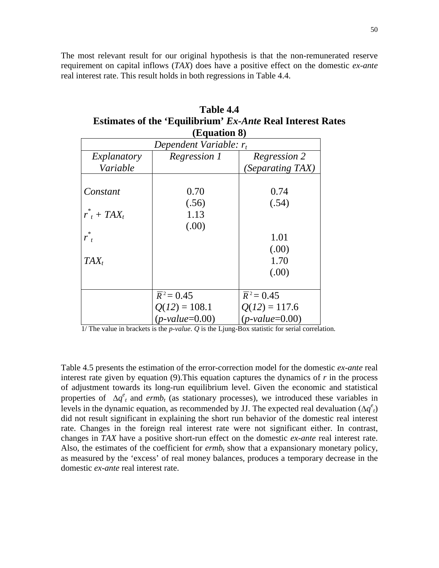The most relevant result for our original hypothesis is that the non-remunerated reserve requirement on capital inflows (*TAX*) does have a positive effect on the domestic *ex-ante* real interest rate. This result holds in both regressions in Table 4.4.

| Table 4.4                                                         |  |  |  |  |  |  |  |
|-------------------------------------------------------------------|--|--|--|--|--|--|--|
| <b>Estimates of the 'Equilibrium' Ex-Ante Real Interest Rates</b> |  |  |  |  |  |  |  |
| (Equation 8)                                                      |  |  |  |  |  |  |  |

|                           | (L'yuativii 0)          |                         |  |  |  |  |  |  |
|---------------------------|-------------------------|-------------------------|--|--|--|--|--|--|
| Dependent Variable: $r_t$ |                         |                         |  |  |  |  |  |  |
| Explanatory               | Regression 1            | Regression 2            |  |  |  |  |  |  |
| Variable                  |                         | <i>(Separating TAX)</i> |  |  |  |  |  |  |
|                           |                         |                         |  |  |  |  |  |  |
| Constant                  | 0.70                    | 0.74                    |  |  |  |  |  |  |
|                           | (.56)                   | (.54)                   |  |  |  |  |  |  |
| $r^*$ + TAX <sub>t</sub>  | 1.13                    |                         |  |  |  |  |  |  |
|                           | (.00)                   |                         |  |  |  |  |  |  |
| $r_t^*$                   |                         | 1.01                    |  |  |  |  |  |  |
|                           |                         | (.00)                   |  |  |  |  |  |  |
| $TAX_t$                   |                         | 1.70                    |  |  |  |  |  |  |
|                           |                         | (.00)                   |  |  |  |  |  |  |
|                           |                         |                         |  |  |  |  |  |  |
|                           | $\overline{R}^2 = 0.45$ | $\bar{R}^2 = 0.45$      |  |  |  |  |  |  |
|                           | $Q(12) = 108.1$         | $Q(12) = 117.6$         |  |  |  |  |  |  |
|                           | $(p-value=0.00)$        | $(p-value=0.00)$        |  |  |  |  |  |  |

<sup>1/</sup> The value in brackets is the *p*-*value*. *Q* is the Ljung-Box statistic for serial correlation.

Table 4.5 presents the estimation of the error-correction model for the domestic *ex-ante* real interest rate given by equation (9).This equation captures the dynamics of *r* in the process of adjustment towards its long-run equilibrium level. Given the economic and statistical properties of  $\Delta q^e$ <sub>t</sub> and *ermb<sub>t</sub>* (as stationary processes), we introduced these variables in levels in the dynamic equation, as recommended by JJ. The expected real devaluation  $(\Delta q^e_t)$ did not result significant in explaining the short run behavior of the domestic real interest rate. Changes in the foreign real interest rate were not significant either. In contrast, changes in *TAX* have a positive short-run effect on the domestic *ex-ante* real interest rate. Also, the estimates of the coefficient for  $ermb<sub>t</sub>$  show that a expansionary monetary policy, as measured by the 'excess' of real money balances, produces a temporary decrease in the domestic *ex-ante* real interest rate.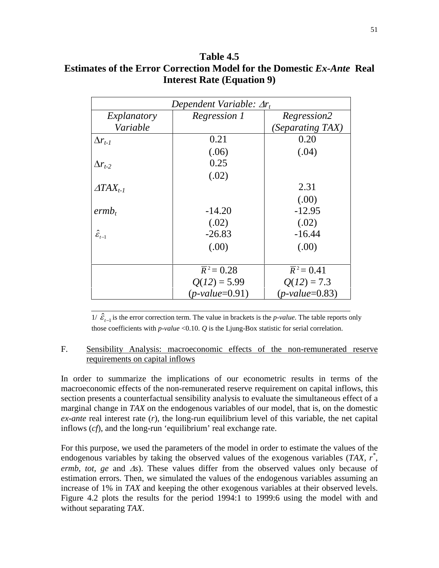## **Table 4.5 Estimates of the Error Correction Model for the Domestic** *Ex-Ante* **Real Interest Rate (Equation 9)**

| Dependent Variable: $\Delta r_t$ |                         |                         |  |  |  |
|----------------------------------|-------------------------|-------------------------|--|--|--|
| Explanatory                      | Regression 1            | Regression2             |  |  |  |
| Variable                         |                         | (Separating TAX)        |  |  |  |
| $\Delta r_{t-1}$                 | 0.21                    | 0.20                    |  |  |  |
|                                  | (.06)                   | (.04)                   |  |  |  |
| $\Delta r_{t-2}$                 | 0.25                    |                         |  |  |  |
|                                  | (.02)                   |                         |  |  |  |
| $ATAX_{t-1}$                     |                         | 2.31                    |  |  |  |
|                                  |                         | (.00)                   |  |  |  |
| ermb <sub>t</sub>                | $-14.20$                | $-12.95$                |  |  |  |
|                                  | (.02)                   | (.02)                   |  |  |  |
| $\hat{\mathcal{E}}_{t-1}$        | $-26.83$                | $-16.44$                |  |  |  |
|                                  | (.00)                   | (.00)                   |  |  |  |
|                                  |                         |                         |  |  |  |
|                                  | $\overline{R}^2 = 0.28$ | $\overline{R}^2 = 0.41$ |  |  |  |
|                                  | $Q(12) = 5.99$          | $Q(12) = 7.3$           |  |  |  |
|                                  | $(p-value=0.91)$        | $(p-value=0.83)$        |  |  |  |

 $1/\hat{\mathcal{E}}_{t-1}$  is the error correction term. The value in brackets is the *p*-*value*. The table reports only those coefficients with *p*-*value* <0.10. *Q* is the Ljung-Box statistic for serial correlation.

#### F. Sensibility Analysis: macroeconomic effects of the non-remunerated reserve requirements on capital inflows

In order to summarize the implications of our econometric results in terms of the macroeconomic effects of the non-remunerated reserve requirement on capital inflows, this section presents a counterfactual sensibility analysis to evaluate the simultaneous effect of a marginal change in *TAX* on the endogenous variables of our model, that is, on the domestic *ex-ante* real interest rate (*r*), the long-run equilibrium level of this variable, the net capital inflows (*cf*), and the long-run 'equilibrium' real exchange rate.

For this purpose, we used the parameters of the model in order to estimate the values of the endogenous variables by taking the observed values of the exogenous variables (*TAX, r<sup>\*</sup>*, *ermb, tot, ge and*  $\Delta s$ *).* These values differ from the observed values only because of estimation errors. Then, we simulated the values of the endogenous variables assuming an increase of 1% in *TAX* and keeping the other exogenous variables at their observed levels. Figure 4.2 plots the results for the period 1994:1 to 1999:6 using the model with and without separating *TAX*.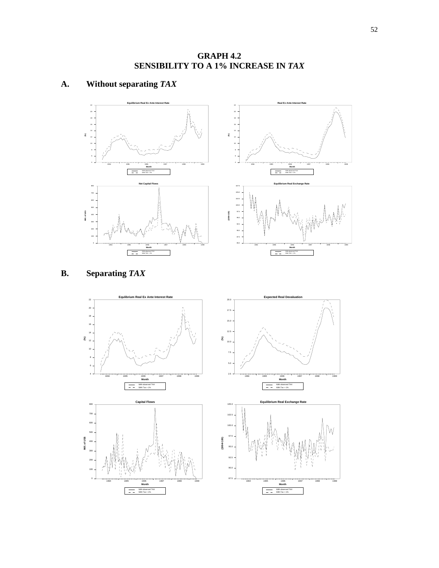**GRAPH 4.2 SENSIBILITY TO A 1% INCREASE IN** *TAX*

## **A. Without separating** *TAX*





# **B. Separating** *TAX*

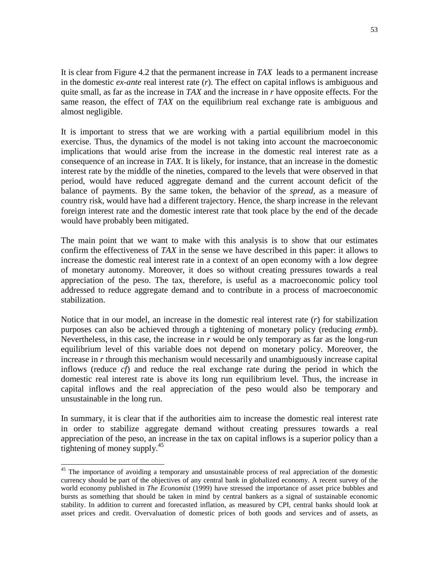It is clear from Figure 4.2 that the permanent increase in *TAX* leads to a permanent increase in the domestic *ex-ante* real interest rate (*r*). The effect on capital inflows is ambiguous and quite small, as far as the increase in *TAX* and the increase in *r* have opposite effects. For the same reason, the effect of *TAX* on the equilibrium real exchange rate is ambiguous and almost negligible.

It is important to stress that we are working with a partial equilibrium model in this exercise. Thus, the dynamics of the model is not taking into account the macroeconomic implications that would arise from the increase in the domestic real interest rate as a consequence of an increase in *TAX*. It is likely, for instance, that an increase in the domestic interest rate by the middle of the nineties, compared to the levels that were observed in that period, would have reduced aggregate demand and the current account deficit of the balance of payments. By the same token, the behavior of the *spread*, as a measure of country risk, would have had a different trajectory. Hence, the sharp increase in the relevant foreign interest rate and the domestic interest rate that took place by the end of the decade would have probably been mitigated.

The main point that we want to make with this analysis is to show that our estimates confirm the effectiveness of *TAX* in the sense we have described in this paper: it allows to increase the domestic real interest rate in a context of an open economy with a low degree of monetary autonomy. Moreover, it does so without creating pressures towards a real appreciation of the peso. The tax, therefore, is useful as a macroeconomic policy tool addressed to reduce aggregate demand and to contribute in a process of macroeconomic stabilization.

Notice that in our model, an increase in the domestic real interest rate (*r*) for stabilization purposes can also be achieved through a tightening of monetary policy (reducing *ermb*). Nevertheless, in this case, the increase in *r* would be only temporary as far as the long-run equilibrium level of this variable does not depend on monetary policy. Moreover, the increase in *r* through this mechanism would necessarily and unambiguously increase capital inflows (reduce *cf*) and reduce the real exchange rate during the period in which the domestic real interest rate is above its long run equilibrium level. Thus, the increase in capital inflows and the real appreciation of the peso would also be temporary and unsustainable in the long run.

In summary, it is clear that if the authorities aim to increase the domestic real interest rate in order to stabilize aggregate demand without creating pressures towards a real appreciation of the peso, an increase in the tax on capital inflows is a superior policy than a tightening of money supply.<sup>45</sup>

<sup>&</sup>lt;sup>45</sup> The importance of avoiding a temporary and unsustainable process of real appreciation of the domestic currency should be part of the objectives of any central bank in globalized economy. A recent survey of the world economy published in *The Economist* (1999) have stressed the importance of asset price bubbles and bursts as something that should be taken in mind by central bankers as a signal of sustainable economic stability. In addition to current and forecasted inflation, as measured by CPI, central banks should look at asset prices and credit. Overvaluation of domestic prices of both goods and services and of assets, as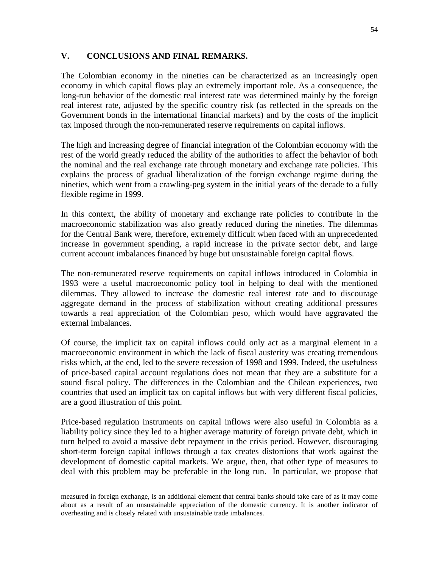## **V. CONCLUSIONS AND FINAL REMARKS.**

The Colombian economy in the nineties can be characterized as an increasingly open economy in which capital flows play an extremely important role. As a consequence, the long-run behavior of the domestic real interest rate was determined mainly by the foreign real interest rate, adjusted by the specific country risk (as reflected in the spreads on the Government bonds in the international financial markets) and by the costs of the implicit tax imposed through the non-remunerated reserve requirements on capital inflows.

The high and increasing degree of financial integration of the Colombian economy with the rest of the world greatly reduced the ability of the authorities to affect the behavior of both the nominal and the real exchange rate through monetary and exchange rate policies. This explains the process of gradual liberalization of the foreign exchange regime during the nineties, which went from a crawling-peg system in the initial years of the decade to a fully flexible regime in 1999.

In this context, the ability of monetary and exchange rate policies to contribute in the macroeconomic stabilization was also greatly reduced during the nineties. The dilemmas for the Central Bank were, therefore, extremely difficult when faced with an unprecedented increase in government spending, a rapid increase in the private sector debt, and large current account imbalances financed by huge but unsustainable foreign capital flows.

The non-remunerated reserve requirements on capital inflows introduced in Colombia in 1993 were a useful macroeconomic policy tool in helping to deal with the mentioned dilemmas. They allowed to increase the domestic real interest rate and to discourage aggregate demand in the process of stabilization without creating additional pressures towards a real appreciation of the Colombian peso, which would have aggravated the external imbalances.

Of course, the implicit tax on capital inflows could only act as a marginal element in a macroeconomic environment in which the lack of fiscal austerity was creating tremendous risks which, at the end, led to the severe recession of 1998 and 1999. Indeed, the usefulness of price-based capital account regulations does not mean that they are a substitute for a sound fiscal policy. The differences in the Colombian and the Chilean experiences, two countries that used an implicit tax on capital inflows but with very different fiscal policies, are a good illustration of this point.

Price-based regulation instruments on capital inflows were also useful in Colombia as a liability policy since they led to a higher average maturity of foreign private debt, which in turn helped to avoid a massive debt repayment in the crisis period. However, discouraging short-term foreign capital inflows through a tax creates distortions that work against the development of domestic capital markets. We argue, then, that other type of measures to deal with this problem may be preferable in the long run. In particular, we propose that

 $\overline{a}$ 

measured in foreign exchange, is an additional element that central banks should take care of as it may come about as a result of an unsustainable appreciation of the domestic currency. It is another indicator of overheating and is closely related with unsustainable trade imbalances.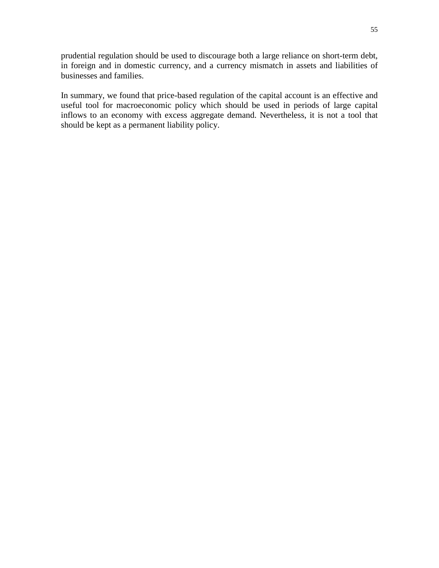prudential regulation should be used to discourage both a large reliance on short-term debt, in foreign and in domestic currency, and a currency mismatch in assets and liabilities of businesses and families.

In summary, we found that price-based regulation of the capital account is an effective and useful tool for macroeconomic policy which should be used in periods of large capital inflows to an economy with excess aggregate demand. Nevertheless, it is not a tool that should be kept as a permanent liability policy.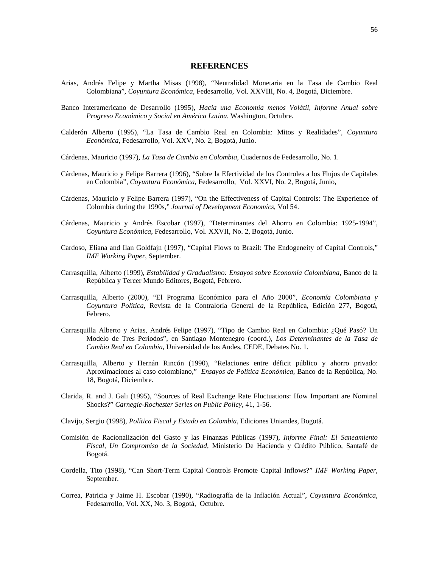#### **REFERENCES**

- Arias, Andrés Felipe y Martha Misas (1998), "Neutralidad Monetaria en la Tasa de Cambio Real Colombiana", *Coyuntura Económica*, Fedesarrollo, Vol. XXVIII, No. 4, Bogotá, Diciembre.
- Banco Interamericano de Desarrollo (1995), *Hacia una Economía menos Volátil, Informe Anual sobre Progreso Económico y Social en América Latina*, Washington, Octubre.
- Calderón Alberto (1995), "La Tasa de Cambio Real en Colombia: Mitos y Realidades", *Coyuntura Económica*, Fedesarrollo, Vol. XXV, No. 2, Bogotá, Junio.
- Cárdenas, Mauricio (1997), *La Tasa de Cambio en Colombia*, Cuadernos de Fedesarrollo, No. 1.
- Cárdenas, Mauricio y Felipe Barrera (1996), "Sobre la Efectividad de los Controles a los Flujos de Capitales en Colombia", *Coyuntura Económica*, Fedesarrollo, Vol. XXVI, No. 2, Bogotá, Junio,
- Cárdenas, Mauricio y Felipe Barrera (1997), "On the Effectiveness of Capital Controls: The Experience of Colombia during the 1990s," *Journal of Development Economics*, Vol 54.
- Cárdenas, Mauricio y Andrés Escobar (1997), "Determinantes del Ahorro en Colombia: 1925-1994", *Coyuntura Económica*, Fedesarrollo, Vol. XXVII, No. 2, Bogotá, Junio.
- Cardoso, Eliana and Ilan Goldfajn (1997), "Capital Flows to Brazil: The Endogeneity of Capital Controls," *IMF Working Paper*, September.
- Carrasquilla, Alberto (1999), *Estabilidad y Gradualismo: Ensayos sobre Economía Colombiana*, Banco de la República y Tercer Mundo Editores, Bogotá, Febrero.
- Carrasquilla, Alberto (2000), "El Programa Económico para el Año 2000", *Economía Colombiana y Coyuntura Política*, Revista de la Contraloría General de la República, Edición 277, Bogotá, Febrero.
- Carrasquilla Alberto y Arias, Andrés Felipe (1997), "Tipo de Cambio Real en Colombia: ¿Qué Pasó? Un Modelo de Tres Períodos", en Santiago Montenegro (coord.), *Los Determinantes de la Tasa de Cambio Real en Colombia*, Universidad de los Andes, CEDE, Debates No. 1.
- Carrasquilla, Alberto y Hernán Rincón (1990), "Relaciones entre déficit público y ahorro privado: Aproximaciones al caso colombiano," *Ensayos de Política Económica*, Banco de la República, No. 18, Bogotá, Diciembre.
- Clarida, R. and J. Gali (1995), "Sources of Real Exchange Rate Fluctuations: How Important are Nominal Shocks?" *Carnegie-Rochester Series on Public Policy*, 41, 1-56.
- Clavijo, Sergio (1998), *Política Fiscal y Estado en Colombia*, Ediciones Uniandes, Bogotá.
- Comisión de Racionalización del Gasto y las Finanzas Públicas (1997), *Informe Final: El Saneamiento Fiscal, Un Compromiso de la Sociedad*, Ministerio De Hacienda y Crédito Público, Santafé de Bogotá.
- Cordella, Tito (1998), "Can Short-Term Capital Controls Promote Capital Inflows?" *IMF Working Paper*, September.
- Correa, Patricia y Jaime H. Escobar (1990), "Radiografía de la Inflación Actual", *Coyuntura Económica*, Fedesarrollo, Vol. XX, No. 3, Bogotá, Octubre.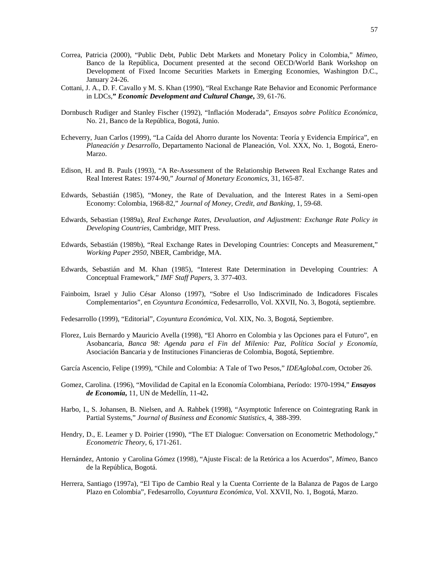- Correa, Patricia (2000), "Public Debt, Public Debt Markets and Monetary Policy in Colombia," *Mimeo*, Banco de la República, Document presented at the second OECD/World Bank Workshop on Development of Fixed Income Securities Markets in Emerging Economies, Washington D.C., January 24-26.
- Cottani, J. A., D. F. Cavallo y M. S. Khan (1990), "Real Exchange Rate Behavior and Economic Performance in LDCs,**"** *Economic Development and Cultural Change***,** 39, 61-76.
- Dornbusch Rudiger and Stanley Fischer (1992), "Inflación Moderada", *Ensayos sobre Política Económica*, No. 21, Banco de la República, Bogotá, Junio.
- Echeverry, Juan Carlos (1999), "La Caída del Ahorro durante los Noventa: Teoría y Evidencia Empírica", en *Planeación y Desarrollo*, Departamento Nacional de Planeación, Vol. XXX, No. 1, Bogotá, Enero-Marzo.
- Edison, H. and B. Pauls (1993), "A Re-Assessment of the Relationship Between Real Exchange Rates and Real Interest Rates: 1974-90," *Journal of Monetary Economics*, 31, 165-87.
- Edwards, Sebastián (1985), "Money, the Rate of Devaluation, and the Interest Rates in a Semi-open Economy: Colombia, 1968-82," *Journal of Money, Credit, and Banking*, 1, 59-68.
- Edwards, Sebastian (1989a), *Real Exchange Rates, Devaluation, and Adjustment: Exchange Rate Policy in Developing Countries*, Cambridge, MIT Press.
- Edwards, Sebastián (1989b), "Real Exchange Rates in Developing Countries: Concepts and Measurement," *Working Paper 2950*, NBER, Cambridge, MA.
- Edwards, Sebastián and M. Khan (1985), "Interest Rate Determination in Developing Countries: A Conceptual Framework," *IMF Staff Papers*, 3. 377-403.
- Fainboim, Israel y Julio César Alonso (1997), "Sobre el Uso Indiscriminado de Indicadores Fiscales Complementarios", en *Coyuntura Económica*, Fedesarrollo, Vol. XXVII, No. 3, Bogotá, septiembre.
- Fedesarrollo (1999), "Editorial", *Coyuntura Económica*, Vol. XIX, No. 3, Bogotá, Septiembre.
- Florez, Luis Bernardo y Mauricio Avella (1998), "El Ahorro en Colombia y las Opciones para el Futuro", en Asobancaria, *Banca 98: Agenda para el Fin del Milenio: Paz, Política Social y Economía*, Asociación Bancaria y de Instituciones Financieras de Colombia, Bogotá, Septiembre.
- García Ascencio, Felipe (1999), "Chile and Colombia: A Tale of Two Pesos," *IDEAglobal.com*, October 26.
- Gomez, Carolina. (1996), "Movilidad de Capital en la Economía Colombiana, Período: 1970-1994," *Ensayos de Economía***,** 11, UN de Medellín, 11-42**.**
- Harbo, I., S. Johansen, B. Nielsen, and A. Rahbek (1998), "Asymptotic Inference on Cointegrating Rank in Partial Systems," *Journal of Business and Economic Statistics*, 4, 388-399.
- Hendry, D., E. Leamer y D. Poirier (1990), "The ET Dialogue: Conversation on Econometric Methodology," *Econometric Theory*, 6, 171-261.
- Hernández, Antonio y Carolina Gómez (1998), "Ajuste Fiscal: de la Retórica a los Acuerdos", *Mimeo*, Banco de la República, Bogotá.
- Herrera, Santiago (1997a), "El Tipo de Cambio Real y la Cuenta Corriente de la Balanza de Pagos de Largo Plazo en Colombia", Fedesarrollo, *Coyuntura Económica*, Vol. XXVII, No. 1, Bogotá, Marzo.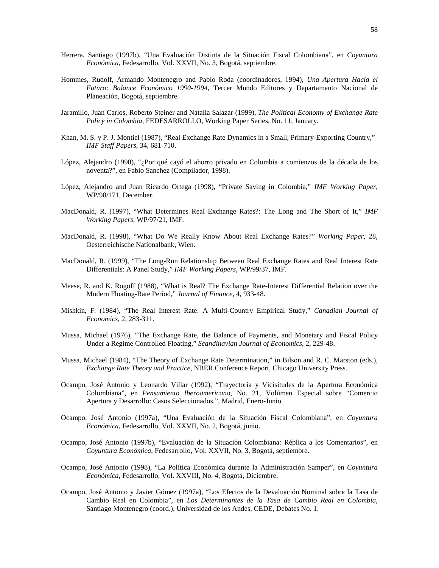- Herrera, Santiago (1997b), "Una Evaluación Distinta de la Situación Fiscal Colombiana", en *Coyuntura Económica*, Fedesarrollo, Vol. XXVII, No. 3, Bogotá, septiembre.
- Hommes, Rudolf, Armando Montenegro and Pablo Roda (coordinadores, 1994), *Una Apertura Hacia el Futuro: Balance Económico 1990-1994*, Tercer Mundo Editores y Departamento Nacional de Planeación, Bogotá, septiembre.
- Jaramillo, Juan Carlos, Roberto Steiner and Natalia Salazar (1999), *The Political Economy of Exchange Rate Policy in Colombia*, FEDESARROLLO, Working Paper Series, No. 11, January.
- Khan, M. S. y P. J. Montiel (1987), "Real Exchange Rate Dynamics in a Small, Primary-Exporting Country," *IMF Staff Papers*, 34, 681-710.
- López, Alejandro (1998), "¿Por qué cayó el ahorro privado en Colombia a comienzos de la década de los noventa?", en Fabio Sanchez (Compilador, 1998).
- López, Alejandro and Juan Ricardo Ortega (1998), "Private Saving in Colombia," *IMF Working Paper*, WP/98/171, December.
- MacDonald, R. (1997), "What Determines Real Exchange Rates?: The Long and The Short of It," *IMF Working Papers*, WP/97/21, IMF.
- MacDonald, R. (1998), "What Do We Really Know About Real Exchange Rates?" *Working Paper*, 28, Oesterreichische Nationalbank, Wien.
- MacDonald, R. (1999), "The Long-Run Relationship Between Real Exchange Rates and Real Interest Rate Differentials: A Panel Study," *IMF Working Papers*, WP/99/37, IMF.
- Meese, R. and K. Rogoff (1988), "What is Real? The Exchange Rate-Interest Differential Relation over the Modern Floating-Rate Period," *Journal of Finance*, 4, 933-48.
- Mishkin, F. (1984), "The Real Interest Rate: A Multi-Country Empirical Study," *Canadian Journal of Economics*, 2, 283-311.
- Mussa, Michael (1976), "The Exchange Rate, the Balance of Payments, and Monetary and Fiscal Policy Under a Regime Controlled Floating," *Scandinavian Journal of Economics*, 2, 229-48.
- Mussa, Michael (1984), "The Theory of Exchange Rate Determination," in Bilson and R. C. Marston (eds.), *Exchange Rate Theory and Practice*, NBER Conference Report, Chicago University Press.
- Ocampo, José Antonio y Leonardo Villar (1992), "Trayectoria y Vicisitudes de la Apertura Económica Colombiana", en *Pensamiento Iberoamericano*, No. 21, Volúmen Especial sobre "Comercio Apertura y Desarrollo: Casos Seleccionados,", Madrid, Enero-Junio.
- Ocampo, José Antonio (1997a), "Una Evaluación de la Situación Fiscal Colombiana", en *Coyuntura Económica*, Fedesarrollo, Vol. XXVII, No. 2, Bogotá, junio.
- Ocampo, José Antonio (1997b), "Evaluación de la Situación Colombiana: Réplica a los Comentarios", en *Coyuntura Económica*, Fedesarrollo, Vol. XXVII, No. 3, Bogotá, septiembre.
- Ocampo, José Antonio (1998), "La Política Económica durante la Administración Samper", en *Coyuntura Económica*, Fedesarrollo, Vol. XXVIII, No. 4, Bogotá, Diciembre.
- Ocampo, José Antonio y Javier Gómez (1997a), "Los Efectos de la Devaluación Nominal sobre la Tasa de Cambio Real en Colombia", en *Los Determinantes de la Tasa de Cambio Real en Colombia*, Santiago Montenegro (coord.), Universidad de los Andes, CEDE, Debates No. 1.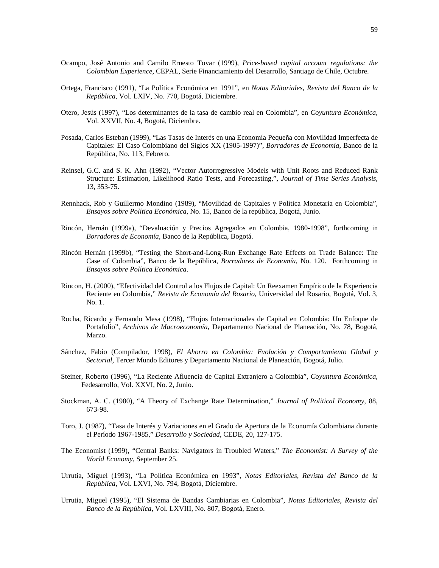- Ocampo, José Antonio and Camilo Ernesto Tovar (1999), *Price-based capital account regulations: the Colombian Experience*, CEPAL, Serie Financiamiento del Desarrollo, Santiago de Chile, Octubre.
- Ortega, Francisco (1991), "La Política Económica en 1991", en *Notas Editoriales, Revista del Banco de la República*, Vol. LXIV, No. 770, Bogotá, Diciembre.
- Otero, Jesús (1997), "Los determinantes de la tasa de cambio real en Colombia", en *Coyuntura Económica*, Vol. XXVII, No. 4, Bogotá, Diciembre.
- Posada, Carlos Esteban (1999), "Las Tasas de Interés en una Economía Pequeña con Movilidad Imperfecta de Capitales: El Caso Colombiano del Siglos XX (1905-1997)", *Borradores de Economía*, Banco de la República, No. 113, Febrero.
- Reinsel, G.C. and S. K. Ahn (1992), "Vector Autorregressive Models with Unit Roots and Reduced Rank Structure: Estimation, Likelihood Ratio Tests, and Forecasting,", *Journal of Time Series Analysis*, 13, 353-75.
- Rennhack, Rob y Guillermo Mondino (1989), "Movilidad de Capitales y Política Monetaria en Colombia", *Ensayos sobre Política Económica*, No. 15, Banco de la república, Bogotá, Junio.
- Rincón, Hernán (1999a), "Devaluación y Precios Agregados en Colombia, 1980-1998", forthcoming in *Borradores de Economía*, Banco de la República, Bogotá.
- Rincón Hernán (1999b), "Testing the Short-and-Long-Run Exchange Rate Effects on Trade Balance: The Case of Colombia", Banco de la República, *Borradores de Economía*, No. 120. Forthcoming in *Ensayos sobre Política Económica*.
- Rincon, H. (2000), "Efectividad del Control a los Flujos de Capital: Un Reexamen Empírico de la Experiencia Reciente en Colombia," *Revista de Economía del Rosario*, Universidad del Rosario, Bogotá, Vol. 3, No. 1.
- Rocha, Ricardo y Fernando Mesa (1998), "Flujos Internacionales de Capital en Colombia: Un Enfoque de Portafolio", *Archivos de Macroeconomía*, Departamento Nacional de Planeación, No. 78, Bogotá, Marzo.
- Sánchez, Fabio (Compilador, 1998), *El Ahorro en Colombia: Evolución y Comportamiento Global y Sectorial*, Tercer Mundo Editores y Departamento Nacional de Planeación, Bogotá, Julio.
- Steiner, Roberto (1996), "La Reciente Afluencia de Capital Extranjero a Colombia", *Coyuntura Económica*, Fedesarrollo, Vol. XXVI, No. 2, Junio.
- Stockman, A. C. (1980), "A Theory of Exchange Rate Determination," *Journal of Political Economy*, 88, 673-98.
- Toro, J. (1987), "Tasa de Interés y Variaciones en el Grado de Apertura de la Economía Colombiana durante el Período 1967-1985," *Desarrollo y Sociedad*, CEDE, 20, 127-175.
- The Economist (1999), "Central Banks: Navigators in Troubled Waters," *The Economist: A Survey of the World Economy*, September 25.
- Urrutia, Miguel (1993), "La Política Económica en 1993", *Notas Editoriales, Revista del Banco de la República*, Vol. LXVI, No. 794, Bogotá, Diciembre.
- Urrutia, Miguel (1995), "El Sistema de Bandas Cambiarias en Colombia", *Notas Editoriales, Revista del Banco de la República*, Vol. LXVIII, No. 807, Bogotá, Enero.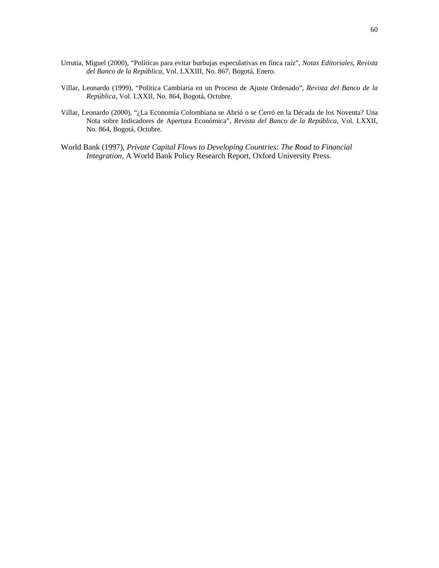- Urrutia, Miguel (2000), "Políticas para evitar burbujas especulativas en finca raíz", *Notas Editoriales, Revista del Banco de la República*, Vol. LXXIII, No. 867, Bogotá, Enero.
- Villar, Leonardo (1999), "Política Cambiaria en un Proceso de Ajuste Ordenado", *Revista del Banco de la República*, Vol. LXXII, No. 864, Bogotá, Octubre.
- Villar, Leonardo (2000), "¿La Economía Colombiana se Abrió o se Cerró en la Década de los Noventa? Una Nota sobre Indicadores de Apertura Económica", *Revista del Banco de la República*, Vol. LXXII, No. 864, Bogotá, Octubre.
- World Bank (1997), *Private Capital Flows to Developing Countries: The Road to Financial Integration*, A World Bank Policy Research Report, Oxford University Press.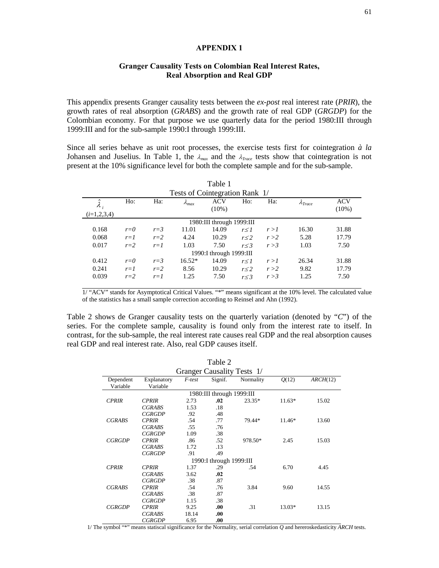#### **APPENDIX 1**

#### **Granger Causality Tests on Colombian Real Interest Rates, Real Absorption and Real GDP**

This appendix presents Granger causality tests between the *ex-post* real interest rate (*PRIR*), the growth rates of real absorption (*GRABS*) and the growth rate of real GDP (*GRGDP*) for the Colombian economy. For that purpose we use quarterly data for the period 1980:III through 1999:III and for the sub-sample 1990:I through 1999:III.

Since all series behave as unit root processes, the exercise tests first for cointegration *à la* Johansen and Juselius. In Table 1, the  $\lambda_{max}$  and the  $\lambda_{Trace}$  tests show that cointegration is not present at the 10% significance level for both the complete sample and for the sub-sample.

| Table 1                        |         |         |                 |                           |            |       |                   |            |
|--------------------------------|---------|---------|-----------------|---------------------------|------------|-------|-------------------|------------|
| Tests of Cointegration Rank 1/ |         |         |                 |                           |            |       |                   |            |
| $\tilde{\lambda}$ ,            | $H_0$ : | Ha:     | $\lambda_{max}$ | ACV                       | Ho:        | Ha:   | $\Lambda_{Trace}$ | <b>ACV</b> |
|                                |         |         |                 | $(10\%)$                  |            |       |                   | $(10\%)$   |
| $(i=1,2,3,4)$                  |         |         |                 |                           |            |       |                   |            |
|                                |         |         |                 | 1980:III through 1999:III |            |       |                   |            |
| 0.168                          | $r=0$   | $r = 3$ | 11.01           | 14.09                     | r < 1      | r > l | 16.30             | 31.88      |
| 0.068                          | $r=1$   | $r=2$   | 4.24            | 10.29                     | r < 2      | r > 2 | 5.28              | 17.79      |
| 0.017                          | $r=2$   | $r=1$   | 1.03            | 7.50                      | r < 3      | r > 3 | 1.03              | 7.50       |
| 1990: I through $1999$ : III   |         |         |                 |                           |            |       |                   |            |
| 0.412                          | $r=0$   | $r = 3$ | $16.52*$        | 14.09                     | $r \leq l$ | r > l | 26.34             | 31.88      |
| 0.241                          | $r=1$   | $r=2$   | 8.56            | 10.29                     | r < 2      | r > 2 | 9.82              | 17.79      |
| 0.039                          | $r=2$   | $r=1$   | 1.25            | 7.50                      | r < 3      | r > 3 | 1.25              | 7.50       |

1/ "ACV" stands for Asymptotical Critical Values. "\*" means significant at the 10% level. The calculated value of the statistics has a small sample correction according to Reinsel and Ahn (1992).

Table 2 shows de Granger causality tests on the quarterly variation (denoted by "*C*") of the series. For the complete sample, causality is found only from the interest rate to itself. In contrast, for the sub-sample, the real interest rate causes real GDP and the real absorption causes real GDP and real interest rate. Also, real GDP causes itself.

| Table 2                    |               |        |                              |           |          |          |
|----------------------------|---------------|--------|------------------------------|-----------|----------|----------|
| Granger Causality Tests 1/ |               |        |                              |           |          |          |
| Dependent                  | Explanatory   | F-test | Signif.                      | Normality | Q(12)    | ARCH(12) |
| Variable                   | Variable      |        |                              |           |          |          |
| 1980:III through 1999:III  |               |        |                              |           |          |          |
| <b>CPRIR</b>               | <b>CPRIR</b>  | 2.73   | .02                          | $23.35*$  | $11.63*$ | 15.02    |
|                            | CGRABS        | 1.53   | .18                          |           |          |          |
|                            | <b>CGRGDP</b> | .92    | .48                          |           |          |          |
| <b>CGRABS</b>              | <b>CPRIR</b>  | .54    | .77                          | 79.44*    | 11.46*   | 13.60    |
|                            | <b>CGRABS</b> | .55    | .76                          |           |          |          |
|                            | <b>CGRGDP</b> | 1.09   | .38                          |           |          |          |
| <b>CGRGDP</b>              | <b>CPRIR</b>  | .86    | .52                          | 978.50*   | 2.45     | 15.03    |
|                            | <b>CGRABS</b> | 1.72   | .13                          |           |          |          |
|                            | <b>CGRGDP</b> | .91    | .49                          |           |          |          |
|                            |               |        | 1990: I through $1999$ : III |           |          |          |
| <b>CPRIR</b>               | <b>CPRIR</b>  | 1.37   | .29                          | .54       | 6.70     | 4.45     |
|                            | <b>CGRABS</b> | 3.62   | .02                          |           |          |          |
|                            | <b>CGRGDP</b> | .38    | .87                          |           |          |          |
| <b>CGRABS</b>              | <b>CPRIR</b>  | .54    | .76                          | 3.84      | 9.60     | 14.55    |
|                            | <b>CGRABS</b> | .38    | .87                          |           |          |          |
|                            | <b>CGRGDP</b> | 1.15   | .38                          |           |          |          |
| <b>CGRGDP</b>              | <b>CPRIR</b>  | 9.25   | .00.                         | .31       | 13.03*   | 13.15    |
|                            | <b>CGRABS</b> | 18.14  | .00.                         |           |          |          |
|                            | <i>CGRGDP</i> | 6.95   | .00                          |           |          |          |

1/ The symbol "\*" means statiscal significance for the Normality, serial correlation *Q* and hereroskedasticity *ARCH* tests.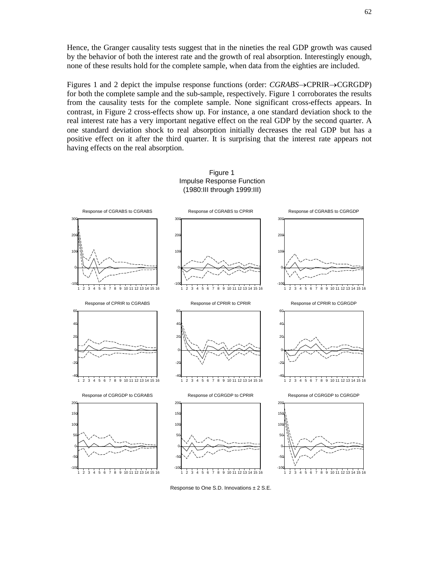Hence, the Granger causality tests suggest that in the nineties the real GDP growth was caused by the behavior of both the interest rate and the growth of real absorption. Interestingly enough, none of these results hold for the complete sample, when data from the eighties are included.

Figures 1 and 2 depict the impulse response functions (order:  $CGRABS \rightarrow CPRIR \rightarrow CGRGB$ F) for both the complete sample and the sub-sample, respectively. Figure 1 corroborates the results from the causality tests for the complete sample. None significant cross-effects appears. In contrast, in Figure 2 cross-effects show up. For instance, a one standard deviation shock to the real interest rate has a very important negative effect on the real GDP by the second quarter. A one standard deviation shock to real absorption initially decreases the real GDP but has a positive effect on it after the third quarter. It is surprising that the interest rate appears not having effects on the real absorption.



Figure 1 Impulse Response Function (1980:III through 1999:III)

Response to One S.D. Innovations ± 2 S.E.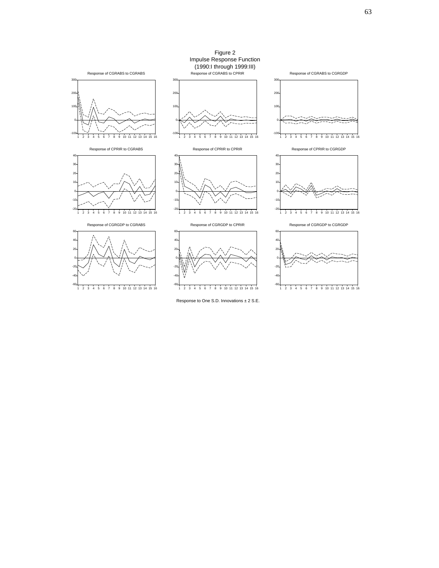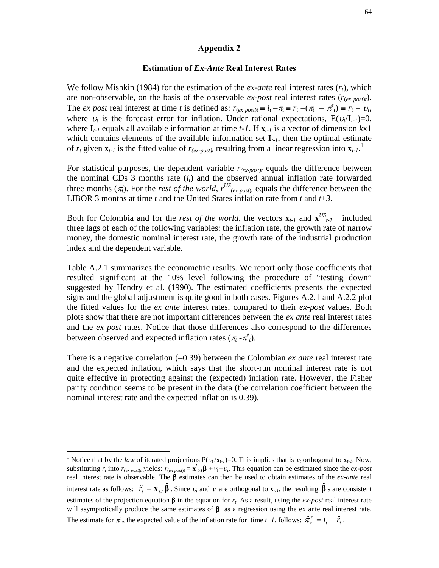#### **Appendix 2**

#### **Estimation of** *Ex-Ante* **Real Interest Rates**

We follow Mishkin (1984) for the estimation of the *ex-ante* real interest rates (*rt*), which are non-observable, on the basis of the observable  $ex\text{-}post$  real interest rates  $(r_{(ex\ post)t})$ . The *ex post* real interest at time *t* is defined as:  $r_{(ex\ post)t} \equiv i_t - \pi_t \equiv r_t - (\pi_t - \pi_t^e) \equiv r_t - \nu_t$ , where  $v_t$  is the forecast error for inflation. Under rational expectations,  $E(v_t/I_{t-1})=0$ , where **I***t-1* equals all available information at time *t-1*. If **x***t-1* is a vector of dimension *k*x1 which contains elements of the available information set **I***t-1*, then the optimal estimate of  $r_t$  given  $\mathbf{x}_{t-1}$  is the fitted value of  $r_{(ex\text{-}post)t}$  resulting from a linear regression into  $\mathbf{x}_{t-1}$ .<sup>1</sup>

For statistical purposes, the dependent variable  $r_{(ex\text{-}post)t}$  equals the difference between the nominal CDs  $3$  months rate  $(i_t)$  and the observed annual inflation rate forwarded three months  $(\pi_t)$ . For the *rest of the world*,  $r^{US}$ <sub>(*ex post*)*t*</sub> equals the difference between the LIBOR 3 months at time *t* and the United States inflation rate from *t* and *t*+*3*.

Both for Colombia and for the *rest of the world*, the vectors  $\mathbf{x}_{t-1}$  and  $\mathbf{x}_{t-1}$  included three lags of each of the following variables: the inflation rate, the growth rate of narrow money, the domestic nominal interest rate, the growth rate of the industrial production index and the dependent variable.

Table A.2.1 summarizes the econometric results. We report only those coefficients that resulted significant at the 10% level following the procedure of "testing down" suggested by Hendry et al. (1990). The estimated coefficients presents the expected signs and the global adjustment is quite good in both cases. Figures A.2.1 and A.2.2 plot the fitted values for the *ex ante* interest rates, compared to their *ex-post* values. Both plots show that there are not important differences between the *ex ante* real interest rates and the *ex post* rates. Notice that those differences also correspond to the differences between observed and expected inflation rates  $(\pi_t - \pi_t^e)$ .

There is a negative correlation  $(-0.39)$  between the Colombian *ex ante* real interest rate and the expected inflation, which says that the short-run nominal interest rate is not quite effective in protecting against the (expected) inflation rate. However, the Fisher parity condition seems to be present in the data (the correlation coefficient between the nominal interest rate and the expected inflation is 0.39).

<sup>&</sup>lt;sup>1</sup> Notice that by the *law* of iterated projections P( $v_t / \mathbf{x}_{t-1}$ )=0. This implies that is  $v_t$  orthogonal to  $\mathbf{x}_{t-1}$ . Now, substituting  $r_t$  into  $r_{(ex\ post)}$  yields:  $r_{(ex\ post)} = \mathbf{x}'_{t-1} \mathbf{\beta} + \mathbf{\nu}_t - \mathbf{\nu}_t$ . This equation can be estimated since the *ex-post* real interest rate is observable. The  $\beta$  estimates can then be used to obtain estimates of the *ex-ante* real interest rate as follows:  $\hat{r}_t = \mathbf{x}_{t-1} \hat{\boldsymbol{\beta}}$ . Since  $v_t$  and  $v_t$  are orthogonal to  $\mathbf{x}_{t-1}$ , the resulting  $\hat{\boldsymbol{\beta}}$  s are consistent estimates of the projection equation  $\beta$  in the equation for  $r_t$ . As a result, using the *ex-post* real interest rate will asymptotically produce the same estimates of  $β$  as a regression using the ex ante real interest rate. The estimate for  $\pi^e$ , the expected value of the inflation rate for time *t*+*1*, follows:  $\hat{\pi}^e$  =  $i$  -  $\hat{r}$  .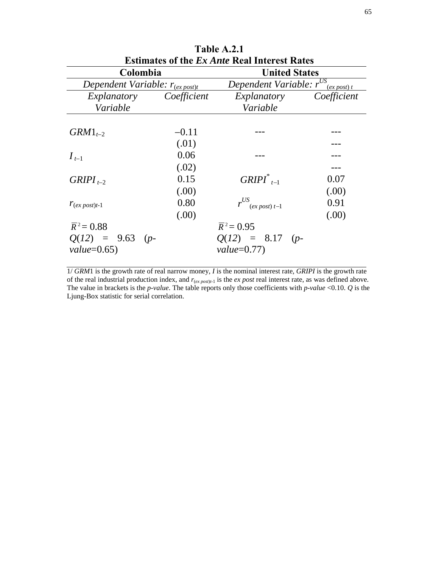| Table A.2.1                                         |             |                                                  |             |  |  |  |
|-----------------------------------------------------|-------------|--------------------------------------------------|-------------|--|--|--|
| <b>Estimates of the Ex Ante Real Interest Rates</b> |             |                                                  |             |  |  |  |
| Colombia                                            |             | <b>United States</b>                             |             |  |  |  |
| Dependent Variable: $r_{(ex\,post)}$                |             | Dependent Variable: r <sup>US</sup><br>(ex post) |             |  |  |  |
| Explanatory                                         | Coefficient | Explanatory                                      | Coefficient |  |  |  |
| Variable                                            |             | Variable                                         |             |  |  |  |
|                                                     |             |                                                  |             |  |  |  |
| $GRM1_{t-2}$                                        | $-0.11$     |                                                  |             |  |  |  |
|                                                     | (.01)       |                                                  |             |  |  |  |
| $I_{t-1}$                                           | 0.06        |                                                  |             |  |  |  |
|                                                     | (.02)       |                                                  |             |  |  |  |
| $GRIPI_{t-2}$                                       | 0.15        | $GRIPI^*_{t-1}$                                  | 0.07        |  |  |  |
|                                                     | (.00)       |                                                  | (.00)       |  |  |  |
| $r_{(ex\ post)t-1}$                                 | 0.80        | $r^{US}$ (ex post) t-1                           | 0.91        |  |  |  |
|                                                     | (.00)       |                                                  | (.00)       |  |  |  |
| $\overline{R}^2 = 0.88$                             |             | $\overline{R}^2 = 0.95$                          |             |  |  |  |
| $Q(12) = 9.63$ (p-                                  |             | $Q(12) = 8.17 (p-$                               |             |  |  |  |
| $value=0.65$                                        |             | $value=0.77$                                     |             |  |  |  |

1/ *GRM*1 is the growth rate of real narrow money, *I* is the nominal interest rate, *GRIPI* is the growth rate of the real industrial production index, and *r*(*ex post*)*t-*1 is the *ex post* real interest rate, as was defined above. The value in brackets is the *p*-*value*. The table reports only those coefficients with *p*-*value* <0.10. *Q* is the Ljung-Box statistic for serial correlation.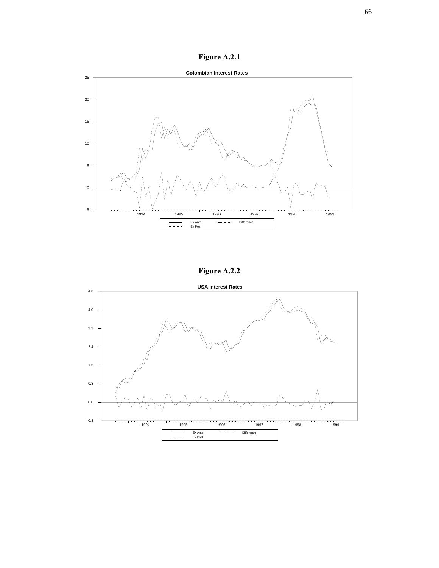**Figure A.2.1**



**Figure A.2.2**

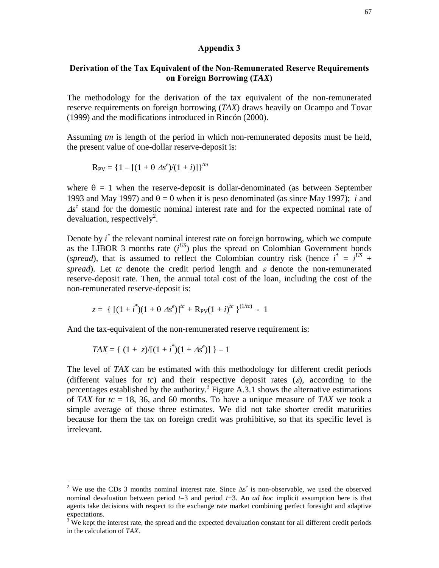#### **Appendix 3**

### **Derivation of the Tax Equivalent of the Non-Remunerated Reserve Requirements on Foreign Borrowing (***TAX***)**

The methodology for the derivation of the tax equivalent of the non-remunerated reserve requirements on foreign borrowing (*TAX*) draws heavily on Ocampo and Tovar (1999) and the modifications introduced in Rincón (2000).

Assuming *tm* is length of the period in which non-remunerated deposits must be held, the present value of one-dollar reserve-deposit is:

$$
R_{PV} = \{1 - [(1 + \theta \Delta s^e)/(1 + i)]\}^{tm}
$$

where  $\theta = 1$  when the reserve-deposit is dollar-denominated (as between September 1993 and May 1997) and  $\theta = 0$  when it is peso denominated (as since May 1997); *i* and  $\Delta s^e$  stand for the domestic nominal interest rate and for the expected nominal rate of devaluation, respectively<sup>2</sup>.

Denote by *i*<sup>\*</sup> the relevant nominal interest rate on foreign borrowing, which we compute as the LIBOR 3 months rate  $(i^{US})$  plus the spread on Colombian Government bonds (*spread*), that is assumed to reflect the Colombian country risk (hence  $i^* = i^{US}$  + *spread*). Let *tc* denote the credit period length and  $\varepsilon$  denote the non-remunerated reserve-deposit rate. Then, the annual total cost of the loan, including the cost of the non-remunerated reserve-deposit is:

$$
z = \{ [(1 + i^*)(1 + \theta \Delta s^e)]^{tc} + R_{PV}(1 + i)^{tc} \}^{(1/tc)} - 1
$$

And the tax-equivalent of the non-remunerated reserve requirement is:

$$
TAX = \{ (1 + z)/[(1 + i^*)(1 + \Delta s^e)] \} - 1
$$

 $\overline{a}$ 

The level of *TAX* can be estimated with this methodology for different credit periods (different values for  $tc$ ) and their respective deposit rates  $(\varepsilon)$ , according to the percentages established by the authority.<sup>3</sup> Figure A.3.1 shows the alternative estimations of *TAX* for *tc* = 18, 36, and 60 months. To have a unique measure of *TAX* we took a simple average of those three estimates. We did not take shorter credit maturities because for them the tax on foreign credit was prohibitive, so that its specific level is irrelevant.

<sup>&</sup>lt;sup>2</sup> We use the CDs 3 months nominal interest rate. Since  $\Delta s^e$  is non-observable, we used the observed nominal devaluation between period  $t-3$  and period  $t+3$ . An *ad hoc* implicit assumption here is that agents take decisions with respect to the exchange rate market combining perfect foresight and adaptive expectations.

 $3 \text{ We kept the interest rate, the spread and the expected deviation constant for all different credit periods.}$ in the calculation of *TAX*.